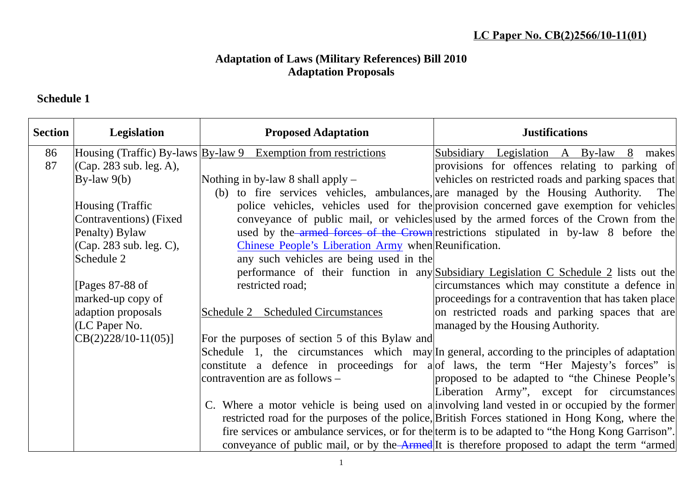## **Adaptation of Laws (Military References) Bill 2010 Adaptation Proposals**

## **Schedule 1**

| <b>Section</b> | Legislation                 | <b>Proposed Adaptation</b>                                            | <b>Justifications</b>                                                                              |
|----------------|-----------------------------|-----------------------------------------------------------------------|----------------------------------------------------------------------------------------------------|
| 86             |                             | Housing (Traffic) By-laws <b>By-law 9</b> Exemption from restrictions | Subsidiary Legislation A By-law 8 makes                                                            |
| 87             | (Cap. 283 sub. leg. A),     |                                                                       | provisions for offences relating to parking of                                                     |
|                | By-law $9(b)$               | Nothing in by-law 8 shall apply $-$                                   | vehicles on restricted roads and parking spaces that                                               |
|                |                             |                                                                       | (b) to fire services vehicles, ambulances, are managed by the Housing Authority. The               |
|                | Housing (Traffic            |                                                                       | police vehicles, vehicles used for the provision concerned gave exemption for vehicles             |
|                | Contraventions) (Fixed      |                                                                       | conveyance of public mail, or vehicles used by the armed forces of the Crown from the              |
|                | Penalty) Bylaw              |                                                                       | used by the armed forces of the Crown restrictions stipulated in by-law 8 before the               |
|                | $ $ (Cap. 283 sub. leg. C), | Chinese People's Liberation Army when Reunification.                  |                                                                                                    |
|                | Schedule 2                  | any such vehicles are being used in the                               |                                                                                                    |
|                |                             |                                                                       | performance of their function in any Subsidiary Legislation C Schedule 2 lists out the             |
|                | [Pages $87-88$ of           | restricted road;                                                      | circumstances which may constitute a defence in                                                    |
|                | marked-up copy of           |                                                                       | proceedings for a contravention that has taken place                                               |
|                | adaption proposals          | Schedule 2 Scheduled Circumstances                                    | on restricted roads and parking spaces that are                                                    |
|                | $(LC$ Paper No.             |                                                                       | managed by the Housing Authority.                                                                  |
|                | $\text{CB}(2)228/10-11(05)$ | For the purposes of section 5 of this Bylaw and                       |                                                                                                    |
|                |                             |                                                                       | Schedule 1, the circumstances which may In general, according to the principles of adaptation      |
|                |                             |                                                                       | constitute a defence in proceedings for a of laws, the term "Her Majesty's forces" is              |
|                |                             | contravention are as follows –                                        | proposed to be adapted to "the Chinese People's                                                    |
|                |                             |                                                                       | Liberation Army", except for circumstances                                                         |
|                |                             |                                                                       | C. Where a motor vehicle is being used on a involving land vested in or occupied by the former     |
|                |                             |                                                                       | restricted road for the purposes of the police, British Forces stationed in Hong Kong, where the   |
|                |                             |                                                                       | fire services or ambulance services, or for the term is to be adapted to "the Hong Kong Garrison". |
|                |                             |                                                                       | conveyance of public mail, or by the Armed It is therefore proposed to adapt the term "armed       |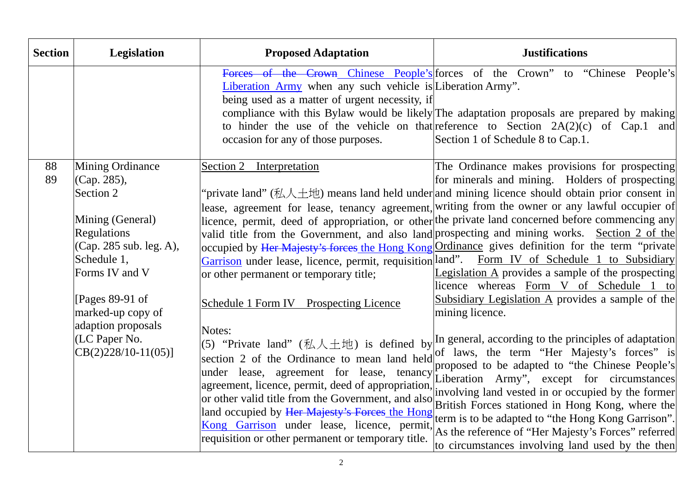| <b>Section</b> | Legislation                                                                                                                                                                                                                                                         | <b>Proposed Adaptation</b>                                                                                                                                                                                                                                                                                                                                                                                                                                                                                                                                                                     | <b>Justifications</b>                                                                                                                                                                                                                                                                                                                                                                                                                                                                                                                                                                                                                                                                                                                                                                                                                                                                                                                                                                                                                                                                                                                                                                                                                                                                                              |
|----------------|---------------------------------------------------------------------------------------------------------------------------------------------------------------------------------------------------------------------------------------------------------------------|------------------------------------------------------------------------------------------------------------------------------------------------------------------------------------------------------------------------------------------------------------------------------------------------------------------------------------------------------------------------------------------------------------------------------------------------------------------------------------------------------------------------------------------------------------------------------------------------|--------------------------------------------------------------------------------------------------------------------------------------------------------------------------------------------------------------------------------------------------------------------------------------------------------------------------------------------------------------------------------------------------------------------------------------------------------------------------------------------------------------------------------------------------------------------------------------------------------------------------------------------------------------------------------------------------------------------------------------------------------------------------------------------------------------------------------------------------------------------------------------------------------------------------------------------------------------------------------------------------------------------------------------------------------------------------------------------------------------------------------------------------------------------------------------------------------------------------------------------------------------------------------------------------------------------|
|                |                                                                                                                                                                                                                                                                     | Liberation Army when any such vehicle is Liberation Army".<br>being used as a matter of urgent necessity, if<br>occasion for any of those purposes.                                                                                                                                                                                                                                                                                                                                                                                                                                            | Forces of the Crown Chinese People's forces of the Crown" to "Chinese People's<br>compliance with this Bylaw would be likely The adaptation proposals are prepared by making<br>to hinder the use of the vehicle on that reference to Section $2A(2)(c)$ of Cap.1 and<br>Section 1 of Schedule 8 to Cap.1.                                                                                                                                                                                                                                                                                                                                                                                                                                                                                                                                                                                                                                                                                                                                                                                                                                                                                                                                                                                                         |
| 88<br>89       | <b>Mining Ordinance</b><br>(Cap. 285),<br>Section 2<br>Mining (General)<br><b>Regulations</b><br>(Cap. 285 sub. leg. A),<br>Schedule 1,<br>Forms IV and V<br>[Pages $89-91$ of<br>marked-up copy of<br>adaption proposals<br>(LC Paper No.<br>$CB(2)228/10-11(05)]$ | Section 2 Interpretation<br>Garrison under lease, licence, permit, requisition land".<br>or other permanent or temporary title;<br>Schedule 1 Form IV Prospecting Licence<br>Notes:<br>(5) "Private land" (私人土地) is defined by<br>section 2 of the Ordinance to mean land held<br>under lease, agreement for lease, tenancy<br>agreement, licence, permit, deed of appropriation,<br>or other valid title from the Government, and also<br>land occupied by Her Majesty's Forces the Hong<br>Kong Garrison under lease, licence, permit,<br>requisition or other permanent or temporary title. | The Ordinance makes provisions for prospecting<br>for minerals and mining. Holders of prospecting<br>'private land" (私人土地) means land held under and mining licence should obtain prior consent in<br>lease, agreement for lease, tenancy agreement, writing from the owner or any lawful occupier of<br>licence, permit, deed of appropriation, or other the private land concerned before commencing any<br>valid title from the Government, and also land prospecting and mining works. Section 2 of the<br>occupied by Her Majesty's forces the Hong Kong Ordinance gives definition for the term "private<br>Form IV of Schedule 1 to Subsidiary<br>Legislation A provides a sample of the prospecting<br>licence whereas Form V of Schedule 1 to<br>Subsidiary Legislation A provides a sample of the<br>mining licence.<br>In general, according to the principles of adaptation<br>of laws, the term "Her Majesty's forces" is<br>proposed to be adapted to "the Chinese People's<br>Liberation Army", except for circumstances<br>involving land vested in or occupied by the former<br>British Forces stationed in Hong Kong, where the<br>term is to be adapted to "the Hong Kong Garrison".<br>As the reference of "Her Majesty's Forces" referred<br>to circumstances involving land used by the then |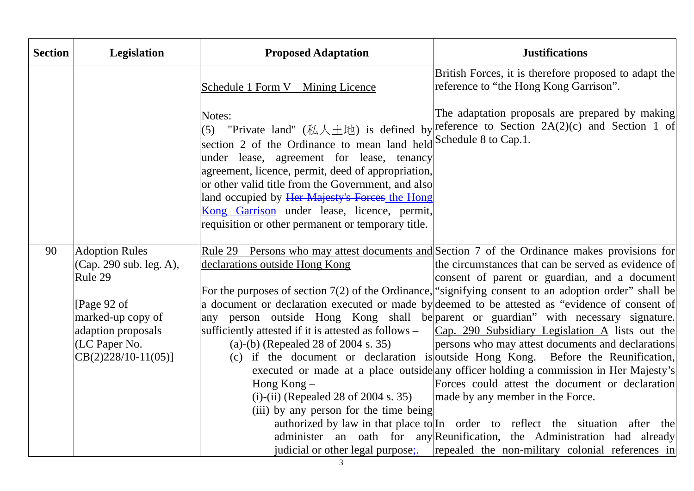| <b>Section</b> | <b>Legislation</b>                               | <b>Proposed Adaptation</b>                                                                                                                                                                                                                                                                                                                                                                  | <b>Justifications</b>                                                                                                                                                                          |
|----------------|--------------------------------------------------|---------------------------------------------------------------------------------------------------------------------------------------------------------------------------------------------------------------------------------------------------------------------------------------------------------------------------------------------------------------------------------------------|------------------------------------------------------------------------------------------------------------------------------------------------------------------------------------------------|
|                |                                                  | Schedule 1 Form V Mining Licence                                                                                                                                                                                                                                                                                                                                                            | British Forces, it is therefore proposed to adapt the<br>reference to "the Hong Kong Garrison".                                                                                                |
|                |                                                  | Notes:<br>section 2 of the Ordinance to mean land held Schedule 8 to Cap.1.<br>under lease, agreement for lease, tenancy<br>agreement, licence, permit, deed of appropriation,<br>or other valid title from the Government, and also<br>land occupied by Her Majesty's Forces the Hong<br>Kong Garrison under lease, licence, permit,<br>requisition or other permanent or temporary title. | The adaptation proposals are prepared by making<br>(5) "Private land" (私人土地) is defined by reference to Section 2A(2)(c) and Section 1 of                                                      |
| 90             | <b>Adoption Rules</b><br>(Cap. 290 sub. leg. A), | declarations outside Hong Kong                                                                                                                                                                                                                                                                                                                                                              | <u>Rule 29 Persons who may attest documents and</u> Section 7 of the Ordinance makes provisions for<br>the circumstances that can be served as evidence of                                     |
|                | Rule 29                                          |                                                                                                                                                                                                                                                                                                                                                                                             | consent of parent or guardian, and a document                                                                                                                                                  |
|                |                                                  |                                                                                                                                                                                                                                                                                                                                                                                             | For the purposes of section $7(2)$ of the Ordinance, "signifying consent to an adoption order" shall be                                                                                        |
|                | [Page 92 of                                      |                                                                                                                                                                                                                                                                                                                                                                                             | a document or declaration executed or made by deemed to be attested as "evidence of consent of                                                                                                 |
|                | marked-up copy of<br>adaption proposals          |                                                                                                                                                                                                                                                                                                                                                                                             | any person outside Hong Kong shall be parent or guardian" with necessary signature.<br>sufficiently attested if it is attested as follows – $ Cap. 290$ Subsidiary Legislation A lists out the |
|                | $ $ (LC Paper No.                                | (a)-(b) (Repealed 28 of 2004 s. 35)                                                                                                                                                                                                                                                                                                                                                         | persons who may attest documents and declarations                                                                                                                                              |
|                | $CB(2)228/10-11(05)]$                            |                                                                                                                                                                                                                                                                                                                                                                                             | (c) if the document or declaration is outside Hong Kong. Before the Reunification,                                                                                                             |
|                |                                                  |                                                                                                                                                                                                                                                                                                                                                                                             | executed or made at a place outside any officer holding a commission in Her Majesty's                                                                                                          |
|                |                                                  | Hong Kong $-$<br>(i)-(ii) (Repealed 28 of 2004 s. 35)                                                                                                                                                                                                                                                                                                                                       | Forces could attest the document or declaration<br>made by any member in the Force.                                                                                                            |
|                |                                                  | (iii) by any person for the time being                                                                                                                                                                                                                                                                                                                                                      |                                                                                                                                                                                                |
|                |                                                  |                                                                                                                                                                                                                                                                                                                                                                                             | authorized by law in that place to In order to reflect the situation after the                                                                                                                 |
|                |                                                  |                                                                                                                                                                                                                                                                                                                                                                                             | administer an oath for any Reunification, the Administration had already                                                                                                                       |
|                |                                                  |                                                                                                                                                                                                                                                                                                                                                                                             | judicial or other legal purpose; $[repeated the non-military colonial references in]$                                                                                                          |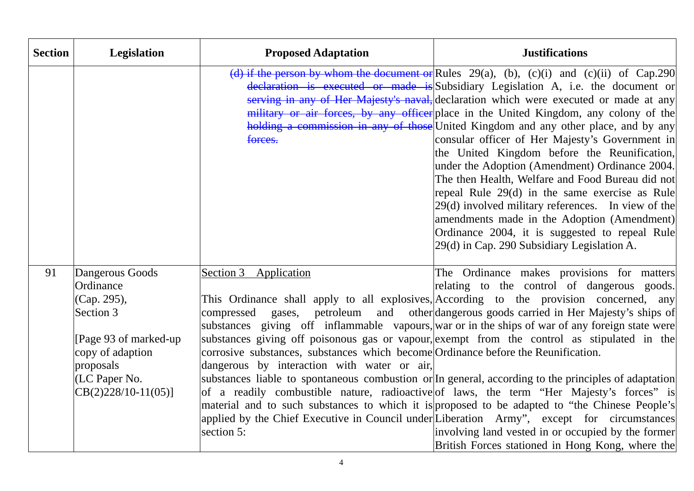| <b>Section</b> | Legislation                                                                                                                                                   | <b>Proposed Adaptation</b>                                                                                                                                                                   | <b>Justifications</b>                                                                                                                                                                                                                                                                                                                                                                                                                                                                                                                                                                                                                                                                                                                                                                                                                                                                                                                                                         |
|----------------|---------------------------------------------------------------------------------------------------------------------------------------------------------------|----------------------------------------------------------------------------------------------------------------------------------------------------------------------------------------------|-------------------------------------------------------------------------------------------------------------------------------------------------------------------------------------------------------------------------------------------------------------------------------------------------------------------------------------------------------------------------------------------------------------------------------------------------------------------------------------------------------------------------------------------------------------------------------------------------------------------------------------------------------------------------------------------------------------------------------------------------------------------------------------------------------------------------------------------------------------------------------------------------------------------------------------------------------------------------------|
|                |                                                                                                                                                               | forces.                                                                                                                                                                                      | (d) if the person by whom the document or Rules 29(a), (b), (c)(i) and (c)(ii) of Cap.290<br>declaration is executed or made is Subsidiary Legislation A, i.e. the document or<br>serving in any of Her Majesty's naval, declaration which were executed or made at any<br>military or air forces, by any officer place in the United Kingdom, any colony of the<br>holding a commission in any of those United Kingdom and any other place, and by any<br>consular officer of Her Majesty's Government in<br>the United Kingdom before the Reunification,<br>under the Adoption (Amendment) Ordinance 2004.<br>The then Health, Welfare and Food Bureau did not<br>repeal Rule 29(d) in the same exercise as Rule<br>29(d) involved military references. In view of the<br>amendments made in the Adoption (Amendment)<br>Ordinance 2004, it is suggested to repeal Rule<br>29(d) in Cap. 290 Subsidiary Legislation A.                                                      |
| 91             | Dangerous Goods<br>Ordinance<br>(Cap. 295),<br>Section 3<br>[Page 93 of marked-up]<br>copy of adaption<br>proposals<br>(LC Paper No.<br>$CB(2)228/10-11(05)]$ | Section 3 Application<br>compressed gases,<br>corrosive substances, substances which become Ordinance before the Reunification.<br>dangerous by interaction with water or air,<br>section 5: | The Ordinance makes provisions for matters<br>relating to the control of dangerous goods.<br>This Ordinance shall apply to all explosives, According to the provision concerned, any<br>petroleum and other dangerous goods carried in Her Majesty's ships of<br>substances giving off inflammable vapours, war or in the ships of war of any foreign state were<br>substances giving off poisonous gas or vapour, exempt from the control as stipulated in the<br>substances liable to spontaneous combustion or In general, according to the principles of adaptation<br>of a readily combustible nature, radioactive of laws, the term "Her Majesty's forces" is<br>material and to such substances to which it is proposed to be adapted to "the Chinese People's<br>applied by the Chief Executive in Council under Liberation Army", except for circumstances<br>involving land vested in or occupied by the former<br>British Forces stationed in Hong Kong, where the |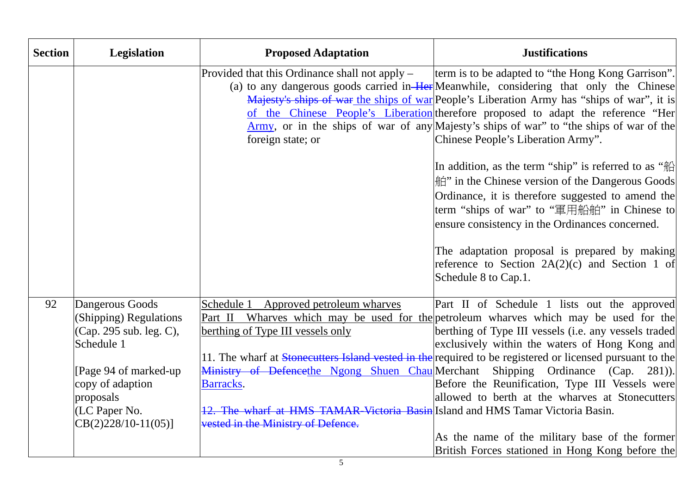| <b>Section</b> | <b>Legislation</b>                                                                                                                                                                     | <b>Proposed Adaptation</b>                                                                                                                                                                                      | <b>Justifications</b>                                                                                                                                                                                                                                                                                                                                                                                                                                                                                                                                                                                                                                                                                                                                                                                                                                                      |
|----------------|----------------------------------------------------------------------------------------------------------------------------------------------------------------------------------------|-----------------------------------------------------------------------------------------------------------------------------------------------------------------------------------------------------------------|----------------------------------------------------------------------------------------------------------------------------------------------------------------------------------------------------------------------------------------------------------------------------------------------------------------------------------------------------------------------------------------------------------------------------------------------------------------------------------------------------------------------------------------------------------------------------------------------------------------------------------------------------------------------------------------------------------------------------------------------------------------------------------------------------------------------------------------------------------------------------|
|                |                                                                                                                                                                                        | Provided that this Ordinance shall not apply –<br>foreign state; or                                                                                                                                             | term is to be adapted to "the Hong Kong Garrison".<br>(a) to any dangerous goods carried in Her Meanwhile, considering that only the Chinese<br>Majesty's ships of war the ships of war People's Liberation Army has "ships of war", it is<br>of the Chinese People's Liberation therefore proposed to adapt the reference "Her<br>Army, or in the ships of war of any Majesty's ships of war" to "the ships of war of the<br>Chinese People's Liberation Army".<br>In addition, as the term "ship" is referred to as "船<br><sup> </sup> in the Chinese version of the Dangerous Goods<br>Ordinance, it is therefore suggested to amend the<br>term "ships of war" to "軍用船舶" in Chinese to<br>ensure consistency in the Ordinances concerned.<br>The adaptation proposal is prepared by making<br>reference to Section $2A(2)(c)$ and Section 1 of<br>Schedule 8 to Cap.1. |
| 92             | Dangerous Goods<br>(Shipping) Regulations<br>(Cap. 295 sub. leg. C),<br>Schedule 1<br>[Page 94 of marked-up]<br>copy of adaption<br>proposals<br>(LC Paper No.<br>$CB(2)228/10-11(05)$ | Schedule 1 Approved petroleum wharves<br>berthing of Type III vessels only<br>Barracks.<br>12. The wharf at HMS TAMAR-Victoria Basin Island and HMS Tamar Victoria Basin.<br>vested in the Ministry of Defence. | Part II of Schedule 1 lists out the approved<br>Part II Wharves which may be used for the petroleum wharves which may be used for the<br>berthing of Type III vessels (i.e. any vessels traded<br>exclusively within the waters of Hong Kong and<br>11. The wharf at Stonecutters Island vested in the required to be registered or licensed pursuant to the<br>Ministry of Defencethe Ngong Shuen Chau Merchant Shipping Ordinance (Cap. 281)).<br>Before the Reunification, Type III Vessels were<br>allowed to berth at the wharves at Stonecutters<br>As the name of the military base of the former<br>British Forces stationed in Hong Kong before the                                                                                                                                                                                                               |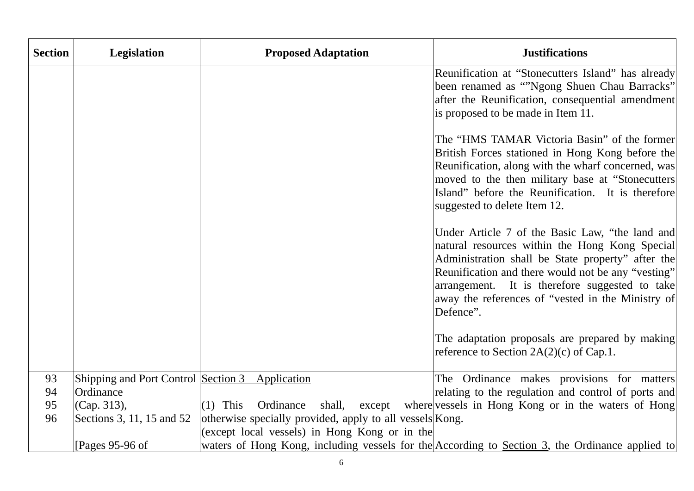| <b>Section</b> | <b>Legislation</b>                  | <b>Proposed Adaptation</b>                               | <b>Justifications</b>                                                                           |
|----------------|-------------------------------------|----------------------------------------------------------|-------------------------------------------------------------------------------------------------|
|                |                                     |                                                          | Reunification at "Stonecutters Island" has already                                              |
|                |                                     |                                                          | been renamed as ""Ngong Shuen Chau Barracks"                                                    |
|                |                                     |                                                          | after the Reunification, consequential amendment                                                |
|                |                                     |                                                          | is proposed to be made in Item 11.                                                              |
|                |                                     |                                                          | The "HMS TAMAR Victoria Basin" of the former                                                    |
|                |                                     |                                                          | British Forces stationed in Hong Kong before the                                                |
|                |                                     |                                                          | Reunification, along with the wharf concerned, was                                              |
|                |                                     |                                                          | moved to the then military base at "Stonecutters                                                |
|                |                                     |                                                          | Island" before the Reunification. It is therefore                                               |
|                |                                     |                                                          | suggested to delete Item 12.                                                                    |
|                |                                     |                                                          | Under Article 7 of the Basic Law, "the land and                                                 |
|                |                                     |                                                          | natural resources within the Hong Kong Special                                                  |
|                |                                     |                                                          | Administration shall be State property" after the                                               |
|                |                                     |                                                          | Reunification and there would not be any "vesting"                                              |
|                |                                     |                                                          | arrangement. It is therefore suggested to take                                                  |
|                |                                     |                                                          | away the references of "vested in the Ministry of                                               |
|                |                                     |                                                          | Defence".                                                                                       |
|                |                                     |                                                          | The adaptation proposals are prepared by making                                                 |
|                |                                     |                                                          | reference to Section $2A(2)(c)$ of Cap.1.                                                       |
|                |                                     |                                                          |                                                                                                 |
| 93             | Shipping and Port Control Section 3 | Application                                              | The Ordinance makes provisions for matters                                                      |
| 94             | Ordinance                           |                                                          | relating to the regulation and control of ports and                                             |
| 95             | (Cap. 313),                         | Ordinance<br>$(1)$ This<br>shall,                        | except where vessels in Hong Kong or in the waters of Hong                                      |
| 96             | Sections 3, 11, 15 and 52           | otherwise specially provided, apply to all vessels Kong. |                                                                                                 |
|                |                                     | (except local vessels) in Hong Kong or in the            |                                                                                                 |
|                | [Pages $95-96$ of                   |                                                          | waters of Hong Kong, including vessels for the According to Section 3, the Ordinance applied to |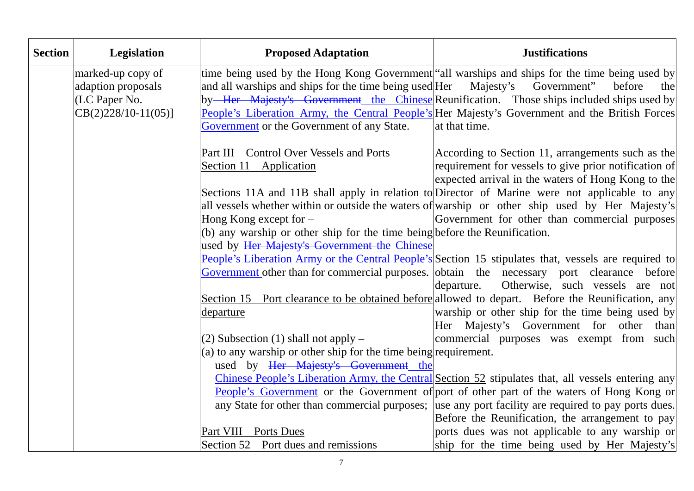| <b>Section</b> | Legislation           | <b>Proposed Adaptation</b>                                                   | <b>Justifications</b>                                                                                 |
|----------------|-----------------------|------------------------------------------------------------------------------|-------------------------------------------------------------------------------------------------------|
|                | marked-up copy of     |                                                                              | time being used by the Hong Kong Government all warships and ships for the time being used by         |
|                | adaption proposals    | and all warships and ships for the time being used Her Majesty's Government" | before<br>the                                                                                         |
|                | (LC Paper No.         |                                                                              | by <del> Her Majesty's Government the Chinese</del> Reunification. Those ships included ships used by |
|                | $CB(2)228/10-11(05)]$ |                                                                              | People's Liberation Army, the Central People's Her Majesty's Government and the British Forces        |
|                |                       | Government or the Government of any State.                                   | at that time.                                                                                         |
|                |                       | Part III Control Over Vessels and Ports                                      | According to Section 11, arrangements such as the                                                     |
|                |                       | Section 11 Application                                                       | requirement for vessels to give prior notification of                                                 |
|                |                       |                                                                              | expected arrival in the waters of Hong Kong to the                                                    |
|                |                       |                                                                              | Sections 11A and 11B shall apply in relation to Director of Marine were not applicable to any         |
|                |                       |                                                                              | all vessels whether within or outside the waters of warship or other ship used by Her Majesty's       |
|                |                       | Hong Kong except for -                                                       | Government for other than commercial purposes                                                         |
|                |                       | (b) any warship or other ship for the time being before the Reunification.   |                                                                                                       |
|                |                       | used by Her Majesty's Government the Chinese                                 |                                                                                                       |
|                |                       |                                                                              | People's Liberation Army or the Central People's Section 15 stipulates that, vessels are required to  |
|                |                       |                                                                              | Government other than for commercial purposes. obtain the necessary port clearance before             |
|                |                       |                                                                              | Otherwise, such vessels are not<br>departure.                                                         |
|                |                       |                                                                              | Section 15 Port clearance to be obtained before allowed to depart. Before the Reunification, any      |
|                |                       | departure                                                                    | warship or other ship for the time being used by                                                      |
|                |                       |                                                                              | Her Majesty's Government for other than                                                               |
|                |                       | $(2)$ Subsection $(1)$ shall not apply –                                     | commercial purposes was exempt from such                                                              |
|                |                       | $(a)$ to any warship or other ship for the time being requirement.           |                                                                                                       |
|                |                       | used by Her Majesty's Government the                                         |                                                                                                       |
|                |                       |                                                                              | Chinese People's Liberation Army, the Central Section 52 stipulates that, all vessels entering any    |
|                |                       |                                                                              | People's Government or the Government of port of other part of the waters of Hong Kong or             |
|                |                       |                                                                              | any State for other than commercial purposes; use any port facility are required to pay ports dues.   |
|                |                       |                                                                              | Before the Reunification, the arrangement to pay                                                      |
|                |                       | Part VIII Ports Dues                                                         | ports dues was not applicable to any warship or                                                       |
|                |                       | Section 52 Port dues and remissions                                          | ship for the time being used by Her Majesty's                                                         |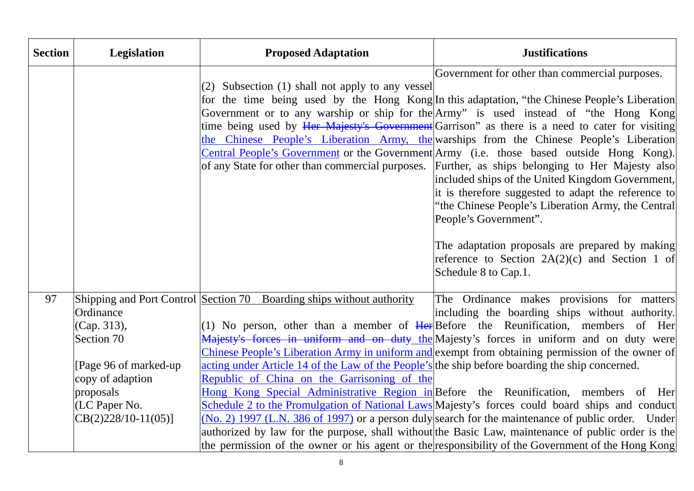| <b>Section</b> | Legislation                                                                                                                                | <b>Proposed Adaptation</b>                                                                                                                                                                                              | <b>Justifications</b>                                                                                                                                                                                                                                                                                                                                                                                                                                                                                                                                                                                                                                                                                                                                                                                                                                                                                                                                         |
|----------------|--------------------------------------------------------------------------------------------------------------------------------------------|-------------------------------------------------------------------------------------------------------------------------------------------------------------------------------------------------------------------------|---------------------------------------------------------------------------------------------------------------------------------------------------------------------------------------------------------------------------------------------------------------------------------------------------------------------------------------------------------------------------------------------------------------------------------------------------------------------------------------------------------------------------------------------------------------------------------------------------------------------------------------------------------------------------------------------------------------------------------------------------------------------------------------------------------------------------------------------------------------------------------------------------------------------------------------------------------------|
|                |                                                                                                                                            | (2) Subsection (1) shall not apply to any vessel                                                                                                                                                                        | Government for other than commercial purposes.<br>for the time being used by the Hong Kong In this adaptation, "the Chinese People's Liberation<br>Government or to any warship or ship for the Army" is used instead of "the Hong Kong<br>time being used by Her Majesty's Government Garrison" as there is a need to cater for visiting<br>the Chinese People's Liberation Army, the warships from the Chinese People's Liberation<br>Central People's Government or the Government Army (i.e. those based outside Hong Kong).<br>of any State for other than commercial purposes. Further, as ships belonging to Her Majesty also<br>included ships of the United Kingdom Government,<br>it is therefore suggested to adapt the reference to<br>"the Chinese People's Liberation Army, the Central<br>People's Government".<br>The adaptation proposals are prepared by making<br>reference to Section $2A(2)(c)$ and Section 1 of<br>Schedule 8 to Cap.1. |
| 97             | Ordinance<br>(Cap. 313),<br>Section 70<br>[Page 96 of marked-up]<br>copy of adaption<br>proposals<br>(LC Paper No.<br>$CB(2)228/10-11(05)$ | Shipping and Port Control Section 70 Boarding ships without authority<br>acting under Article 14 of the Law of the People's the ship before boarding the ship concerned.<br>Republic of China on the Garrisoning of the | The Ordinance makes provisions for matters<br>including the boarding ships without authority.<br>(1) No person, other than a member of $Her\$ Before the Reunification, members of Her<br>Majesty's forces in uniform and on duty the Majesty's forces in uniform and on duty were<br>Chinese People's Liberation Army in uniform and exempt from obtaining permission of the owner of<br>Hong Kong Special Administrative Region in Before the Reunification, members of Her<br>Schedule 2 to the Promulgation of National Laws Majesty's forces could board ships and conduct<br>$(No. 2)$ 1997 (L.N. 386 of 1997) or a person duly search for the maintenance of public order. Under<br>authorized by law for the purpose, shall without the Basic Law, maintenance of public order is the<br>the permission of the owner or his agent or the responsibility of the Government of the Hong Kong                                                            |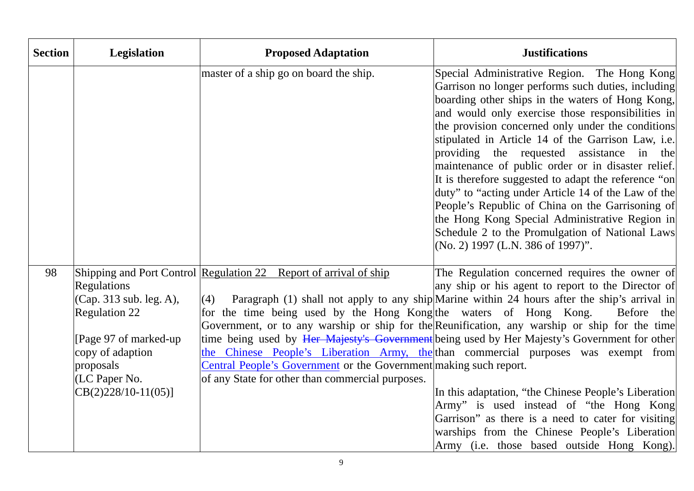| <b>Section</b> | Legislation                                                                                                                                                                | <b>Proposed Adaptation</b>                                                                                                                                                                                                                                                    | <b>Justifications</b>                                                                                                                                                                                                                                                                                                                                                                                                                                                                                                                                                                                                                                                                                                                                             |
|----------------|----------------------------------------------------------------------------------------------------------------------------------------------------------------------------|-------------------------------------------------------------------------------------------------------------------------------------------------------------------------------------------------------------------------------------------------------------------------------|-------------------------------------------------------------------------------------------------------------------------------------------------------------------------------------------------------------------------------------------------------------------------------------------------------------------------------------------------------------------------------------------------------------------------------------------------------------------------------------------------------------------------------------------------------------------------------------------------------------------------------------------------------------------------------------------------------------------------------------------------------------------|
|                |                                                                                                                                                                            | master of a ship go on board the ship.                                                                                                                                                                                                                                        | Special Administrative Region. The Hong Kong<br>Garrison no longer performs such duties, including<br>boarding other ships in the waters of Hong Kong,<br>and would only exercise those responsibilities in<br>the provision concerned only under the conditions<br>stipulated in Article 14 of the Garrison Law, i.e.<br>providing the requested assistance in the<br>maintenance of public order or in disaster relief.<br>It is therefore suggested to adapt the reference "on<br>duty" to "acting under Article 14 of the Law of the<br>People's Republic of China on the Garrisoning of<br>the Hong Kong Special Administrative Region in<br>Schedule 2 to the Promulgation of National Laws<br>(No. 2) 1997 (L.N. 386 of 1997)".                            |
| 98             | <b>Regulations</b><br>(Cap. 313 sub. leg. A),<br><b>Regulation 22</b><br>[Page 97 of marked-up]<br>copy of adaption<br>proposals<br>(LC Paper No.<br>$CB(2)228/10-11(05)]$ | Shipping and Port Control Regulation 22 Report of arrival of ship<br>(4)<br>for the time being used by the Hong Kong the waters of Hong Kong.<br><b>Central People's Government</b> or the Government making such report.<br>of any State for other than commercial purposes. | The Regulation concerned requires the owner of<br>any ship or his agent to report to the Director of<br>Paragraph (1) shall not apply to any ship Marine within 24 hours after the ship's arrival in<br>Before the<br>Government, or to any warship or ship for the Reunification, any warship or ship for the time<br>time being used by Her Majesty's Government being used by Her Majesty's Government for other<br>the Chinese People's Liberation Army, the than commercial purposes was exempt from<br>In this adaptation, "the Chinese People's Liberation<br>Army" is used instead of "the Hong Kong<br>Garrison" as there is a need to cater for visiting<br>warships from the Chinese People's Liberation<br>Army (i.e. those based outside Hong Kong). |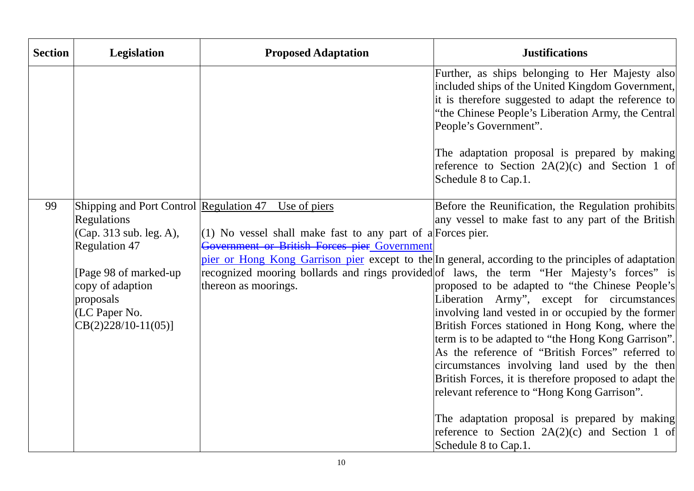| <b>Section</b> | <b>Legislation</b>                                                                                                                                             | <b>Proposed Adaptation</b>                                                                                                                            | <b>Justifications</b>                                                                                                                                                                                                                                                                                                                                                                                                   |
|----------------|----------------------------------------------------------------------------------------------------------------------------------------------------------------|-------------------------------------------------------------------------------------------------------------------------------------------------------|-------------------------------------------------------------------------------------------------------------------------------------------------------------------------------------------------------------------------------------------------------------------------------------------------------------------------------------------------------------------------------------------------------------------------|
|                |                                                                                                                                                                |                                                                                                                                                       | Further, as ships belonging to Her Majesty also<br>included ships of the United Kingdom Government,<br>it is therefore suggested to adapt the reference to<br>"the Chinese People's Liberation Army, the Central<br>People's Government".                                                                                                                                                                               |
|                |                                                                                                                                                                |                                                                                                                                                       | The adaptation proposal is prepared by making<br>reference to Section $2A(2)(c)$ and Section 1 of<br>Schedule 8 to Cap.1.                                                                                                                                                                                                                                                                                               |
| 99             | Shipping and Port Control Regulation 47<br><b>Regulations</b><br>(Cap. 313 sub. leg. A),<br><b>Regulation 47</b><br>[Page 98 of marked-up]<br>copy of adaption | Use of piers<br>$(1)$ No vessel shall make fast to any part of a Forces pier.<br>Government or British Forces pier Government<br>thereon as moorings. | Before the Reunification, the Regulation prohibits<br>any vessel to make fast to any part of the British<br>pier or Hong Kong Garrison pier except to the In general, according to the principles of adaptation<br>recognized mooring bollards and rings provided of laws, the term "Her Majesty's forces" is<br>proposed to be adapted to "the Chinese People's                                                        |
|                | proposals<br>(LC Paper No.<br>$CB(2)228/10-11(05)]$                                                                                                            |                                                                                                                                                       | Liberation Army", except for circumstances<br>involving land vested in or occupied by the former<br>British Forces stationed in Hong Kong, where the<br>term is to be adapted to "the Hong Kong Garrison".<br>As the reference of "British Forces" referred to<br>circumstances involving land used by the then<br>British Forces, it is therefore proposed to adapt the<br>relevant reference to "Hong Kong Garrison". |
|                |                                                                                                                                                                |                                                                                                                                                       | The adaptation proposal is prepared by making<br>reference to Section 2A(2)(c) and Section 1 of<br>Schedule 8 to Cap.1.                                                                                                                                                                                                                                                                                                 |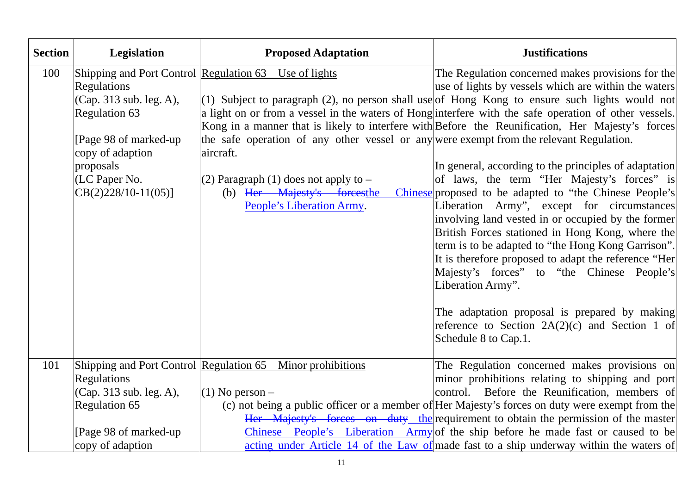| <b>Section</b> | <b>Legislation</b>                                                                                                                                           | <b>Proposed Adaptation</b>                                                                                                                                                                                                                                             | <b>Justifications</b>                                                                                                                                                                                                                                                                                                                                                                                                                                                                                                                                                                                                                                                                                                                                                                                                                                                                                                                                                                                                                                             |
|----------------|--------------------------------------------------------------------------------------------------------------------------------------------------------------|------------------------------------------------------------------------------------------------------------------------------------------------------------------------------------------------------------------------------------------------------------------------|-------------------------------------------------------------------------------------------------------------------------------------------------------------------------------------------------------------------------------------------------------------------------------------------------------------------------------------------------------------------------------------------------------------------------------------------------------------------------------------------------------------------------------------------------------------------------------------------------------------------------------------------------------------------------------------------------------------------------------------------------------------------------------------------------------------------------------------------------------------------------------------------------------------------------------------------------------------------------------------------------------------------------------------------------------------------|
| 100            | Regulations<br>(Cap. 313 sub. leg. A),<br>Regulation 63<br>[Page 98 of marked-up]<br>copy of adaption<br>proposals<br>(LC Paper No.<br>$CB(2)228/10-11(05)]$ | Shipping and Port Control Regulation 63 Use of lights<br>the safe operation of any other vessel or any were exempt from the relevant Regulation.<br>aircraft.<br>(2) Paragraph $(1)$ does not apply to $-$<br>(b) Her Majesty's forcesthe<br>People's Liberation Army. | The Regulation concerned makes provisions for the<br>use of lights by vessels which are within the waters<br>(1) Subject to paragraph (2), no person shall use of Hong Kong to ensure such lights would not<br>a light on or from a vessel in the waters of Hong interfere with the safe operation of other vessels.<br>Kong in a manner that is likely to interfere with Before the Reunification, Her Majesty's forces<br>In general, according to the principles of adaptation<br>of laws, the term "Her Majesty's forces" is<br>Chinese proposed to be adapted to "the Chinese People's<br>Liberation Army", except for circumstances<br>involving land vested in or occupied by the former<br>British Forces stationed in Hong Kong, where the<br>term is to be adapted to "the Hong Kong Garrison".<br>It is therefore proposed to adapt the reference "Her<br>Majesty's forces" to "the Chinese People's<br>Liberation Army".<br>The adaptation proposal is prepared by making<br>reference to Section $2A(2)(c)$ and Section 1 of<br>Schedule 8 to Cap.1. |
| 101            | <b>Regulations</b><br>(Cap. 313 sub. leg. A),<br>Regulation 65<br>[Page 98 of marked-up]                                                                     | Shipping and Port Control Regulation 65 Minor prohibitions<br>$(1)$ No person –                                                                                                                                                                                        | The Regulation concerned makes provisions on<br>minor prohibitions relating to shipping and port<br>control. Before the Reunification, members of<br>(c) not being a public officer or a member of Her Majesty's forces on duty were exempt from the<br>Her Majesty's forces on duty the requirement to obtain the permission of the master<br>Chinese People's Liberation Army of the ship before he made fast or caused to be                                                                                                                                                                                                                                                                                                                                                                                                                                                                                                                                                                                                                                   |
|                | copy of adaption                                                                                                                                             |                                                                                                                                                                                                                                                                        | acting under Article 14 of the Law of made fast to a ship underway within the waters of                                                                                                                                                                                                                                                                                                                                                                                                                                                                                                                                                                                                                                                                                                                                                                                                                                                                                                                                                                           |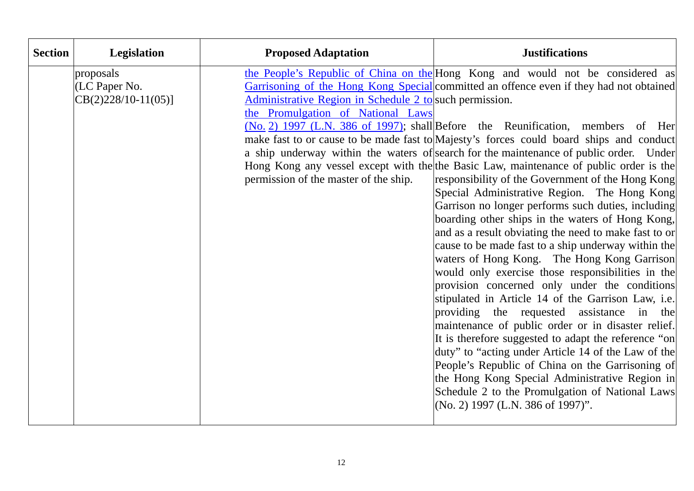| <b>Section</b> | Legislation                                         | <b>Proposed Adaptation</b>                                                                                                            | <b>Justifications</b>                                                                                                                                                                                                                                                                                                                                                                                                                                                                                                                                                                                                                                                                                                                                                                                                                                                                                                                                                                                                                                                                                                                                                                                                                                                                                                                                                                                                                                                                                   |
|----------------|-----------------------------------------------------|---------------------------------------------------------------------------------------------------------------------------------------|---------------------------------------------------------------------------------------------------------------------------------------------------------------------------------------------------------------------------------------------------------------------------------------------------------------------------------------------------------------------------------------------------------------------------------------------------------------------------------------------------------------------------------------------------------------------------------------------------------------------------------------------------------------------------------------------------------------------------------------------------------------------------------------------------------------------------------------------------------------------------------------------------------------------------------------------------------------------------------------------------------------------------------------------------------------------------------------------------------------------------------------------------------------------------------------------------------------------------------------------------------------------------------------------------------------------------------------------------------------------------------------------------------------------------------------------------------------------------------------------------------|
|                | proposals<br>(LC Paper No.<br>$CB(2)228/10-11(05)]$ | Administrative Region in Schedule 2 to such permission.<br>the Promulgation of National Laws<br>permission of the master of the ship. | the People's Republic of China on the Hong Kong and would not be considered as<br>Garrisoning of the Hong Kong Special committed an offence even if they had not obtained<br>(No. 2) 1997 (L.N. 386 of 1997); shall Before the Reunification, members of Her<br>make fast to or cause to be made fast to Majesty's forces could board ships and conduct<br>a ship underway within the waters of search for the maintenance of public order. Under<br>Hong Kong any vessel except with the the Basic Law, maintenance of public order is the<br>responsibility of the Government of the Hong Kong<br>Special Administrative Region. The Hong Kong<br>Garrison no longer performs such duties, including<br>boarding other ships in the waters of Hong Kong,<br>and as a result obviating the need to make fast to or<br>cause to be made fast to a ship underway within the<br>waters of Hong Kong. The Hong Kong Garrison<br>would only exercise those responsibilities in the<br>provision concerned only under the conditions<br>stipulated in Article 14 of the Garrison Law, i.e.<br>providing the requested assistance in the<br>maintenance of public order or in disaster relief.<br>It is therefore suggested to adapt the reference "on<br>duty" to "acting under Article 14 of the Law of the<br>People's Republic of China on the Garrisoning of<br>the Hong Kong Special Administrative Region in<br>Schedule 2 to the Promulgation of National Laws<br>$(No. 2)$ 1997 (L.N. 386 of 1997)". |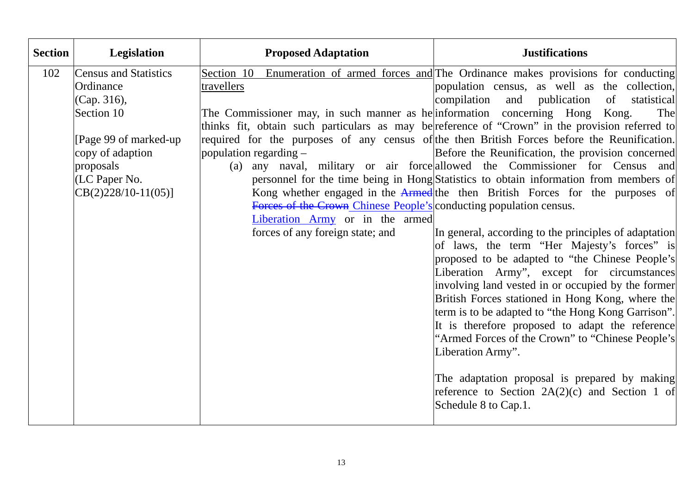| <b>Section</b> | Legislation                  | <b>Proposed Adaptation</b>                                                   | <b>Justifications</b>                                                                           |
|----------------|------------------------------|------------------------------------------------------------------------------|-------------------------------------------------------------------------------------------------|
| 102            | <b>Census and Statistics</b> |                                                                              | Section 10 Enumeration of armed forces and The Ordinance makes provisions for conducting        |
|                | Ordinance                    | travellers                                                                   | population census, as well as the collection,                                                   |
|                | (Cap. 316),                  |                                                                              | compilation and publication<br>of<br>statistical                                                |
|                | Section 10                   | The Commissioner may, in such manner as he information concerning Hong Kong. | The                                                                                             |
|                |                              |                                                                              | thinks fit, obtain such particulars as may be reference of "Crown" in the provision referred to |
|                | [Page 99 of marked-up]       |                                                                              | required for the purposes of any census of the then British Forces before the Reunification.    |
|                | copy of adaption             | population regarding $-$                                                     | Before the Reunification, the provision concerned                                               |
|                | proposals                    |                                                                              | (a) any naval, military or air force allowed the Commissioner for Census and                    |
|                | (LC Paper No.                |                                                                              | personnel for the time being in Hong Statistics to obtain information from members of           |
|                | $CB(2)228/10-11(05)]$        |                                                                              | Kong whether engaged in the Armed the then British Forces for the purposes of                   |
|                |                              | Forces of the Crown Chinese People's conducting population census.           |                                                                                                 |
|                |                              | Liberation Army or in the armed                                              |                                                                                                 |
|                |                              | forces of any foreign state; and                                             | In general, according to the principles of adaptation                                           |
|                |                              |                                                                              | of laws, the term "Her Majesty's forces" is                                                     |
|                |                              |                                                                              | proposed to be adapted to "the Chinese People's                                                 |
|                |                              |                                                                              | Liberation Army", except for circumstances                                                      |
|                |                              |                                                                              | involving land vested in or occupied by the former                                              |
|                |                              |                                                                              | British Forces stationed in Hong Kong, where the                                                |
|                |                              |                                                                              | term is to be adapted to "the Hong Kong Garrison".                                              |
|                |                              |                                                                              | It is therefore proposed to adapt the reference                                                 |
|                |                              |                                                                              | "Armed Forces of the Crown" to "Chinese People's                                                |
|                |                              |                                                                              | Liberation Army".                                                                               |
|                |                              |                                                                              |                                                                                                 |
|                |                              |                                                                              | The adaptation proposal is prepared by making                                                   |
|                |                              |                                                                              | reference to Section $2A(2)(c)$ and Section 1 of                                                |
|                |                              |                                                                              | Schedule 8 to Cap.1.                                                                            |
|                |                              |                                                                              |                                                                                                 |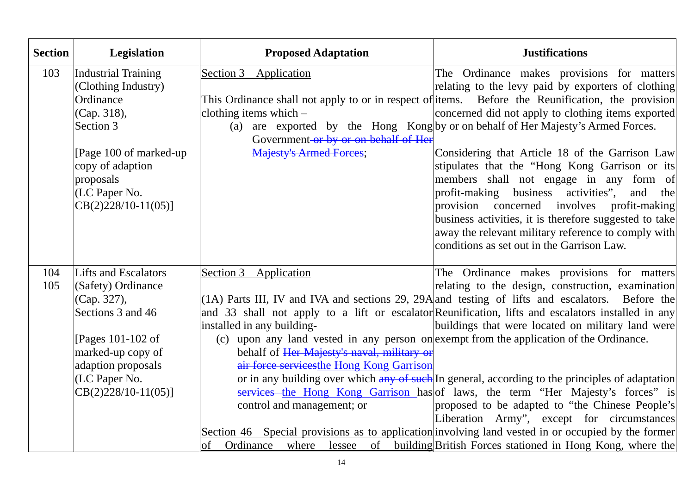| <b>Section</b> | Legislation                                                                                                                                                                              | <b>Proposed Adaptation</b>                                                                                                                                                                                                                                                                             | <b>Justifications</b>                                                                                                                                                                                                                                                                                                                                                                                                                                                                                                                                                                                                                                                                                                                                                                                                               |
|----------------|------------------------------------------------------------------------------------------------------------------------------------------------------------------------------------------|--------------------------------------------------------------------------------------------------------------------------------------------------------------------------------------------------------------------------------------------------------------------------------------------------------|-------------------------------------------------------------------------------------------------------------------------------------------------------------------------------------------------------------------------------------------------------------------------------------------------------------------------------------------------------------------------------------------------------------------------------------------------------------------------------------------------------------------------------------------------------------------------------------------------------------------------------------------------------------------------------------------------------------------------------------------------------------------------------------------------------------------------------------|
| 103            | Industrial Training<br>(Clothing Industry)<br>Ordinance<br>(Cap. 318),<br>Section 3<br>[Page 100 of marked-up]<br>copy of adaption<br>proposals<br>(LC Paper No.<br>$CB(2)228/10-11(05)$ | Section 3<br>Application<br>clothing items which $-$<br>Government or by or on behalf of Her<br><b>Majesty's Armed Forces;</b>                                                                                                                                                                         | The Ordinance makes provisions for matters<br>relating to the levy paid by exporters of clothing<br>This Ordinance shall not apply to or in respect of items. Before the Reunification, the provision<br>concerned did not apply to clothing items exported<br>(a) are exported by the Hong Kong by or on behalf of Her Majesty's Armed Forces.<br>Considering that Article 18 of the Garrison Law<br>stipulates that the "Hong Kong Garrison or its<br>members shall not engage in any form of<br>profit-making business activities", and the<br>involves<br>provision concerned<br>profit-making<br>business activities, it is therefore suggested to take<br>away the relevant military reference to comply with<br>conditions as set out in the Garrison Law.                                                                   |
| 104<br>105     | Lifts and Escalators<br>(Safety) Ordinance<br>(Cap. 327),<br>Sections 3 and 46<br>[Pages 101-102 of]<br>marked-up copy of<br>adaption proposals<br>(LC Paper No.<br>$CB(2)228/10-11(05)$ | Section 3<br>Application<br>installed in any building-<br>(c) upon any land vested in any person on exempt from the application of the Ordinance.<br>behalf of Her Majesty's naval, military or<br>air force services the Hong Kong Garrison<br>control and management; or<br>Ordinance<br>where<br>of | The Ordinance makes provisions for matters<br>relating to the design, construction, examination<br>$(1A)$ Parts III, IV and IVA and sections 29, 29A and testing of lifts and escalators. Before the<br>and 33 shall not apply to a lift or escalator Reunification, lifts and escalators installed in any<br>buildings that were located on military land were<br>or in any building over which any of such In general, according to the principles of adaptation<br>services the Hong Kong Garrison has of laws, the term "Her Majesty's forces" is<br>proposed to be adapted to "the Chinese People's<br>Liberation Army", except for circumstances<br>Section 46 Special provisions as to application involving land vested in or occupied by the former<br>lessee of building British Forces stationed in Hong Kong, where the |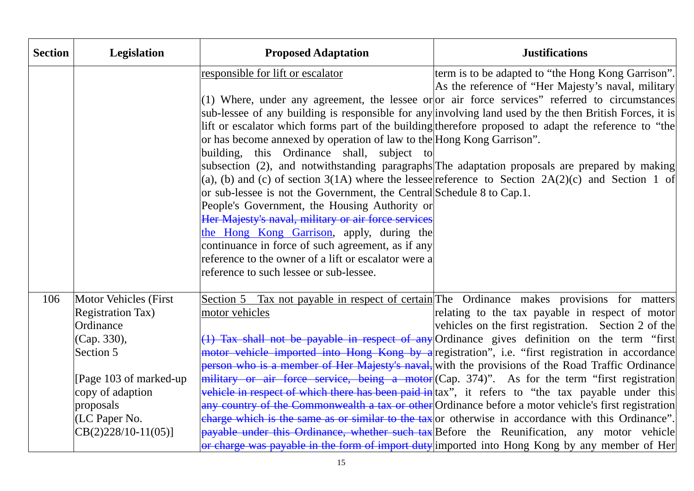| <b>Section</b> | <b>Legislation</b>                          | <b>Proposed Adaptation</b>                                            | <b>Justifications</b>                                                                                                                                                                                      |
|----------------|---------------------------------------------|-----------------------------------------------------------------------|------------------------------------------------------------------------------------------------------------------------------------------------------------------------------------------------------------|
|                |                                             | responsible for lift or escalator                                     | term is to be adapted to "the Hong Kong Garrison".<br>As the reference of "Her Majesty's naval, military                                                                                                   |
|                |                                             |                                                                       | $(1)$ Where, under any agreement, the lessee or or air force services" referred to circumstances                                                                                                           |
|                |                                             |                                                                       | sub-lessee of any building is responsible for any involving land used by the then British Forces, it is                                                                                                    |
|                |                                             |                                                                       | lift or escalator which forms part of the building therefore proposed to adapt the reference to "the                                                                                                       |
|                |                                             | or has become annexed by operation of law to the Hong Kong Garrison". |                                                                                                                                                                                                            |
|                |                                             | building, this Ordinance shall, subject to                            |                                                                                                                                                                                                            |
|                |                                             |                                                                       | subsection (2), and notwithstanding paragraphs The adaptation proposals are prepared by making                                                                                                             |
|                |                                             | or sub-lessee is not the Government, the Central Schedule 8 to Cap.1. | (a), (b) and (c) of section 3(1A) where the lesse e reference to Section 2A(2)(c) and Section 1 of                                                                                                         |
|                |                                             | People's Government, the Housing Authority or                         |                                                                                                                                                                                                            |
|                |                                             | Her Majesty's naval, military or air force services                   |                                                                                                                                                                                                            |
|                |                                             | the Hong Kong Garrison, apply, during the                             |                                                                                                                                                                                                            |
|                |                                             | continuance in force of such agreement, as if any                     |                                                                                                                                                                                                            |
|                |                                             | reference to the owner of a lift or escalator were a                  |                                                                                                                                                                                                            |
|                |                                             | reference to such lessee or sub-lessee.                               |                                                                                                                                                                                                            |
| 106            | <b>Motor Vehicles (First</b>                |                                                                       | Section 5 Tax not payable in respect of certain The Ordinance makes provisions for matters                                                                                                                 |
|                | <b>Registration Tax</b> )                   | motor vehicles                                                        | relating to the tax payable in respect of motor                                                                                                                                                            |
|                | Ordinance                                   |                                                                       | vehicles on the first registration. Section 2 of the                                                                                                                                                       |
|                | (Cap. 330),                                 |                                                                       | (1) Tax shall not be payable in respect of any Ordinance gives definition on the term "first                                                                                                               |
|                | Section 5                                   |                                                                       | motor vehicle imported into Hong Kong by a registration", i.e. "first registration in accordance                                                                                                           |
|                |                                             |                                                                       | person who is a member of Her Majesty's naval, with the provisions of the Road Traffic Ordinance                                                                                                           |
|                | [Page 103 of marked-up]<br>copy of adaption |                                                                       | military or air force service, being a motor (Cap. 374)". As for the term "first registration<br>vehicle in respect of which there has been paid in $\vert$ tax", it refers to "the tax payable under this |
|                | proposals                                   |                                                                       | any country of the Commonwealth a tax or other Ordinance before a motor vehicle's first registration                                                                                                       |
|                | (LC Paper No.                               |                                                                       | charge which is the same as or similar to the tax or otherwise in accordance with this Ordinance".                                                                                                         |
|                | $CB(2)228/10-11(05)$                        |                                                                       | payable under this Ordinance, whether such tax Before the Reunification, any motor vehicle                                                                                                                 |
|                |                                             |                                                                       | or charge was payable in the form of import duty imported into Hong Kong by any member of Her                                                                                                              |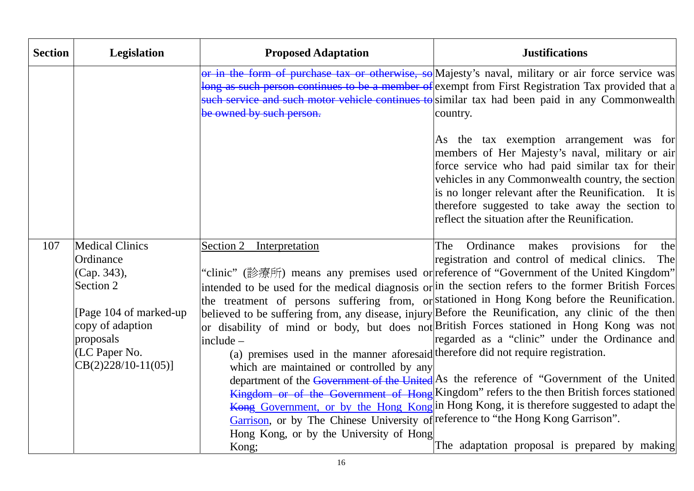| <b>Section</b> | <b>Legislation</b>         | <b>Proposed Adaptation</b>                                                        | <b>Justifications</b>                                                                                                                                                                                                                                                                                                                                             |
|----------------|----------------------------|-----------------------------------------------------------------------------------|-------------------------------------------------------------------------------------------------------------------------------------------------------------------------------------------------------------------------------------------------------------------------------------------------------------------------------------------------------------------|
|                |                            | be owned by such person.                                                          | or in the form of purchase tax or otherwise, so Majesty's naval, military or air force service was<br>long as such person continues to be a member of exempt from First Registration Tax provided that a<br>such service and such motor vehicle continues to similar tax had been paid in any Commonwealth<br>country.                                            |
|                |                            |                                                                                   | As the tax exemption arrangement was for<br>members of Her Majesty's naval, military or air<br>force service who had paid similar tax for their<br>vehicles in any Commonwealth country, the section<br>is no longer relevant after the Reunification. It is<br>therefore suggested to take away the section to<br>reflect the situation after the Reunification. |
| 107            | <b>Medical Clinics</b>     | Section 2 Interpretation                                                          | Ordinance makes provisions for<br>the<br>The                                                                                                                                                                                                                                                                                                                      |
|                | Ordinance                  |                                                                                   | registration and control of medical clinics. The                                                                                                                                                                                                                                                                                                                  |
|                | (Cap. 343),<br>Section 2   |                                                                                   | "clinic" (診療所) means any premises used or reference of "Government of the United Kingdom"<br>intended to be used for the medical diagnosis or in the section refers to the former British Forces                                                                                                                                                                  |
|                |                            |                                                                                   | the treatment of persons suffering from, or stationed in Hong Kong before the Reunification.                                                                                                                                                                                                                                                                      |
|                | [ $Page 104$ of marked-up] |                                                                                   | believed to be suffering from, any disease, injury Before the Reunification, any clinic of the then                                                                                                                                                                                                                                                               |
|                | copy of adaption           |                                                                                   | or disability of mind or body, but does not British Forces stationed in Hong Kong was not                                                                                                                                                                                                                                                                         |
|                | proposals                  | $include -$                                                                       | regarded as a "clinic" under the Ordinance and                                                                                                                                                                                                                                                                                                                    |
|                | $ $ (LC Paper No.          | (a) premises used in the manner aforesaid therefore did not require registration. |                                                                                                                                                                                                                                                                                                                                                                   |
|                | $CB(2)228/10-11(05)]$      | which are maintained or controlled by any                                         | department of the Government of the United As the reference of "Government of the United                                                                                                                                                                                                                                                                          |
|                |                            |                                                                                   | Kingdom or of the Government of Hong Kingdom" refers to the then British forces stationed                                                                                                                                                                                                                                                                         |
|                |                            |                                                                                   | Kong Government, or by the Hong Kong in Hong Kong, it is therefore suggested to adapt the                                                                                                                                                                                                                                                                         |
|                |                            | Garrison, or by The Chinese University of reference to "the Hong Kong Garrison".  |                                                                                                                                                                                                                                                                                                                                                                   |
|                |                            | Hong Kong, or by the University of Hong                                           |                                                                                                                                                                                                                                                                                                                                                                   |
|                |                            | Kong;                                                                             | The adaptation proposal is prepared by making                                                                                                                                                                                                                                                                                                                     |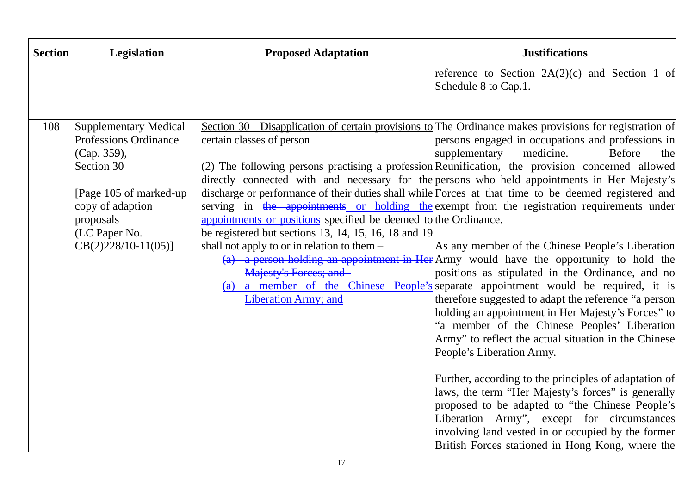| <b>Section</b> | <b>Legislation</b>                                                                                                                                                                      | <b>Proposed Adaptation</b>                                                                                                                                                                                                                                        | <b>Justifications</b>                                                                                                                                                                                                                                                                                                                                                                                                                                                                                                                                                                                                                                                                                                                                                                                                                                                                                                                                                                                                                                                                                                                                                                                                                                                                                                                                                                                                                                                                                 |
|----------------|-----------------------------------------------------------------------------------------------------------------------------------------------------------------------------------------|-------------------------------------------------------------------------------------------------------------------------------------------------------------------------------------------------------------------------------------------------------------------|-------------------------------------------------------------------------------------------------------------------------------------------------------------------------------------------------------------------------------------------------------------------------------------------------------------------------------------------------------------------------------------------------------------------------------------------------------------------------------------------------------------------------------------------------------------------------------------------------------------------------------------------------------------------------------------------------------------------------------------------------------------------------------------------------------------------------------------------------------------------------------------------------------------------------------------------------------------------------------------------------------------------------------------------------------------------------------------------------------------------------------------------------------------------------------------------------------------------------------------------------------------------------------------------------------------------------------------------------------------------------------------------------------------------------------------------------------------------------------------------------------|
|                |                                                                                                                                                                                         |                                                                                                                                                                                                                                                                   | reference to Section $2A(2)(c)$ and Section 1 of<br>Schedule 8 to Cap.1.                                                                                                                                                                                                                                                                                                                                                                                                                                                                                                                                                                                                                                                                                                                                                                                                                                                                                                                                                                                                                                                                                                                                                                                                                                                                                                                                                                                                                              |
| 108            | Supplementary Medical<br><b>Professions Ordinance</b><br>(Cap. 359),<br>Section 30<br>[Page 105 of marked-up]<br>copy of adaption<br>proposals<br>(LC Paper No.<br>$CB(2)228/10-11(05)$ | certain classes of person<br>appointments or positions specified be deemed to the Ordinance.<br>be registered but sections $13, 14, 15, 16, 18$ and $19$<br>shall not apply to or in relation to them $-$<br>Majesty's Forces; and<br><b>Liberation Army; and</b> | Section 30 Disapplication of certain provisions to The Ordinance makes provisions for registration of<br>persons engaged in occupations and professions in<br>medicine.<br>supplementary<br><b>Before</b><br>the<br>$(2)$ The following persons practising a profession Reunification, the provision concerned allowed<br>directly connected with and necessary for the persons who held appointments in Her Majesty's<br>discharge or performance of their duties shall while Forces at that time to be deemed registered and<br>serving in the appointments or holding the exempt from the registration requirements under<br>As any member of the Chinese People's Liberation<br>(a) a person holding an appointment in Her $ A$ rmy would have the opportunity to hold the<br>positions as stipulated in the Ordinance, and no<br>(a) a member of the Chinese People's separate appointment would be required, it is<br>therefore suggested to adapt the reference "a person<br>holding an appointment in Her Majesty's Forces" to<br>"a member of the Chinese Peoples' Liberation<br>Army" to reflect the actual situation in the Chinese<br>People's Liberation Army.<br>Further, according to the principles of adaptation of<br>laws, the term "Her Majesty's forces" is generally<br>proposed to be adapted to "the Chinese People's<br>Liberation Army", except for circumstances<br>involving land vested in or occupied by the former<br>British Forces stationed in Hong Kong, where the |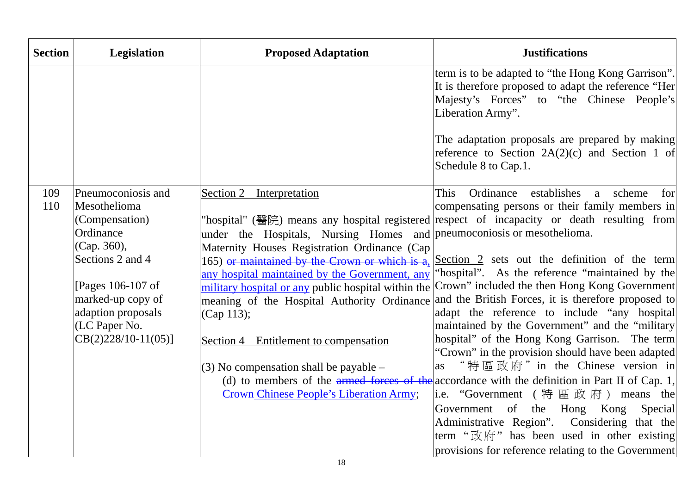| <b>Section</b> | Legislation                                                                                                                                                                                                    | <b>Proposed Adaptation</b>                                                                                                                                                                                                                                                                                                                                                                                                                                      | <b>Justifications</b>                                                                                                                                                                                                                                                                                                                                                                                                                                                                                                                                                                                                                                                                                                                                                                                                                                                                                                                                                                                                                                                                  |
|----------------|----------------------------------------------------------------------------------------------------------------------------------------------------------------------------------------------------------------|-----------------------------------------------------------------------------------------------------------------------------------------------------------------------------------------------------------------------------------------------------------------------------------------------------------------------------------------------------------------------------------------------------------------------------------------------------------------|----------------------------------------------------------------------------------------------------------------------------------------------------------------------------------------------------------------------------------------------------------------------------------------------------------------------------------------------------------------------------------------------------------------------------------------------------------------------------------------------------------------------------------------------------------------------------------------------------------------------------------------------------------------------------------------------------------------------------------------------------------------------------------------------------------------------------------------------------------------------------------------------------------------------------------------------------------------------------------------------------------------------------------------------------------------------------------------|
|                |                                                                                                                                                                                                                |                                                                                                                                                                                                                                                                                                                                                                                                                                                                 | term is to be adapted to "the Hong Kong Garrison".<br>It is therefore proposed to adapt the reference "Her<br>Majesty's Forces" to "the Chinese People's<br>Liberation Army".<br>The adaptation proposals are prepared by making<br>reference to Section $2A(2)(c)$ and Section 1 of<br>Schedule 8 to Cap.1.                                                                                                                                                                                                                                                                                                                                                                                                                                                                                                                                                                                                                                                                                                                                                                           |
| 109<br>110     | Pneumoconiosis and<br>Mesothelioma<br>(Compensation)<br>Ordinance<br>(Cap. 360),<br>Sections 2 and 4<br>[Pages 106-107 of<br>marked-up copy of<br>adaption proposals<br>(LC Paper No.<br>$CB(2)228/10-11(05)]$ | Section 2 Interpretation<br>under the Hospitals, Nursing Homes and pneumoconiosis or mesothelioma.<br>Maternity Houses Registration Ordinance (Cap<br>any hospital maintained by the Government, any<br>military hospital or any public hospital within the<br>meaning of the Hospital Authority Ordinance<br>(Cap 113);<br>Section 4 Entitlement to compensation<br>$(3)$ No compensation shall be payable –<br><b>Crown Chinese People's Liberation Army;</b> | This<br>Ordinance<br>establishes<br>a scheme<br>for<br>compensating persons or their family members in<br>"hospital" (醫院) means any hospital registered respect of incapacity or death resulting from<br>165) or maintained by the Crown or which is $a_2$ Section 2 sets out the definition of the term<br>'hospital''. As the reference "maintained by the<br>Crown" included the then Hong Kong Government<br>and the British Forces, it is therefore proposed to<br>adapt the reference to include "any hospital<br>maintained by the Government" and the "military<br>hospital" of the Hong Kong Garrison. The term<br>"Crown" in the provision should have been adapted<br>"特區政府" in the Chinese version in<br>as<br>(d) to members of the armed forces of the accordance with the definition in Part II of Cap. 1,<br> i.e. "Government (特區政府) means the<br>Government of the Hong Kong<br>Special<br>Administrative Region". Considering that the<br>term " $\mathbb{R}$ $\mathbb{R}$ " has been used in other existing<br>provisions for reference relating to the Government |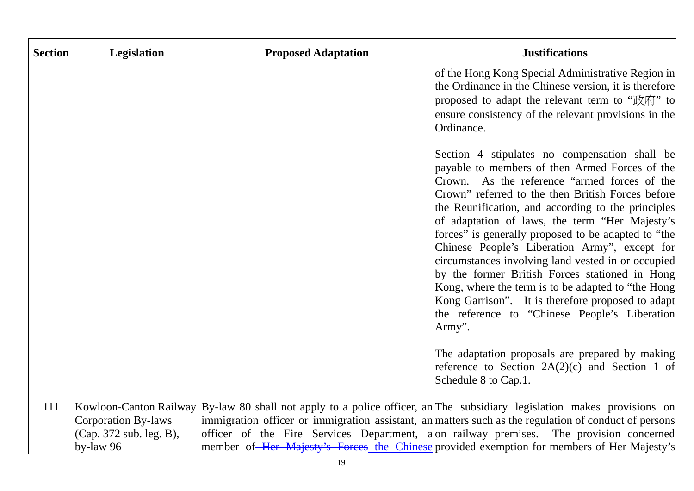| <b>Section</b> | <b>Legislation</b>                                                                    | <b>Proposed Adaptation</b>                                      | <b>Justifications</b>                                                                                                                                                                                                                                                                                                                                                                                                                                                                                                                            |
|----------------|---------------------------------------------------------------------------------------|-----------------------------------------------------------------|--------------------------------------------------------------------------------------------------------------------------------------------------------------------------------------------------------------------------------------------------------------------------------------------------------------------------------------------------------------------------------------------------------------------------------------------------------------------------------------------------------------------------------------------------|
|                |                                                                                       |                                                                 | of the Hong Kong Special Administrative Region in<br>the Ordinance in the Chinese version, it is therefore<br>proposed to adapt the relevant term to "政府" to<br>ensure consistency of the relevant provisions in the<br>Ordinance.<br>Section 4 stipulates no compensation shall be<br>payable to members of then Armed Forces of the<br>Crown. As the reference "armed forces of the                                                                                                                                                            |
|                |                                                                                       |                                                                 | Crown" referred to the then British Forces before<br>the Reunification, and according to the principles<br>of adaptation of laws, the term "Her Majesty's<br>forces" is generally proposed to be adapted to "the<br>Chinese People's Liberation Army", except for<br>circumstances involving land vested in or occupied<br>by the former British Forces stationed in Hong<br>Kong, where the term is to be adapted to "the Hong"<br>Kong Garrison". It is therefore proposed to adapt<br>the reference to "Chinese People's Liberation<br>Army". |
|                |                                                                                       |                                                                 | The adaptation proposals are prepared by making<br>reference to Section $2A(2)(c)$ and Section 1 of<br>Schedule 8 to Cap.1.                                                                                                                                                                                                                                                                                                                                                                                                                      |
| 111            | Kowloon-Canton Railway<br>Corporation By-laws<br>(Cap. 372 sub. leg. B),<br>by-law 96 | officer of the Fire Services Department, a on railway premises. | By-law 80 shall not apply to a police officer, an The subsidiary legislation makes provisions on<br>immigration officer or immigration assistant, an matters such as the regulation of conduct of persons<br>The provision concerned<br>member of Her Majesty's Forces the Chinese provided exemption for members of Her Majesty's                                                                                                                                                                                                               |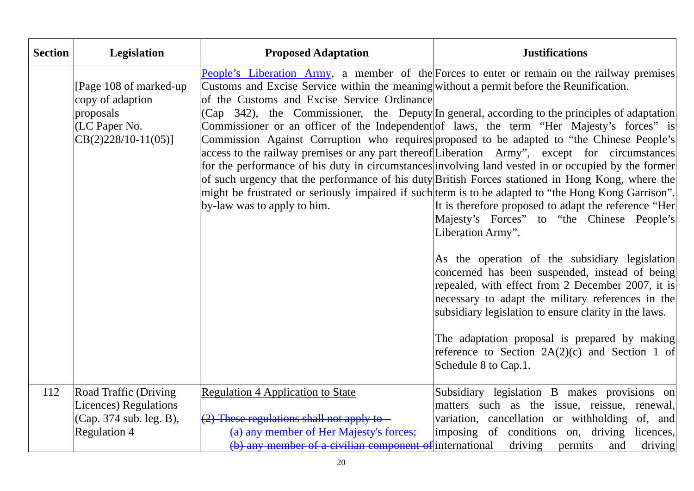| <b>Section</b> | Legislation                                                                                       | <b>Proposed Adaptation</b>                                                                                                                                             | <b>Justifications</b>                                                                                                                                                                                                                                                                                                                                                                                                                                                                                                                                                                                                                                                                                                                                                                                                                                                                                                                                                                                                                                                                                                                                                                                                                                                                                                                                       |
|----------------|---------------------------------------------------------------------------------------------------|------------------------------------------------------------------------------------------------------------------------------------------------------------------------|-------------------------------------------------------------------------------------------------------------------------------------------------------------------------------------------------------------------------------------------------------------------------------------------------------------------------------------------------------------------------------------------------------------------------------------------------------------------------------------------------------------------------------------------------------------------------------------------------------------------------------------------------------------------------------------------------------------------------------------------------------------------------------------------------------------------------------------------------------------------------------------------------------------------------------------------------------------------------------------------------------------------------------------------------------------------------------------------------------------------------------------------------------------------------------------------------------------------------------------------------------------------------------------------------------------------------------------------------------------|
|                | [Page 108 of marked-up]<br>copy of adaption<br>proposals<br>(LC Paper No.<br>$CB(2)228/10-11(05)$ | Customs and Excise Service within the meaning without a permit before the Reunification.<br>of the Customs and Excise Service Ordinance<br>by-law was to apply to him. | <b>People's Liberation Army, a member of the Forces to enter or remain on the railway premises</b><br>$(Cap \quad 342)$ , the Commissioner, the Deputy In general, according to the principles of adaptation<br>Commissioner or an officer of the Independent of laws, the term "Her Majesty's forces" is<br>Commission Against Corruption who requires proposed to be adapted to "the Chinese People's<br>access to the railway premises or any part thereof Liberation Army", except for circumstances<br>for the performance of his duty in circumstances involving land vested in or occupied by the former<br>of such urgency that the performance of his duty British Forces stationed in Hong Kong, where the<br>might be frustrated or seriously impaired if such term is to be adapted to "the Hong Kong Garrison".<br>It is therefore proposed to adapt the reference "Her<br>Majesty's Forces" to "the Chinese People's<br>Liberation Army".<br>As the operation of the subsidiary legislation<br>concerned has been suspended, instead of being<br>repealed, with effect from 2 December 2007, it is<br>necessary to adapt the military references in the<br>subsidiary legislation to ensure clarity in the laws.<br>The adaptation proposal is prepared by making<br>reference to Section $2A(2)(c)$ and Section 1 of<br>Schedule 8 to Cap.1. |
| 112            | Road Traffic (Driving<br>Licences) Regulations<br>(Cap. 374 sub. leg. B),<br><b>Regulation 4</b>  | <b>Regulation 4 Application to State</b><br>$(2)$ These regulations shall not apply to $-$<br>(a) any member of Her Majesty's forces;                                  | Subsidiary legislation B makes provisions on<br>matters such as the issue, reissue, renewal,<br>variation, cancellation or withholding of, and<br>imposing of conditions on, driving<br>licences,                                                                                                                                                                                                                                                                                                                                                                                                                                                                                                                                                                                                                                                                                                                                                                                                                                                                                                                                                                                                                                                                                                                                                           |
|                |                                                                                                   | (b) any member of a civilian component of international                                                                                                                | driving<br>permits<br>and<br>driving                                                                                                                                                                                                                                                                                                                                                                                                                                                                                                                                                                                                                                                                                                                                                                                                                                                                                                                                                                                                                                                                                                                                                                                                                                                                                                                        |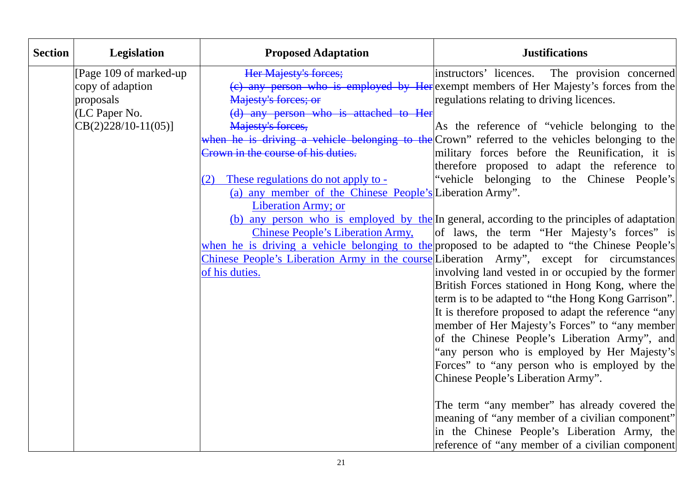| <b>Section</b> | <b>Legislation</b>      | <b>Proposed Adaptation</b>                               | <b>Justifications</b>                                                                          |
|----------------|-------------------------|----------------------------------------------------------|------------------------------------------------------------------------------------------------|
|                | [Page 109 of marked-up] | Her Majesty's forces;                                    | instructors' licences. The provision concerned                                                 |
|                | copy of adaption        |                                                          | (c) any person who is employed by Here exempt members of Her Majesty's forces from the         |
|                | proposals               | Majesty's forces; or                                     | regulations relating to driving licences.                                                      |
|                | (LC Paper No.           | (d) any person who is attached to Her                    |                                                                                                |
|                | $CB(2)228/10-11(05)$    | Majesty's forces,                                        | As the reference of "vehicle belonging to the                                                  |
|                |                         |                                                          | when he is driving a vehicle belonging to the Crown" referred to the vehicles belonging to the |
|                |                         | Crown in the course of his duties.                       | military forces before the Reunification, it is                                                |
|                |                         |                                                          | therefore proposed to adapt the reference to                                                   |
|                |                         | These regulations do not apply to -<br>(2)               | "vehicle belonging to the Chinese People's                                                     |
|                |                         | (a) any member of the Chinese People's Liberation Army". |                                                                                                |
|                |                         | Liberation Army; or                                      |                                                                                                |
|                |                         |                                                          | (b) any person who is employed by the In general, according to the principles of adaptation    |
|                |                         | <b>Chinese People's Liberation Army,</b>                 | of laws, the term "Her Majesty's forces" is                                                    |
|                |                         |                                                          | when he is driving a vehicle belonging to the proposed to be adapted to "the Chinese People's  |
|                |                         |                                                          | Chinese People's Liberation Army in the course Liberation Army", except for circumstances      |
|                |                         | of his duties.                                           | involving land vested in or occupied by the former                                             |
|                |                         |                                                          | British Forces stationed in Hong Kong, where the                                               |
|                |                         |                                                          | term is to be adapted to "the Hong Kong Garrison".                                             |
|                |                         |                                                          | It is therefore proposed to adapt the reference "any                                           |
|                |                         |                                                          | member of Her Majesty's Forces" to "any member                                                 |
|                |                         |                                                          | of the Chinese People's Liberation Army", and                                                  |
|                |                         |                                                          | any person who is employed by Her Majesty's                                                    |
|                |                         |                                                          | Forces" to "any person who is employed by the                                                  |
|                |                         |                                                          | Chinese People's Liberation Army".                                                             |
|                |                         |                                                          |                                                                                                |
|                |                         |                                                          | The term "any member" has already covered the                                                  |
|                |                         |                                                          | meaning of "any member of a civilian component"                                                |
|                |                         |                                                          | in the Chinese People's Liberation Army, the                                                   |
|                |                         |                                                          | reference of "any member of a civilian component                                               |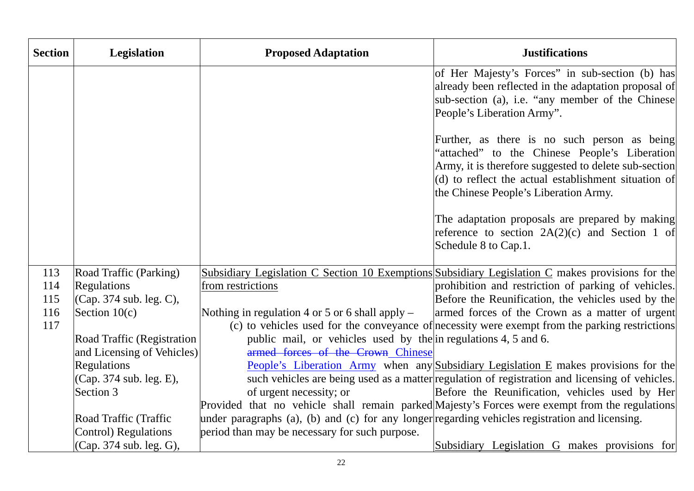| <b>Section</b> | <b>Legislation</b>         | <b>Proposed Adaptation</b>                                                                      | <b>Justifications</b>                                                                                                                                                                                                                                   |
|----------------|----------------------------|-------------------------------------------------------------------------------------------------|---------------------------------------------------------------------------------------------------------------------------------------------------------------------------------------------------------------------------------------------------------|
|                |                            |                                                                                                 | of Her Majesty's Forces" in sub-section (b) has<br>already been reflected in the adaptation proposal of<br>sub-section (a), i.e. "any member of the Chinese<br>People's Liberation Army".                                                               |
|                |                            |                                                                                                 | Further, as there is no such person as being<br>'attached" to the Chinese People's Liberation<br>Army, it is therefore suggested to delete sub-section<br>(d) to reflect the actual establishment situation of<br>the Chinese People's Liberation Army. |
|                |                            |                                                                                                 | The adaptation proposals are prepared by making<br>reference to section $2A(2)(c)$ and Section 1 of<br>Schedule 8 to Cap.1.                                                                                                                             |
| 113            | Road Traffic (Parking)     |                                                                                                 | Subsidiary Legislation C Section 10 Exemptions Subsidiary Legislation C makes provisions for the                                                                                                                                                        |
| 114            | <b>Regulations</b>         | from restrictions                                                                               | prohibition and restriction of parking of vehicles.                                                                                                                                                                                                     |
| 115            | (Cap. 374 sub. leg. C),    |                                                                                                 | Before the Reunification, the vehicles used by the                                                                                                                                                                                                      |
| 116            | Section $10(c)$            | Nothing in regulation 4 or 5 or 6 shall apply $-$                                               | armed forces of the Crown as a matter of urgent                                                                                                                                                                                                         |
| 117            |                            |                                                                                                 | (c) to vehicles used for the conveyance of necessity were exempt from the parking restrictions                                                                                                                                                          |
|                | Road Traffic (Registration | public mail, or vehicles used by the in regulations 4, 5 and 6.                                 |                                                                                                                                                                                                                                                         |
|                | and Licensing of Vehicles) | armed forces of the Crown Chinese                                                               |                                                                                                                                                                                                                                                         |
|                | <b>Regulations</b>         |                                                                                                 | People's Liberation Army when any Subsidiary Legislation E makes provisions for the                                                                                                                                                                     |
|                | (Cap. 374 sub. leg. E),    |                                                                                                 | such vehicles are being used as a matter regulation of registration and licensing of vehicles.                                                                                                                                                          |
|                | Section 3                  | of urgent necessity; or                                                                         | Before the Reunification, vehicles used by Her                                                                                                                                                                                                          |
|                |                            |                                                                                                 | Provided that no vehicle shall remain parked Majesty's Forces were exempt from the regulations                                                                                                                                                          |
|                | Road Traffic (Traffic      | under paragraphs (a), (b) and (c) for any longer regarding vehicles registration and licensing. |                                                                                                                                                                                                                                                         |
|                | Control) Regulations       | period than may be necessary for such purpose.                                                  |                                                                                                                                                                                                                                                         |
|                | (Cap. 374 sub. leg. G),    |                                                                                                 | Subsidiary Legislation G makes provisions for                                                                                                                                                                                                           |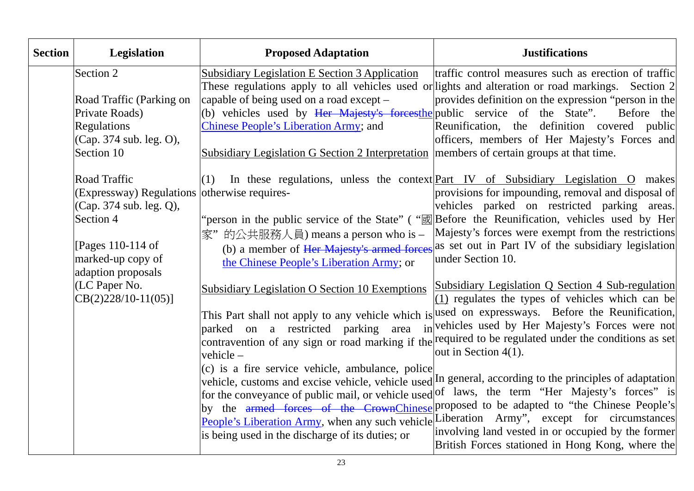| <b>Section</b> | Legislation                                                                                    | <b>Proposed Adaptation</b>                                                                                                 | <b>Justifications</b>                                                                                                                                                                                                                                                                                                                                                                                                                                                                                        |
|----------------|------------------------------------------------------------------------------------------------|----------------------------------------------------------------------------------------------------------------------------|--------------------------------------------------------------------------------------------------------------------------------------------------------------------------------------------------------------------------------------------------------------------------------------------------------------------------------------------------------------------------------------------------------------------------------------------------------------------------------------------------------------|
|                | Section 2                                                                                      | <b>Subsidiary Legislation E Section 3 Application</b>                                                                      | traffic control measures such as erection of traffic<br>These regulations apply to all vehicles used or lights and alteration or road markings. Section 2                                                                                                                                                                                                                                                                                                                                                    |
|                | Road Traffic (Parking on                                                                       | capable of being used on a road except –                                                                                   | provides definition on the expression "person in the                                                                                                                                                                                                                                                                                                                                                                                                                                                         |
|                | Private Roads)<br>Regulations                                                                  | (b) vehicles used by Her Majesty's forcesthe public service of the State".<br><b>Chinese People's Liberation Army; and</b> | Before the<br>Reunification, the definition covered public                                                                                                                                                                                                                                                                                                                                                                                                                                                   |
|                | (Cap. 374 sub. leg. O),<br>Section 10                                                          | Subsidiary Legislation G Section 2 Interpretation members of certain groups at that time.                                  | officers, members of Her Majesty's Forces and                                                                                                                                                                                                                                                                                                                                                                                                                                                                |
|                | <b>Road Traffic</b><br>(Expressway) Regulations otherwise requires-<br>(Cap. 374 sub. leg. Q), | (1)                                                                                                                        | In these regulations, unless the context Part IV of Subsidiary Legislation O makes<br>provisions for impounding, removal and disposal of<br>vehicles parked on restricted parking areas.                                                                                                                                                                                                                                                                                                                     |
|                | Section 4                                                                                      |                                                                                                                            | "person in the public service of the State" ("xal Before the Reunification, vehicles used by Her                                                                                                                                                                                                                                                                                                                                                                                                             |
|                | [Pages 110-114 of<br>marked-up copy of<br>adaption proposals                                   | 家"的公共服務人員) means a person who is -<br>the Chinese People's Liberation Army; or                                             | Majesty's forces were exempt from the restrictions<br>(b) a member of Her Majesty's armed forces as set out in Part IV of the subsidiary legislation<br>under Section 10.                                                                                                                                                                                                                                                                                                                                    |
|                | (LC Paper No.<br>$CB(2)228/10-11(05)$                                                          | Subsidiary Legislation O Section 10 Exemptions                                                                             | Subsidiary Legislation Q Section 4 Sub-regulation<br>(1) regulates the types of vehicles which can be                                                                                                                                                                                                                                                                                                                                                                                                        |
|                |                                                                                                | parked on a restricted<br>parking area<br>vehicle $-$                                                                      | This Part shall not apply to any vehicle which is used on expressways. Before the Reunification,<br>invehicles used by Her Majesty's Forces were not<br>contravention of any sign or road marking if the required to be regulated under the conditions as set<br>out in Section $4(1)$ .                                                                                                                                                                                                                     |
|                |                                                                                                | (c) is a fire service vehicle, ambulance, police<br>is being used in the discharge of its duties; or                       | vehicle, customs and excise vehicle, vehicle used In general, according to the principles of adaptation<br>for the conveyance of public mail, or vehicle used of laws, the term "Her Majesty's forces" is<br>by the armed forces of the CrownChinese proposed to be adapted to "the Chinese People's<br>People's Liberation Army, when any such vehicle Liberation Army", except for circumstances<br>involving land vested in or occupied by the former<br>British Forces stationed in Hong Kong, where the |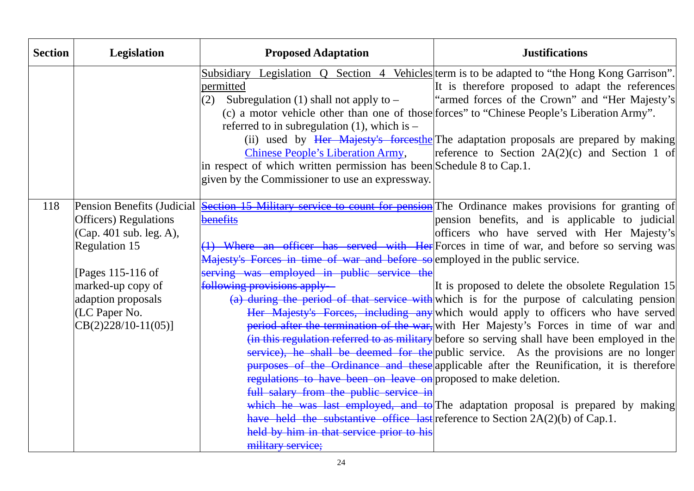| <b>Section</b> | Legislation                                                                                                                                                                                                       | <b>Proposed Adaptation</b>                                                                                                                                                                                                                                                                                                                                                                                                              | <b>Justifications</b>                                                                                                                                                                                                                                                                                                                                                                                                                                                                                                                                                                                                                                                                                                                                                                                                                                                                                                                                                                                            |
|----------------|-------------------------------------------------------------------------------------------------------------------------------------------------------------------------------------------------------------------|-----------------------------------------------------------------------------------------------------------------------------------------------------------------------------------------------------------------------------------------------------------------------------------------------------------------------------------------------------------------------------------------------------------------------------------------|------------------------------------------------------------------------------------------------------------------------------------------------------------------------------------------------------------------------------------------------------------------------------------------------------------------------------------------------------------------------------------------------------------------------------------------------------------------------------------------------------------------------------------------------------------------------------------------------------------------------------------------------------------------------------------------------------------------------------------------------------------------------------------------------------------------------------------------------------------------------------------------------------------------------------------------------------------------------------------------------------------------|
|                |                                                                                                                                                                                                                   | permitted<br>Subregulation (1) shall not apply to $-$<br>(2)<br>referred to in subregulation $(1)$ , which is -<br><b>Chinese People's Liberation Army,</b><br>in respect of which written permission has been Schedule 8 to Cap.1.<br>given by the Commissioner to use an expressway.                                                                                                                                                  | Subsidiary Legislation Q Section 4 Vehicles term is to be adapted to "the Hong Kong Garrison".<br>It is therefore proposed to adapt the references<br>"armed forces of the Crown" and "Her Majesty's<br>(c) a motor vehicle other than one of those forces" to "Chinese People's Liberation Army".<br>(ii) used by Her Majesty's forcesthe The adaptation proposals are prepared by making<br>reference to Section $2A(2)(c)$ and Section 1 of                                                                                                                                                                                                                                                                                                                                                                                                                                                                                                                                                                   |
| 118            | Pension Benefits (Judicial<br><b>Officers</b> ) Regulations<br>(Cap. 401 sub. leg. A),<br>Regulation 15<br>[Pages 115-116 of<br>marked-up copy of<br>adaption proposals<br>(LC Paper No.<br>$CB(2)228/10-11(05)]$ | benefits<br>Majesty's Forces in time of war and before so employed in the public service.<br>serving was employed in public service the<br>following provisions apply-<br>regulations to have been on leave on proposed to make deletion.<br>full salary from the public service in<br>have held the substantive office last reference to Section $2A(2)(b)$ of Cap.1.<br>held by him in that service prior to his<br>military service; | <b>Section 15 Military service to count for pension</b> The Ordinance makes provisions for granting of<br>pension benefits, and is applicable to judicial<br>officers who have served with Her Majesty's<br>(1) Where an officer has served with Her Forces in time of war, and before so serving was<br>It is proposed to delete the obsolete Regulation 15<br>(a) during the period of that service with which is for the purpose of calculating pension<br>Her Majesty's Forces, including any which would apply to officers who have served<br>period after the termination of the war, with Her Majesty's Forces in time of war and<br>(in this regulation referred to as military before so serving shall have been employed in the<br>service), he shall be deemed for the public service. As the provisions are no longer<br>purposes of the Ordinance and these applicable after the Reunification, it is therefore<br>which he was last employed, and to The adaptation proposal is prepared by making |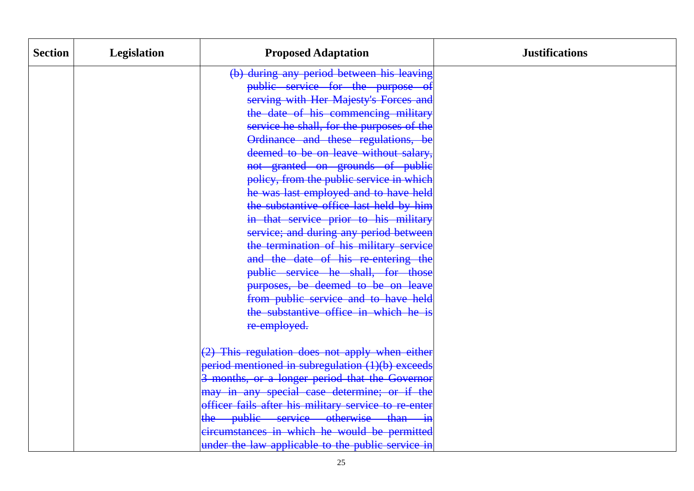| <b>Section</b> | Legislation | <b>Proposed Adaptation</b>                           | <b>Justifications</b> |
|----------------|-------------|------------------------------------------------------|-----------------------|
|                |             | (b) during any period between his leaving            |                       |
|                |             | public service for the purpose                       |                       |
|                |             | serving with Her Majesty's Forces and                |                       |
|                |             | the date of his commencing military                  |                       |
|                |             | service he shall, for the purposes of the            |                       |
|                |             | Ordinance and these regulations, be                  |                       |
|                |             | deemed to be on leave without salary,                |                       |
|                |             | not granted on grounds of public                     |                       |
|                |             | policy, from the public service in which             |                       |
|                |             | he was last employed and to have held                |                       |
|                |             | the substantive office last held by him              |                       |
|                |             | in that service prior to his military                |                       |
|                |             | service; and during any period between               |                       |
|                |             | the termination of his military service              |                       |
|                |             | and the date of his re-entering the                  |                       |
|                |             | public service he shall, for those                   |                       |
|                |             | purposes, be deemed to be on leave                   |                       |
|                |             | from public service and to have held                 |                       |
|                |             | the substantive office in which he is                |                       |
|                |             | re-employed.                                         |                       |
|                |             | (2) This regulation does not apply when either       |                       |
|                |             | period mentioned in subregulation (1)(b) exceeds     |                       |
|                |             | 3 months, or a longer period that the Governor       |                       |
|                |             | may in any special case determine; or if the         |                       |
|                |             | officer fails after his military service to re-enter |                       |
|                |             | the public service otherwise than in                 |                       |
|                |             | circumstances in which he would be permitted         |                       |
|                |             | under the law applicable to the public service in    |                       |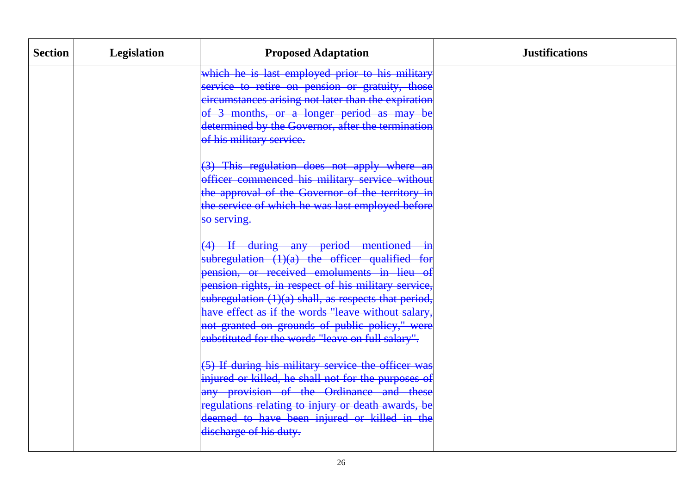| <b>Section</b> | <b>Legislation</b> | <b>Proposed Adaptation</b>                           | <b>Justifications</b> |
|----------------|--------------------|------------------------------------------------------|-----------------------|
|                |                    | which he is last employed prior to his military      |                       |
|                |                    | service to retire on pension or gratuity, those      |                       |
|                |                    | circumstances arising not later than the expiration  |                       |
|                |                    | of 3 months, or a longer period as may be            |                       |
|                |                    | determined by the Governor, after the termination    |                       |
|                |                    | of his military service.                             |                       |
|                |                    | (3) This regulation does not apply where an          |                       |
|                |                    | officer commenced his military service without       |                       |
|                |                    | the approval of the Governor of the territory in     |                       |
|                |                    | the service of which he was last employed before     |                       |
|                |                    | so serving.                                          |                       |
|                |                    | (4) If during any period mentioned in                |                       |
|                |                    | subregulation $(1)(a)$ the officer qualified for     |                       |
|                |                    | pension, or received emoluments in lieu of           |                       |
|                |                    | pension rights, in respect of his military service,  |                       |
|                |                    | subregulation (1)(a) shall, as respects that period, |                       |
|                |                    | have effect as if the words "leave without salary,   |                       |
|                |                    | not granted on grounds of public policy," were       |                       |
|                |                    | substituted for the words "leave on full salary".    |                       |
|                |                    | (5) If during his military service the officer was   |                       |
|                |                    | injured or killed, he shall not for the purposes of  |                       |
|                |                    | any provision of the Ordinance and these             |                       |
|                |                    | regulations relating to injury or death awards, be   |                       |
|                |                    | deemed to have been injured or killed in the         |                       |
|                |                    | discharge of his duty.                               |                       |
|                |                    |                                                      |                       |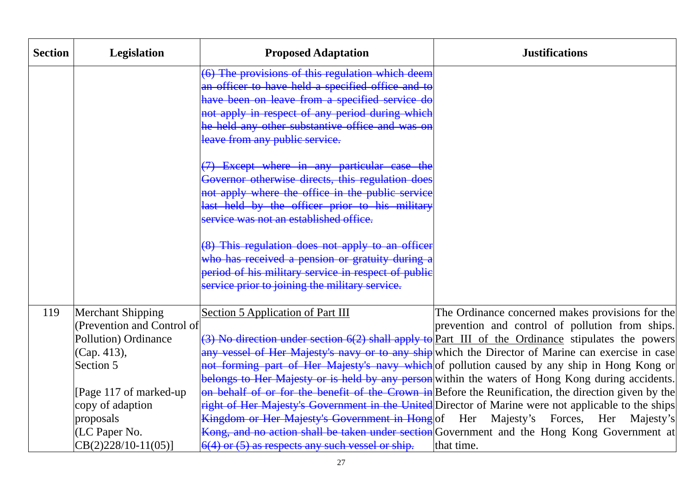| <b>Section</b> | <b>Legislation</b>           | <b>Proposed Adaptation</b>                           | <b>Justifications</b>                                                                                |
|----------------|------------------------------|------------------------------------------------------|------------------------------------------------------------------------------------------------------|
|                |                              | (6) The provisions of this regulation which deem     |                                                                                                      |
|                |                              | an officer to have held a specified office and to    |                                                                                                      |
|                |                              | have been on leave from a specified service do       |                                                                                                      |
|                |                              | not apply in respect of any period during which      |                                                                                                      |
|                |                              | he held any other substantive office and was on      |                                                                                                      |
|                |                              | leave from any public service.                       |                                                                                                      |
|                |                              | (7) Except where in any particular case the          |                                                                                                      |
|                |                              | Governor otherwise directs, this regulation does     |                                                                                                      |
|                |                              | not apply where the office in the public service     |                                                                                                      |
|                |                              | last held by the officer prior to his military       |                                                                                                      |
|                |                              | service was not an established office.               |                                                                                                      |
|                |                              | (8) This regulation does not apply to an officer     |                                                                                                      |
|                |                              | who has received a pension or gratuity during a      |                                                                                                      |
|                |                              | period of his military service in respect of public  |                                                                                                      |
|                |                              | service prior to joining the military service.       |                                                                                                      |
| 119            | <b>Merchant Shipping</b>     | <b>Section 5 Application of Part III</b>             | The Ordinance concerned makes provisions for the                                                     |
|                | (Prevention and Control of   |                                                      | prevention and control of pollution from ships.                                                      |
|                | <b>Pollution</b> ) Ordinance |                                                      | (3) No direction under section $6(2)$ shall apply to Part III of the Ordinance stipulates the powers |
|                | (Cap. 413),                  |                                                      | any vessel of Her Majesty's navy or to any ship which the Director of Marine can exercise in case    |
|                | Section 5                    |                                                      | not forming part of Her Majesty's navy which of pollution caused by any ship in Hong Kong or         |
|                |                              |                                                      | belongs to Her Majesty or is held by any person within the waters of Hong Kong during accidents.     |
|                | [Page 117 of marked-up]      |                                                      | on behalf of or for the benefit of the Crown in Before the Reunification, the direction given by the |
|                | copy of adaption             |                                                      | right of Her Majesty's Government in the United Director of Marine were not applicable to the ships  |
|                | proposals                    |                                                      | Kingdom or Her Majesty's Government in Hong of Her Majesty's Forces, Her Majesty's                   |
|                | (LC Paper No.                |                                                      | Kong, and no action shall be taken under section Government and the Hong Kong Government at          |
|                | $CB(2)228/10-11(05)$         | $6(4)$ or $(5)$ as respects any such vessel or ship. | that time.                                                                                           |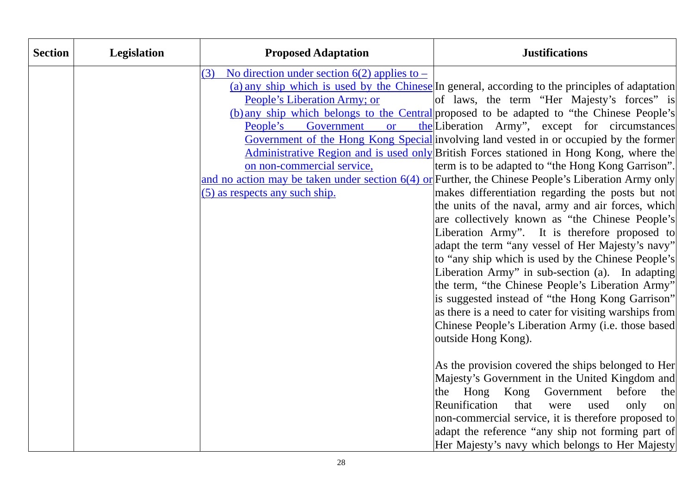| <b>Section</b> | Legislation | <b>Proposed Adaptation</b>                            | <b>Justifications</b>                                                                                      |
|----------------|-------------|-------------------------------------------------------|------------------------------------------------------------------------------------------------------------|
|                |             | No direction under section $6(2)$ applies to –<br>(3) |                                                                                                            |
|                |             |                                                       | (a) any ship which is used by the Chinese In general, according to the principles of adaptation            |
|                |             | People's Liberation Army; or                          | of laws, the term "Her Majesty's forces" is                                                                |
|                |             |                                                       | (b) any ship which belongs to the Central proposed to be adapted to "the Chinese People's                  |
|                |             | People's<br>Government<br><b>or</b>                   | the Liberation Army", except for circumstances                                                             |
|                |             |                                                       | Government of the Hong Kong Special involving land vested in or occupied by the former                     |
|                |             |                                                       | Administrative Region and is used only British Forces stationed in Hong Kong, where the                    |
|                |             | on non-commercial service,                            | term is to be adapted to "the Hong Kong Garrison".                                                         |
|                |             |                                                       | and no action may be taken under section $6(4)$ or Further, the Chinese People's Liberation Army only      |
|                |             | (5) as respects any such ship.                        | makes differentiation regarding the posts but not                                                          |
|                |             |                                                       | the units of the naval, army and air forces, which                                                         |
|                |             |                                                       | are collectively known as "the Chinese People's                                                            |
|                |             |                                                       | Liberation Army". It is therefore proposed to                                                              |
|                |             |                                                       | adapt the term "any vessel of Her Majesty's navy"                                                          |
|                |             |                                                       | to "any ship which is used by the Chinese People's                                                         |
|                |             |                                                       | Liberation Army" in sub-section (a). In adapting                                                           |
|                |             |                                                       | the term, "the Chinese People's Liberation Army"                                                           |
|                |             |                                                       | is suggested instead of "the Hong Kong Garrison"<br>as there is a need to cater for visiting warships from |
|                |             |                                                       | Chinese People's Liberation Army (i.e. those based                                                         |
|                |             |                                                       | outside Hong Kong).                                                                                        |
|                |             |                                                       |                                                                                                            |
|                |             |                                                       | As the provision covered the ships belonged to Her                                                         |
|                |             |                                                       | Majesty's Government in the United Kingdom and                                                             |
|                |             |                                                       | Hong<br>Kong<br>Government<br>before<br>the<br>the                                                         |
|                |             |                                                       | Reunification<br>that<br>were<br>used<br>only<br>on                                                        |
|                |             |                                                       | non-commercial service, it is therefore proposed to                                                        |
|                |             |                                                       | adapt the reference "any ship not forming part of                                                          |
|                |             |                                                       | Her Majesty's navy which belongs to Her Majesty                                                            |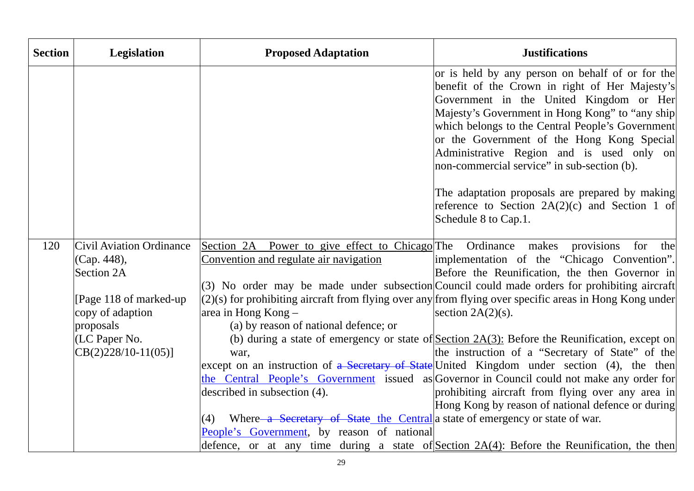| <b>Section</b> | Legislation                     | <b>Proposed Adaptation</b>                                                          | <b>Justifications</b>                                                                                                                                                                                                                                                                                                                                                                                                                             |
|----------------|---------------------------------|-------------------------------------------------------------------------------------|---------------------------------------------------------------------------------------------------------------------------------------------------------------------------------------------------------------------------------------------------------------------------------------------------------------------------------------------------------------------------------------------------------------------------------------------------|
|                |                                 |                                                                                     | or is held by any person on behalf of or for the<br>benefit of the Crown in right of Her Majesty's<br>Government in the United Kingdom or Her<br>Majesty's Government in Hong Kong" to "any ship<br>which belongs to the Central People's Government<br>or the Government of the Hong Kong Special<br>Administrative Region and is used only on<br>non-commercial service" in sub-section (b).<br>The adaptation proposals are prepared by making |
|                |                                 |                                                                                     | reference to Section $2A(2)(c)$ and Section 1 of<br>Schedule 8 to Cap.1.                                                                                                                                                                                                                                                                                                                                                                          |
| 120            | <b>Civil Aviation Ordinance</b> | Section 2A Power to give effect to Chicago The Ordinance makes provisions           | for<br>the                                                                                                                                                                                                                                                                                                                                                                                                                                        |
|                | (Cap. 448),                     | Convention and regulate air navigation                                              | implementation of the "Chicago Convention".                                                                                                                                                                                                                                                                                                                                                                                                       |
|                | <b>Section 2A</b>               |                                                                                     | Before the Reunification, the then Governor in                                                                                                                                                                                                                                                                                                                                                                                                    |
|                |                                 |                                                                                     | (3) No order may be made under subsection Council could made orders for prohibiting aircraft                                                                                                                                                                                                                                                                                                                                                      |
|                | [Page 118 of marked-up]         |                                                                                     | $(2)(s)$ for prohibiting aircraft from flying over any from flying over specific areas in Hong Kong under                                                                                                                                                                                                                                                                                                                                         |
|                | copy of adaption                | area in Hong Kong -<br>(a) by reason of national defence; or                        | section $2A(2)(s)$ .                                                                                                                                                                                                                                                                                                                                                                                                                              |
|                | proposals<br>(LC Paper No.      |                                                                                     | (b) during a state of emergency or state of Section 2A(3): Before the Reunification, except on                                                                                                                                                                                                                                                                                                                                                    |
|                | $CB(2)228/10-11(05)$ ]          | war,                                                                                | the instruction of a "Secretary of State" of the                                                                                                                                                                                                                                                                                                                                                                                                  |
|                |                                 |                                                                                     | except on an instruction of a Secretary of State United Kingdom under section (4), the then                                                                                                                                                                                                                                                                                                                                                       |
|                |                                 |                                                                                     | the Central People's Government issued as Governor in Council could not make any order for                                                                                                                                                                                                                                                                                                                                                        |
|                |                                 | described in subsection (4).                                                        | prohibiting aircraft from flying over any area in                                                                                                                                                                                                                                                                                                                                                                                                 |
|                |                                 |                                                                                     | Hong Kong by reason of national defence or during                                                                                                                                                                                                                                                                                                                                                                                                 |
|                |                                 | Where a Secretary of State the Central a state of emergency or state of war.<br>(4) |                                                                                                                                                                                                                                                                                                                                                                                                                                                   |
|                |                                 | People's Government, by reason of national                                          |                                                                                                                                                                                                                                                                                                                                                                                                                                                   |
|                |                                 |                                                                                     | defence, or at any time during a state of <u>Section 2A(4)</u> : Before the Reunification, the then                                                                                                                                                                                                                                                                                                                                               |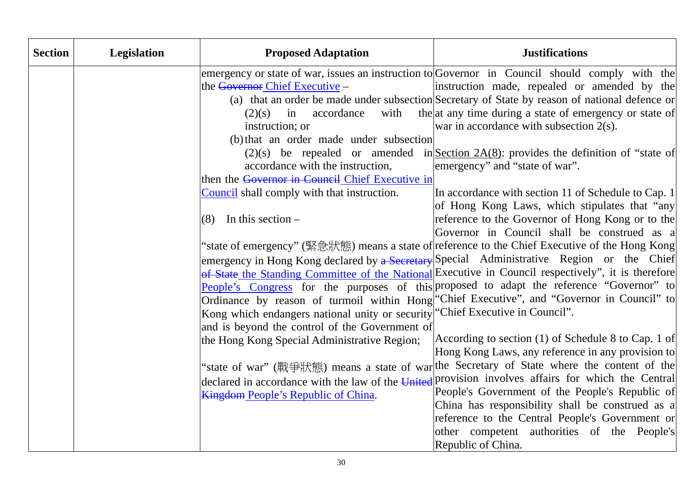| <b>Section</b> | <b>Legislation</b> | <b>Proposed Adaptation</b>                                                                                                                                                                                                                                                                                                                                                                                                                                                                                                      | <b>Justifications</b>                                                                                                                                                                                                                                                                                                                                                                                                                                                                                                                                                                                                                                                                                                                                                                                                                                                                                                                                                                                                                                                                                                                                                                                                                                                                                                                                                                                                                                                                                                                                                                                                         |
|----------------|--------------------|---------------------------------------------------------------------------------------------------------------------------------------------------------------------------------------------------------------------------------------------------------------------------------------------------------------------------------------------------------------------------------------------------------------------------------------------------------------------------------------------------------------------------------|-------------------------------------------------------------------------------------------------------------------------------------------------------------------------------------------------------------------------------------------------------------------------------------------------------------------------------------------------------------------------------------------------------------------------------------------------------------------------------------------------------------------------------------------------------------------------------------------------------------------------------------------------------------------------------------------------------------------------------------------------------------------------------------------------------------------------------------------------------------------------------------------------------------------------------------------------------------------------------------------------------------------------------------------------------------------------------------------------------------------------------------------------------------------------------------------------------------------------------------------------------------------------------------------------------------------------------------------------------------------------------------------------------------------------------------------------------------------------------------------------------------------------------------------------------------------------------------------------------------------------------|
|                |                    | the Governor Chief Executive -<br>accordance<br>with<br>$(2)(s)$ in<br>instruction; or<br>(b) that an order made under subsection<br>accordance with the instruction,<br>then the Governor in Council Chief Executive in<br>Council shall comply with that instruction.<br>In this section $-$<br>(8)<br>Kong which endangers national unity or security "Chief Executive in Council".<br>and is beyond the control of the Government of<br>the Hong Kong Special Administrative Region;<br>Kingdom People's Republic of China. | emergency or state of war, issues an instruction to Governor in Council should comply with the<br>instruction made, repealed or amended by the<br>(a) that an order be made under subsection Secretary of State by reason of national defence or<br>the at any time during a state of emergency or state of<br>war in accordance with subsection $2(s)$ .<br>(2)(s) be repealed or amended in <u>Section 2A(8)</u> : provides the definition of "state of<br>emergency" and "state of war".<br>In accordance with section 11 of Schedule to Cap. 1<br>of Hong Kong Laws, which stipulates that "any<br>reference to the Governor of Hong Kong or to the<br>Governor in Council shall be construed as a<br>'state of emergency" (緊急狀態) means a state of reference to the Chief Executive of the Hong Kong<br>emergency in Hong Kong declared by a Secretary Special Administrative Region or the Chief<br>of State the Standing Committee of the National Executive in Council respectively", it is therefore<br>People's Congress for the purposes of this proposed to adapt the reference "Governor" to<br>Ordinance by reason of turmoil within Hong "Chief Executive", and "Governor in Council" to<br>According to section (1) of Schedule 8 to Cap. 1 of<br>Hong Kong Laws, any reference in any provision to<br>"state of war" (戰爭狀態) means a state of war the Secretary of State where the content of the<br>declared in accordance with the law of the United provision involves affairs for which the Central<br>People's Government of the People's Republic of<br>China has responsibility shall be construed as a |
|                |                    |                                                                                                                                                                                                                                                                                                                                                                                                                                                                                                                                 | reference to the Central People's Government or<br>other competent authorities of the People's<br>Republic of China.                                                                                                                                                                                                                                                                                                                                                                                                                                                                                                                                                                                                                                                                                                                                                                                                                                                                                                                                                                                                                                                                                                                                                                                                                                                                                                                                                                                                                                                                                                          |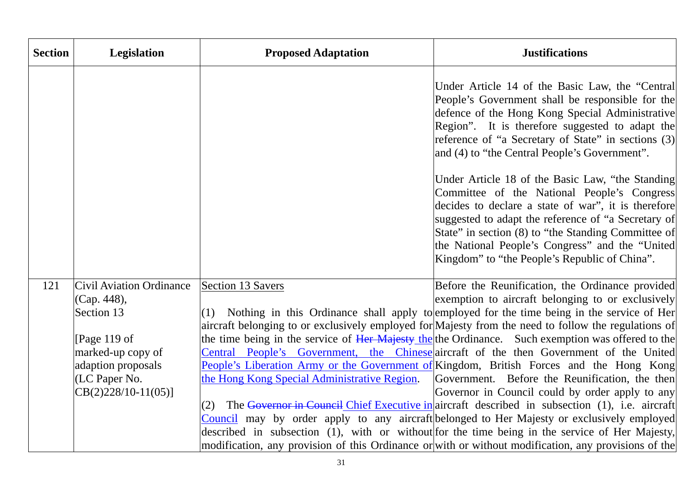| <b>Section</b> | <b>Legislation</b>                             | <b>Proposed Adaptation</b>                   | <b>Justifications</b>                                                                                                                                                                                                                                                                                                                                                    |
|----------------|------------------------------------------------|----------------------------------------------|--------------------------------------------------------------------------------------------------------------------------------------------------------------------------------------------------------------------------------------------------------------------------------------------------------------------------------------------------------------------------|
|                |                                                |                                              | Under Article 14 of the Basic Law, the "Central<br>People's Government shall be responsible for the<br>defence of the Hong Kong Special Administrative<br>Region". It is therefore suggested to adapt the<br>reference of "a Secretary of State" in sections (3)<br>and (4) to "the Central People's Government".                                                        |
|                |                                                |                                              | Under Article 18 of the Basic Law, "the Standing<br>Committee of the National People's Congress<br>decides to declare a state of war", it is therefore<br>suggested to adapt the reference of "a Secretary of<br>State" in section (8) to "the Standing Committee of<br>the National People's Congress" and the "United<br>Kingdom" to "the People's Republic of China". |
|                |                                                |                                              |                                                                                                                                                                                                                                                                                                                                                                          |
| 121            | <b>Civil Aviation Ordinance</b><br>(Cap. 448), | <b>Section 13 Savers</b>                     | Before the Reunification, the Ordinance provided<br>exemption to aircraft belonging to or exclusively                                                                                                                                                                                                                                                                    |
|                | Section 13                                     | (1)                                          | Nothing in this Ordinance shall apply to employed for the time being in the service of Her                                                                                                                                                                                                                                                                               |
|                |                                                |                                              | aircraft belonging to or exclusively employed for Majesty from the need to follow the regulations of                                                                                                                                                                                                                                                                     |
|                | [Page 119 of                                   |                                              | the time being in the service of Her Majesty the the Ordinance. Such exemption was offered to the                                                                                                                                                                                                                                                                        |
|                | marked-up copy of                              |                                              | Central People's Government, the Chinese aircraft of the then Government of the United                                                                                                                                                                                                                                                                                   |
|                | adaption proposals                             |                                              | People's Liberation Army or the Government of Kingdom, British Forces and the Hong Kong                                                                                                                                                                                                                                                                                  |
|                | (LC Paper No.                                  | the Hong Kong Special Administrative Region. | Government. Before the Reunification, the then                                                                                                                                                                                                                                                                                                                           |
|                | $CB(2)228/10-11(05)$                           |                                              | Governor in Council could by order apply to any                                                                                                                                                                                                                                                                                                                          |
|                |                                                | (2)                                          | The Governor in Council Chief Executive in aircraft described in subsection (1), i.e. aircraft<br>Council may by order apply to any aircraft belonged to Her Majesty or exclusively employed                                                                                                                                                                             |
|                |                                                |                                              | described in subsection (1), with or without for the time being in the service of Her Majesty,                                                                                                                                                                                                                                                                           |
|                |                                                |                                              | modification, any provision of this Ordinance or with or without modification, any provisions of the                                                                                                                                                                                                                                                                     |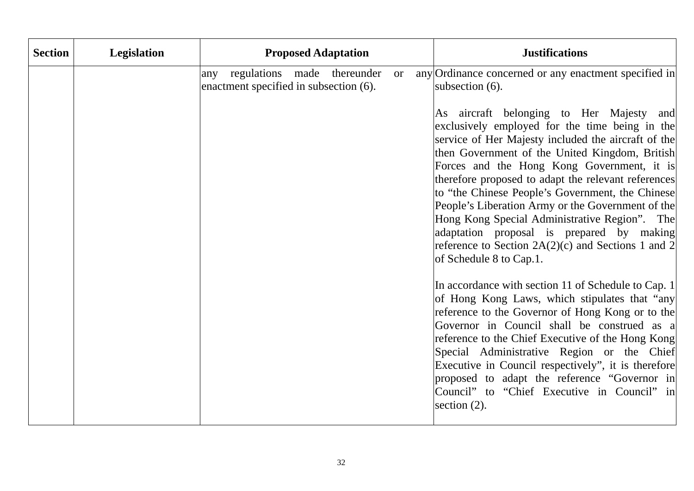| <b>Section</b><br>Legislation | <b>Proposed Adaptation</b>                                                                | <b>Justifications</b>                                                                                                                                                                                                                                                                                                                                                                                                                                                               |
|-------------------------------|-------------------------------------------------------------------------------------------|-------------------------------------------------------------------------------------------------------------------------------------------------------------------------------------------------------------------------------------------------------------------------------------------------------------------------------------------------------------------------------------------------------------------------------------------------------------------------------------|
|                               | regulations made thereunder<br>any<br><b>or</b><br>enactment specified in subsection (6). | any Ordinance concerned or any enactment specified in<br>subsection (6).<br>As aircraft belonging to Her Majesty and<br>exclusively employed for the time being in the<br>service of Her Majesty included the aircraft of the<br>then Government of the United Kingdom, British<br>Forces and the Hong Kong Government, it is                                                                                                                                                       |
|                               |                                                                                           | therefore proposed to adapt the relevant references<br>to "the Chinese People's Government, the Chinese<br>People's Liberation Army or the Government of the<br>Hong Kong Special Administrative Region". The<br>adaptation proposal is prepared by making<br>reference to Section $2A(2)(c)$ and Sections 1 and 2<br>of Schedule 8 to Cap.1.                                                                                                                                       |
|                               |                                                                                           | In accordance with section 11 of Schedule to Cap. 1<br>of Hong Kong Laws, which stipulates that "any<br>reference to the Governor of Hong Kong or to the<br>Governor in Council shall be construed as a<br>reference to the Chief Executive of the Hong Kong<br>Special Administrative Region or the Chief<br>Executive in Council respectively", it is therefore<br>proposed to adapt the reference "Governor in<br>Council" to "Chief Executive in Council" in<br>section $(2)$ . |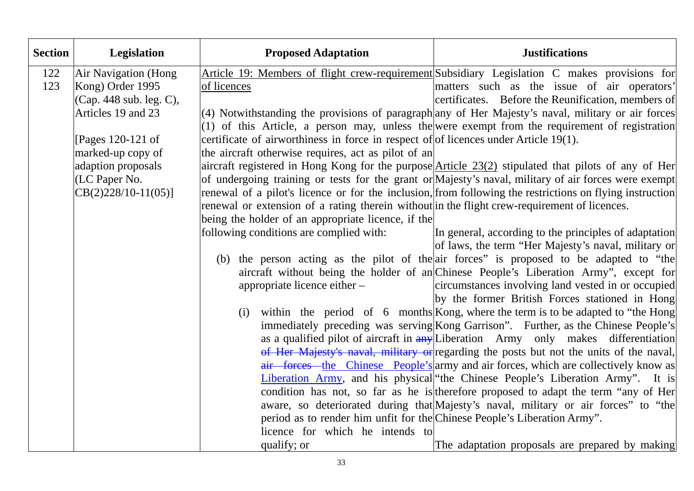| <b>Section</b> | Legislation             | <b>Proposed Adaptation</b>                                                                   | <b>Justifications</b>                                                                                      |
|----------------|-------------------------|----------------------------------------------------------------------------------------------|------------------------------------------------------------------------------------------------------------|
| 122            | Air Navigation (Hong    |                                                                                              | Article 19: Members of flight crew-requirement Subsidiary Legislation C makes provisions for               |
| 123            | Kong) Order 1995        | of licences                                                                                  | matters such as the issue of air operators'                                                                |
|                | (Cap. 448 sub. leg. C), |                                                                                              | certificates. Before the Reunification, members of                                                         |
|                | Articles 19 and 23      |                                                                                              | $ (4)$ Notwithstanding the provisions of paragraph any of Her Majesty's naval, military or air forces      |
|                |                         |                                                                                              | $(1)$ of this Article, a person may, unless the were exempt from the requirement of registration           |
|                | [Pages 120-121 of]      | certificate of airworthiness in force in respect of of licences under Article $19(1)$ .      |                                                                                                            |
|                | marked-up copy of       | the aircraft otherwise requires, act as pilot of an                                          |                                                                                                            |
|                | adaption proposals      |                                                                                              | aircraft registered in Hong Kong for the purpose <i>Article 23(2)</i> stipulated that pilots of any of Her |
|                | (LC Paper No.           |                                                                                              | of undergoing training or tests for the grant or Majesty's naval, military of air forces were exempt       |
|                | $CB(2)228/10-11(05)]$   |                                                                                              | renewal of a pilot's licence or for the inclusion, from following the restrictions on flying instruction   |
|                |                         | renewal or extension of a rating therein without in the flight crew-requirement of licences. |                                                                                                            |
|                |                         | being the holder of an appropriate licence, if the                                           |                                                                                                            |
|                |                         | following conditions are complied with:                                                      | In general, according to the principles of adaptation                                                      |
|                |                         |                                                                                              | of laws, the term "Her Majesty's naval, military or                                                        |
|                |                         |                                                                                              | (b) the person acting as the pilot of the air forces" is proposed to be adapted to "the                    |
|                |                         |                                                                                              | aircraft without being the holder of an Chinese People's Liberation Army", except for                      |
|                |                         | appropriate licence either -                                                                 | circumstances involving land vested in or occupied                                                         |
|                |                         |                                                                                              | by the former British Forces stationed in Hong                                                             |
|                |                         | (i)                                                                                          | within the period of 6 months Kong, where the term is to be adapted to "the Hong                           |
|                |                         |                                                                                              | immediately preceding was serving Kong Garrison". Further, as the Chinese People's                         |
|                |                         |                                                                                              | as a qualified pilot of aircraft in any Liberation Army only makes differentiation                         |
|                |                         |                                                                                              | of Her Majesty's naval, military or regarding the posts but not the units of the naval,                    |
|                |                         |                                                                                              | air forces the Chinese People's army and air forces, which are collectively know as                        |
|                |                         |                                                                                              | Liberation Army, and his physical the Chinese People's Liberation Army". It is                             |
|                |                         |                                                                                              | condition has not, so far as he is therefore proposed to adapt the term "any of Her                        |
|                |                         |                                                                                              | aware, so deteriorated during that Majesty's naval, military or air forces" to "the                        |
|                |                         | period as to render him unfit for the Chinese People's Liberation Army".                     |                                                                                                            |
|                |                         | licence for which he intends to                                                              |                                                                                                            |
|                |                         | qualify; or                                                                                  | The adaptation proposals are prepared by making                                                            |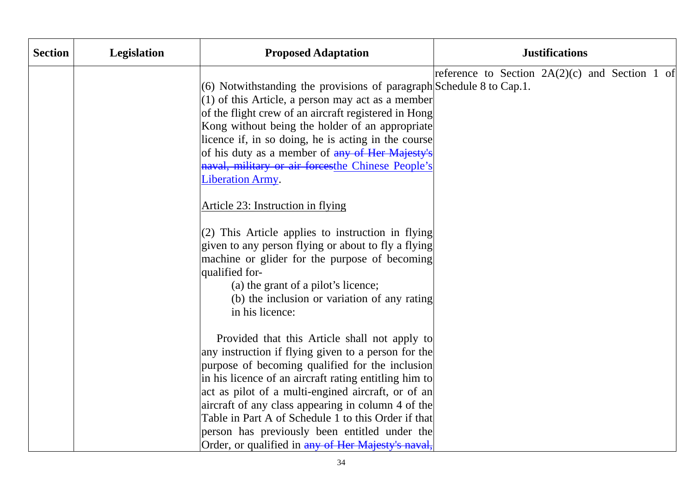| <b>Section</b> | Legislation | <b>Proposed Adaptation</b>                                                                                                                                                                                                                                                                                                                                                                                                                                                                 | <b>Justifications</b>                            |
|----------------|-------------|--------------------------------------------------------------------------------------------------------------------------------------------------------------------------------------------------------------------------------------------------------------------------------------------------------------------------------------------------------------------------------------------------------------------------------------------------------------------------------------------|--------------------------------------------------|
|                |             | (6) Notwithstanding the provisions of paragraph Schedule 8 to Cap.1.<br>$(1)$ of this Article, a person may act as a member<br>of the flight crew of an aircraft registered in Hong<br>Kong without being the holder of an appropriate<br>licence if, in so doing, he is acting in the course<br>of his duty as a member of any of Her Majesty's<br>naval, military or air forcesthe Chinese People's<br><b>Liberation Army.</b>                                                           | reference to Section $2A(2)(c)$ and Section 1 of |
|                |             | Article 23: Instruction in flying<br>$(2)$ This Article applies to instruction in flying<br>given to any person flying or about to fly a flying<br>machine or glider for the purpose of becoming<br>qualified for-<br>(a) the grant of a pilot's licence;<br>(b) the inclusion or variation of any rating<br>in his licence:                                                                                                                                                               |                                                  |
|                |             | Provided that this Article shall not apply to<br>any instruction if flying given to a person for the<br>purpose of becoming qualified for the inclusion<br>in his licence of an aircraft rating entitling him to<br>act as pilot of a multi-engined aircraft, or of an<br>aircraft of any class appearing in column 4 of the<br>Table in Part A of Schedule 1 to this Order if that<br>person has previously been entitled under the<br>Order, or qualified in any of Her Majesty's naval, |                                                  |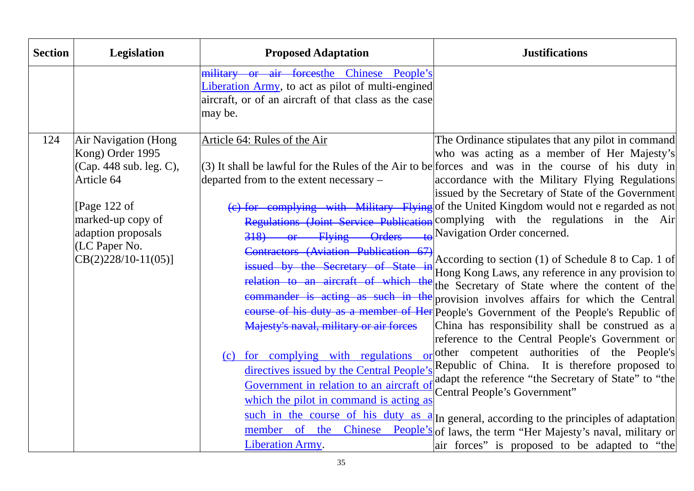| <b>Section</b> | <b>Legislation</b>                                                                                                                                                                            | <b>Proposed Adaptation</b>                                                                                                                                                                                                                                                                                                                                                                                                                                                                         | <b>Justifications</b>                                                                                                                                                                                                                                                                                                                                                                                                                                                                                                                                                                                                                                                                                                                                                                                                                                                                                                                                                                                                                                                                                                                                                                                                                                                                                                                                                                                             |
|----------------|-----------------------------------------------------------------------------------------------------------------------------------------------------------------------------------------------|----------------------------------------------------------------------------------------------------------------------------------------------------------------------------------------------------------------------------------------------------------------------------------------------------------------------------------------------------------------------------------------------------------------------------------------------------------------------------------------------------|-------------------------------------------------------------------------------------------------------------------------------------------------------------------------------------------------------------------------------------------------------------------------------------------------------------------------------------------------------------------------------------------------------------------------------------------------------------------------------------------------------------------------------------------------------------------------------------------------------------------------------------------------------------------------------------------------------------------------------------------------------------------------------------------------------------------------------------------------------------------------------------------------------------------------------------------------------------------------------------------------------------------------------------------------------------------------------------------------------------------------------------------------------------------------------------------------------------------------------------------------------------------------------------------------------------------------------------------------------------------------------------------------------------------|
|                |                                                                                                                                                                                               | military or air forcesthe Chinese People's<br>Liberation Army, to act as pilot of multi-engined<br>aircraft, or of an aircraft of that class as the case<br>may be.                                                                                                                                                                                                                                                                                                                                |                                                                                                                                                                                                                                                                                                                                                                                                                                                                                                                                                                                                                                                                                                                                                                                                                                                                                                                                                                                                                                                                                                                                                                                                                                                                                                                                                                                                                   |
| 124            | <b>Air Navigation (Hong</b><br>Kong) Order 1995<br>(Cap. 448 sub. leg. C),<br>Article 64<br>[Page 122 of<br>marked-up copy of<br>adaption proposals<br>(LC Paper No.<br>$CB(2)228/10-11(05)]$ | Article 64: Rules of the Air<br>departed from to the extent necessary -<br>318) or Flying Orders<br>Contractors (Aviation Publication 67)<br>issued by the Secretary of State in<br>relation to an aircraft of which the<br>Majesty's naval, military or air forces<br>for complying with regulations of<br>(c)<br>directives issued by the Central People's<br>Government in relation to an aircraft of<br>which the pilot in command is acting as<br>the<br>member of<br><b>Liberation Army.</b> | The Ordinance stipulates that any pilot in command<br>who was acting as a member of Her Majesty's<br>(3) It shall be lawful for the Rules of the Air to be forces and was in the course of his duty in<br>accordance with the Military Flying Regulations<br>issued by the Secretary of State of the Government<br>(e) for complying with Military Flying of the United Kingdom would not e regarded as not<br>Regulations (Joint Service Publication complying with the regulations in the Air<br>$\triangle$ Navigation Order concerned.<br>According to section (1) of Schedule 8 to Cap. 1 of<br>Hong Kong Laws, any reference in any provision to<br>the Secretary of State where the content of the<br>commander is acting as such in the provision involves affairs for which the Central<br>course of his duty as a member of Her People's Government of the People's Republic of<br>China has responsibility shall be construed as a<br>reference to the Central People's Government or<br>other competent authorities of the People's<br>Republic of China. It is therefore proposed to<br>adapt the reference "the Secretary of State" to "the<br>Central People's Government"<br>such in the course of his duty as $a$ In general, according to the principles of adaptation<br>Chinese People's of laws, the term "Her Majesty's naval, military or<br>air forces" is proposed to be adapted to "the |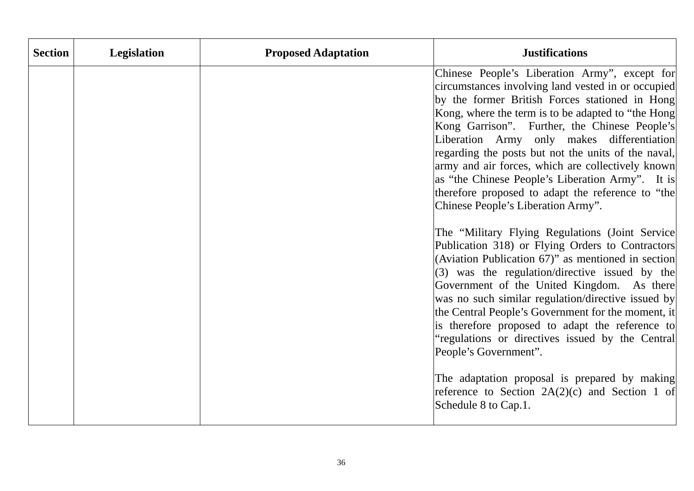| <b>Section</b> | Legislation | <b>Proposed Adaptation</b> | <b>Justifications</b>                                                                                                                                                                                                                                                                                                                                                                                                                                                                                                                                                                                                                                                                                                                                                                                                                                                                                                                                                                                                                                                                                                           |
|----------------|-------------|----------------------------|---------------------------------------------------------------------------------------------------------------------------------------------------------------------------------------------------------------------------------------------------------------------------------------------------------------------------------------------------------------------------------------------------------------------------------------------------------------------------------------------------------------------------------------------------------------------------------------------------------------------------------------------------------------------------------------------------------------------------------------------------------------------------------------------------------------------------------------------------------------------------------------------------------------------------------------------------------------------------------------------------------------------------------------------------------------------------------------------------------------------------------|
|                |             |                            | Chinese People's Liberation Army", except for<br>circumstances involving land vested in or occupied<br>by the former British Forces stationed in Hong<br>Kong, where the term is to be adapted to "the Hong<br>Kong Garrison". Further, the Chinese People's<br>Liberation Army only makes differentiation<br>regarding the posts but not the units of the naval,<br>army and air forces, which are collectively known<br>as "the Chinese People's Liberation Army". It is<br>therefore proposed to adapt the reference to "the<br>Chinese People's Liberation Army".<br>The "Military Flying Regulations (Joint Service<br>Publication 318) or Flying Orders to Contractors<br>(Aviation Publication 67)" as mentioned in section<br>(3) was the regulation/directive issued by the<br>Government of the United Kingdom. As there<br>was no such similar regulation/directive issued by<br>the Central People's Government for the moment, it<br>is therefore proposed to adapt the reference to<br>"regulations or directives issued by the Central<br>People's Government".<br>The adaptation proposal is prepared by making |
|                |             |                            | reference to Section $2A(2)(c)$ and Section 1 of<br>Schedule 8 to Cap.1.                                                                                                                                                                                                                                                                                                                                                                                                                                                                                                                                                                                                                                                                                                                                                                                                                                                                                                                                                                                                                                                        |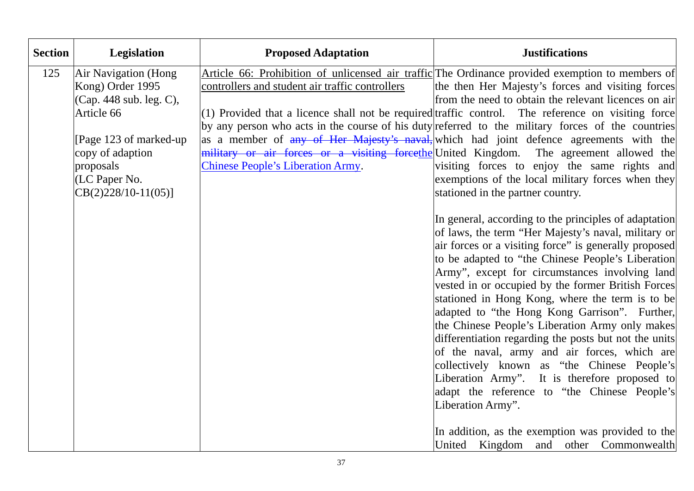| <b>Section</b> | Legislation                                                                                                                                                                            | <b>Proposed Adaptation</b>                                                                  | <b>Justifications</b>                                                                                                                                                                                                                                                                                                                                                                                                                                                                                                                                                                                                                                                                                                                                                                                                                                                                                                                                                                                                                                                                                                                                                                                                                                                                                                                                                                                                                                                                                                                |
|----------------|----------------------------------------------------------------------------------------------------------------------------------------------------------------------------------------|---------------------------------------------------------------------------------------------|--------------------------------------------------------------------------------------------------------------------------------------------------------------------------------------------------------------------------------------------------------------------------------------------------------------------------------------------------------------------------------------------------------------------------------------------------------------------------------------------------------------------------------------------------------------------------------------------------------------------------------------------------------------------------------------------------------------------------------------------------------------------------------------------------------------------------------------------------------------------------------------------------------------------------------------------------------------------------------------------------------------------------------------------------------------------------------------------------------------------------------------------------------------------------------------------------------------------------------------------------------------------------------------------------------------------------------------------------------------------------------------------------------------------------------------------------------------------------------------------------------------------------------------|
| 125            | Air Navigation (Hong<br>Kong) Order 1995<br>(Cap. 448 sub. leg. C),<br>Article 66<br>[Page 123 of marked-up]<br>copy of adaption<br>proposals<br>(LC Paper No.<br>$CB(2)228/10-11(05)$ | controllers and student air traffic controllers<br><b>Chinese People's Liberation Army.</b> | Article 66: Prohibition of unlicensed air traffic The Ordinance provided exemption to members of<br>the then Her Majesty's forces and visiting forces<br>from the need to obtain the relevant licences on air<br>$(1)$ Provided that a licence shall not be required traffic control. The reference on visiting force<br>by any person who acts in the course of his duty referred to the military forces of the countries<br>as a member of any of Her Majesty's naval, which had joint defence agreements with the<br>military or air forces or a visiting forcethe United Kingdom. The agreement allowed the<br>visiting forces to enjoy the same rights and<br>exemptions of the local military forces when they<br>stationed in the partner country.<br>In general, according to the principles of adaptation<br>of laws, the term "Her Majesty's naval, military or<br>air forces or a visiting force" is generally proposed<br>to be adapted to "the Chinese People's Liberation<br>Army", except for circumstances involving land<br>vested in or occupied by the former British Forces<br>stationed in Hong Kong, where the term is to be<br>adapted to "the Hong Kong Garrison". Further,<br>the Chinese People's Liberation Army only makes<br>differentiation regarding the posts but not the units<br>of the naval, army and air forces, which are<br>collectively known as "the Chinese People's<br>Liberation Army". It is therefore proposed to<br>adapt the reference to "the Chinese People's<br>Liberation Army". |
|                |                                                                                                                                                                                        |                                                                                             | In addition, as the exemption was provided to the<br>United Kingdom and other Commonwealth                                                                                                                                                                                                                                                                                                                                                                                                                                                                                                                                                                                                                                                                                                                                                                                                                                                                                                                                                                                                                                                                                                                                                                                                                                                                                                                                                                                                                                           |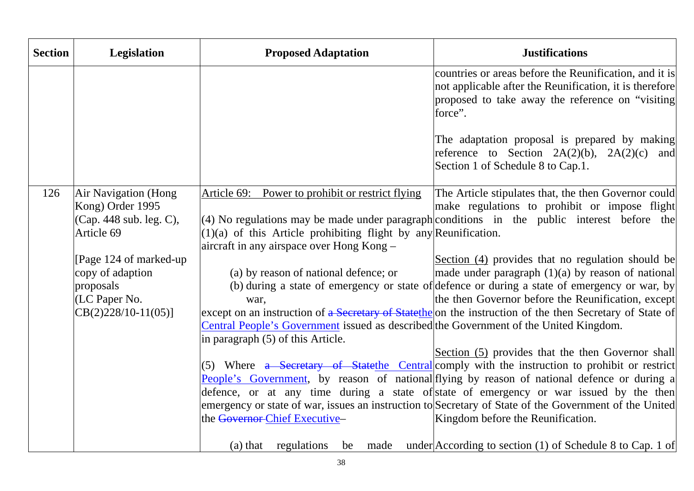| <b>Section</b> | <b>Legislation</b>                                                                       | <b>Proposed Adaptation</b>                                                                                                                                            | <b>Justifications</b>                                                                                                                                                                                                                                                                                                                                                                                                                                                                         |
|----------------|------------------------------------------------------------------------------------------|-----------------------------------------------------------------------------------------------------------------------------------------------------------------------|-----------------------------------------------------------------------------------------------------------------------------------------------------------------------------------------------------------------------------------------------------------------------------------------------------------------------------------------------------------------------------------------------------------------------------------------------------------------------------------------------|
|                |                                                                                          |                                                                                                                                                                       | countries or areas before the Reunification, and it is<br>not applicable after the Reunification, it is therefore<br>proposed to take away the reference on "visiting"<br>force".                                                                                                                                                                                                                                                                                                             |
|                |                                                                                          |                                                                                                                                                                       | The adaptation proposal is prepared by making<br>reference to Section $2A(2)(b)$ , $2A(2)(c)$ and<br>Section 1 of Schedule 8 to Cap.1.                                                                                                                                                                                                                                                                                                                                                        |
| 126            | <b>Air Navigation (Hong</b><br>Kong) Order 1995<br>(Cap. 448 sub. leg. C),<br>Article 69 | Power to prohibit or restrict flying<br>Article 69:<br>$(1)(a)$ of this Article prohibiting flight by any Reunification.<br>aircraft in any airspace over Hong Kong - | The Article stipulates that, the then Governor could<br>make regulations to prohibit or impose flight<br>$(4)$ No regulations may be made under paragraph conditions in the public interest before the                                                                                                                                                                                                                                                                                        |
|                | [Page 124 of marked-up]<br>copy of adaption<br>proposals<br>(LC Paper No.                | (a) by reason of national defence; or<br>war,                                                                                                                         | Section (4) provides that no regulation should be<br>made under paragraph $(1)(a)$ by reason of national<br>(b) during a state of emergency or state of defence or during a state of emergency or war, by<br>the then Governor before the Reunification, except                                                                                                                                                                                                                               |
|                | $CB(2)228/10-11(05)]$                                                                    | Central People's Government issued as described the Government of the United Kingdom.<br>in paragraph (5) of this Article.                                            | except on an instruction of a Secretary of State the on the instruction of the then Secretary of State of                                                                                                                                                                                                                                                                                                                                                                                     |
|                |                                                                                          | the Governor-Chief Executive-                                                                                                                                         | Section (5) provides that the then Governor shall<br>(5) Where $a$ Secretary of State the Central comply with the instruction to prohibit or restrict<br>People's Government, by reason of national flying by reason of national defence or during a<br>defence, or at any time during a state of state of emergency or war issued by the then<br>emergency or state of war, issues an instruction to Secretary of State of the Government of the United<br>Kingdom before the Reunification. |
|                |                                                                                          | $(a)$ that<br>regulations<br>be<br>made                                                                                                                               | under $ $ According to section (1) of Schedule 8 to Cap. 1 of                                                                                                                                                                                                                                                                                                                                                                                                                                 |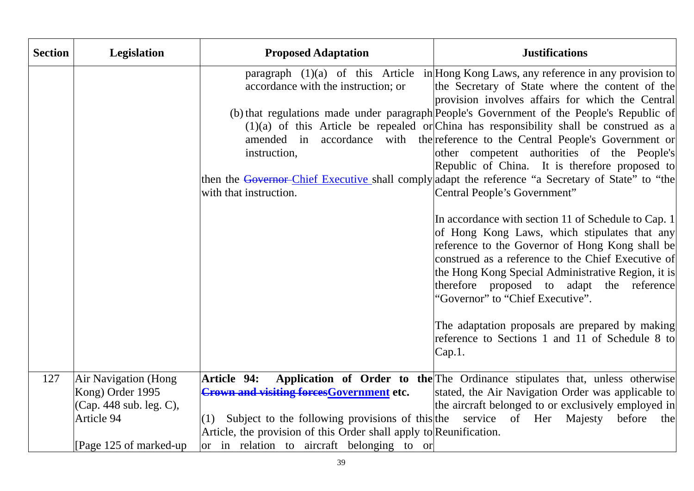| <b>Section</b> | Legislation                                                                | <b>Proposed Adaptation</b>                                                                                                                          | <b>Justifications</b>                                                                                                                                                                                                                                                                                                                                                                                                                                                                                                                                                                                                                                                                                |
|----------------|----------------------------------------------------------------------------|-----------------------------------------------------------------------------------------------------------------------------------------------------|------------------------------------------------------------------------------------------------------------------------------------------------------------------------------------------------------------------------------------------------------------------------------------------------------------------------------------------------------------------------------------------------------------------------------------------------------------------------------------------------------------------------------------------------------------------------------------------------------------------------------------------------------------------------------------------------------|
|                |                                                                            | accordance with the instruction; or<br>amended in<br>instruction,<br>with that instruction.                                                         | paragraph $(1)(a)$ of this Article in Hong Kong Laws, any reference in any provision to<br>the Secretary of State where the content of the<br>provision involves affairs for which the Central<br>(b) that regulations made under paragraph People's Government of the People's Republic of<br>$(1)(a)$ of this Article be repealed or China has responsibility shall be construed as a<br>accordance with the reference to the Central People's Government or<br>other competent authorities of the People's<br>Republic of China. It is therefore proposed to<br>then the Governor-Chief Executive shall comply adapt the reference "a Secretary of State" to "the<br>Central People's Government" |
|                |                                                                            |                                                                                                                                                     | In accordance with section 11 of Schedule to Cap. 1<br>of Hong Kong Laws, which stipulates that any<br>reference to the Governor of Hong Kong shall be<br>construed as a reference to the Chief Executive of<br>the Hong Kong Special Administrative Region, it is<br>therefore proposed to adapt the reference<br>"Governor" to "Chief Executive".                                                                                                                                                                                                                                                                                                                                                  |
|                |                                                                            |                                                                                                                                                     | The adaptation proposals are prepared by making<br>reference to Sections 1 and 11 of Schedule 8 to<br>Cap.1.                                                                                                                                                                                                                                                                                                                                                                                                                                                                                                                                                                                         |
| 127            | <b>Air Navigation (Hong</b><br>Kong) Order 1995<br>(Cap. 448 sub. leg. C), | <b>Article 94:</b><br><b>Crown and visiting forces Government etc.</b>                                                                              | Application of Order to the The Ordinance stipulates that, unless otherwise<br>stated, the Air Navigation Order was applicable to<br>the aircraft belonged to or exclusively employed in                                                                                                                                                                                                                                                                                                                                                                                                                                                                                                             |
|                | Article 94                                                                 | Subject to the following provisions of this the service of Her Majesty<br>(1)<br>Article, the provision of this Order shall apply to Reunification. | before<br>the                                                                                                                                                                                                                                                                                                                                                                                                                                                                                                                                                                                                                                                                                        |
|                | [Page 125 of marked-up]                                                    | or in relation to aircraft belonging to or                                                                                                          |                                                                                                                                                                                                                                                                                                                                                                                                                                                                                                                                                                                                                                                                                                      |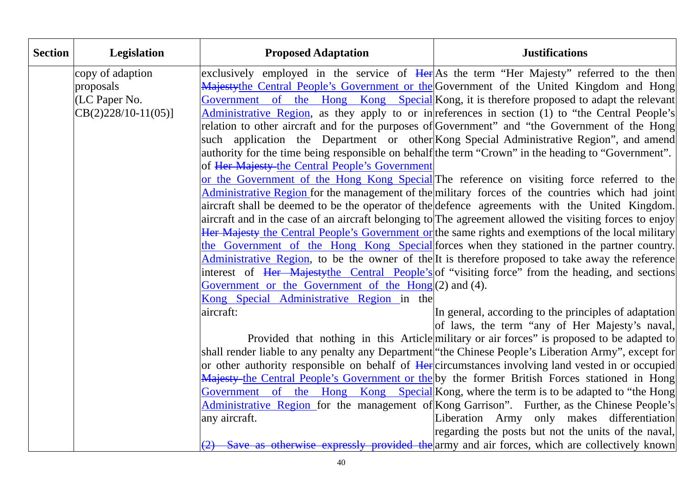| <b>Section</b> | Legislation           | <b>Proposed Adaptation</b>                                    | <b>Justifications</b>                                                                                                                                                                                       |
|----------------|-----------------------|---------------------------------------------------------------|-------------------------------------------------------------------------------------------------------------------------------------------------------------------------------------------------------------|
|                | copy of adaption      |                                                               | exclusively employed in the service of Here As the term "Her Majesty" referred to the then                                                                                                                  |
|                | proposals             |                                                               | Majestythe Central People's Government or the Government of the United Kingdom and Hong                                                                                                                     |
|                | (LC Paper No.         |                                                               | Government of the Hong Kong Special Kong, it is therefore proposed to adapt the relevant                                                                                                                    |
|                | $CB(2)228/10-11(05)]$ |                                                               | Administrative Region, as they apply to or in references in section (1) to "the Central People's                                                                                                            |
|                |                       |                                                               | relation to other aircraft and for the purposes of Government" and "the Government of the Hong                                                                                                              |
|                |                       |                                                               | such application the Department or other Kong Special Administrative Region", and amend                                                                                                                     |
|                |                       |                                                               | authority for the time being responsible on behalf the term "Crown" in the heading to "Government".                                                                                                         |
|                |                       | of Her Majesty the Central People's Government                |                                                                                                                                                                                                             |
|                |                       |                                                               | or the Government of the Hong Kong Special The reference on visiting force referred to the                                                                                                                  |
|                |                       |                                                               | Administrative Region for the management of the military forces of the countries which had joint                                                                                                            |
|                |                       |                                                               | aircraft shall be deemed to be the operator of the defence agreements with the United Kingdom.                                                                                                              |
|                |                       |                                                               | aircraft and in the case of an aircraft belonging to The agreement allowed the visiting forces to enjoy                                                                                                     |
|                |                       |                                                               | Her Majesty the Central People's Government or the same rights and exemptions of the local military                                                                                                         |
|                |                       |                                                               | the Government of the Hong Kong Special forces when they stationed in the partner country.                                                                                                                  |
|                |                       |                                                               | Administrative Region, to be the owner of the It is therefore proposed to take away the reference                                                                                                           |
|                |                       |                                                               | interest of Her Majestythe Central People's of "visiting force" from the heading, and sections                                                                                                              |
|                |                       | Government or the Government of the $\text{Hong}(2)$ and (4). |                                                                                                                                                                                                             |
|                |                       | Kong Special Administrative Region in the                     |                                                                                                                                                                                                             |
|                |                       | aircraft:                                                     | In general, according to the principles of adaptation                                                                                                                                                       |
|                |                       |                                                               | of laws, the term "any of Her Majesty's naval,                                                                                                                                                              |
|                |                       |                                                               | Provided that nothing in this Article military or air forces" is proposed to be adapted to                                                                                                                  |
|                |                       |                                                               | shall render liable to any penalty any Department "the Chinese People's Liberation Army", except for<br>or other authority responsible on behalf of Herclic cumstances involving land vested in or occupied |
|                |                       |                                                               | Majesty-the Central People's Government or the by the former British Forces stationed in Hong                                                                                                               |
|                |                       |                                                               | Government of the Hong Kong Special Kong, where the term is to be adapted to "the Hong                                                                                                                      |
|                |                       |                                                               | Administrative Region for the management of Kong Garrison". Further, as the Chinese People's                                                                                                                |
|                |                       | any aircraft.                                                 | Liberation Army only makes differentiation                                                                                                                                                                  |
|                |                       |                                                               | regarding the posts but not the units of the naval,                                                                                                                                                         |
|                |                       |                                                               | Save as otherwise expressly provided the army and air forces, which are collectively known                                                                                                                  |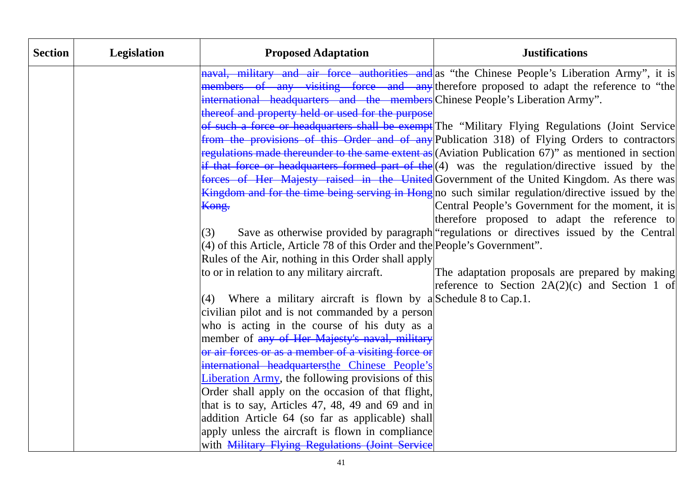| <b>Section</b> | Legislation | <b>Proposed Adaptation</b>                                                                           | <b>Justifications</b>                                                                                    |
|----------------|-------------|------------------------------------------------------------------------------------------------------|----------------------------------------------------------------------------------------------------------|
|                |             |                                                                                                      | naval, military and air force authorities and as "the Chinese People's Liberation Army", it is           |
|                |             |                                                                                                      | members of any visiting force and any therefore proposed to adapt the reference to "the                  |
|                |             | international headquarters and the members Chinese People's Liberation Army".                        |                                                                                                          |
|                |             | thereof and property held or used for the purpose                                                    |                                                                                                          |
|                |             |                                                                                                      | of such a force or headquarters shall be exempt The "Military Flying Regulations (Joint Service          |
|                |             |                                                                                                      | from the provisions of this Order and of any Publication 318) of Flying Orders to contractors            |
|                |             |                                                                                                      | regulations made thereunder to the same extent as (Aviation Publication 67)" as mentioned in section     |
|                |             |                                                                                                      | if that force or headquarters formed part of the (4) was the regulation/directive issued by the          |
|                |             |                                                                                                      | forces of Her Majesty raised in the United Government of the United Kingdom. As there was                |
|                |             |                                                                                                      | <b>Kingdom and for the time being serving in Hong</b> no such similar regulation/directive issued by the |
|                |             | Kong.                                                                                                | Central People's Government for the moment, it is                                                        |
|                |             |                                                                                                      | therefore proposed to adapt the reference to                                                             |
|                |             | (3)                                                                                                  | Save as otherwise provided by paragraph regulations or directives issued by the Central                  |
|                |             | $(4)$ of this Article, Article 78 of this Order and the People's Government".                        |                                                                                                          |
|                |             | Rules of the Air, nothing in this Order shall apply                                                  |                                                                                                          |
|                |             | to or in relation to any military aircraft.                                                          | The adaptation proposals are prepared by making                                                          |
|                |             |                                                                                                      | reference to Section $2A(2)(c)$ and Section 1 of                                                         |
|                |             | (4) Where a military aircraft is flown by a Schedule 8 to Cap.1.                                     |                                                                                                          |
|                |             | civilian pilot and is not commanded by a person                                                      |                                                                                                          |
|                |             | who is acting in the course of his duty as a                                                         |                                                                                                          |
|                |             | member of any of Her Majesty's naval, military                                                       |                                                                                                          |
|                |             | or air forces or as a member of a visiting force or                                                  |                                                                                                          |
|                |             | international headquartersthe Chinese People's                                                       |                                                                                                          |
|                |             | Liberation Army, the following provisions of this                                                    |                                                                                                          |
|                |             | Order shall apply on the occasion of that flight,                                                    |                                                                                                          |
|                |             | that is to say, Articles 47, 48, 49 and 69 and in                                                    |                                                                                                          |
|                |             | addition Article 64 (so far as applicable) shall<br>apply unless the aircraft is flown in compliance |                                                                                                          |
|                |             | with Military Flying Regulations (Joint Service                                                      |                                                                                                          |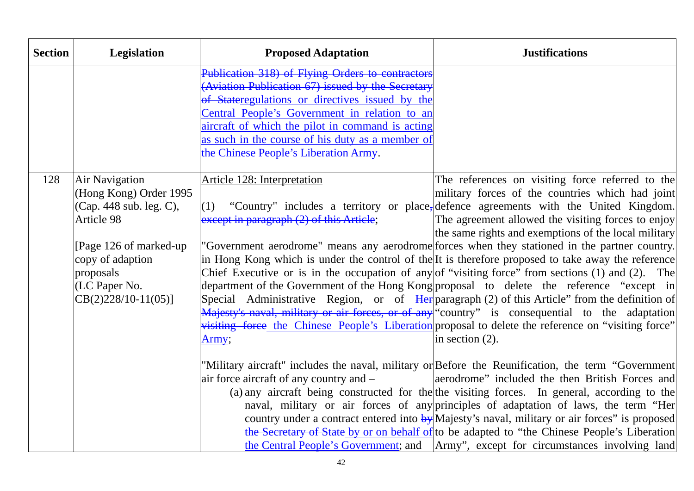| <b>Section</b> | Legislation                   | <b>Proposed Adaptation</b>                                                                           | <b>Justifications</b>                                                                                                                                                                                   |
|----------------|-------------------------------|------------------------------------------------------------------------------------------------------|---------------------------------------------------------------------------------------------------------------------------------------------------------------------------------------------------------|
|                |                               | Publication 318) of Flying Orders to contractors                                                     |                                                                                                                                                                                                         |
|                |                               | (Aviation Publication 67) issued by the Secretary<br>of Stateregulations or directives issued by the |                                                                                                                                                                                                         |
|                |                               | Central People's Government in relation to an                                                        |                                                                                                                                                                                                         |
|                |                               | aircraft of which the pilot in command is acting                                                     |                                                                                                                                                                                                         |
|                |                               | as such in the course of his duty as a member of                                                     |                                                                                                                                                                                                         |
|                |                               | the Chinese People's Liberation Army.                                                                |                                                                                                                                                                                                         |
|                |                               |                                                                                                      |                                                                                                                                                                                                         |
| 128            | Air Navigation                | <b>Article 128: Interpretation</b>                                                                   | The references on visiting force referred to the                                                                                                                                                        |
|                | (Hong Kong) Order 1995        |                                                                                                      | military forces of the countries which had joint                                                                                                                                                        |
|                | (Cap. 448 sub. leg. C),       |                                                                                                      | $(1)$ "Country" includes a territory or place, defence agreements with the United Kingdom.                                                                                                              |
|                | Article 98                    | except in paragraph (2) of this Article;                                                             | The agreement allowed the visiting forces to enjoy                                                                                                                                                      |
|                |                               |                                                                                                      | the same rights and exemptions of the local military                                                                                                                                                    |
|                | [Page 126 of marked-up]       |                                                                                                      | "Government aerodrome" means any aerodrome forces when they stationed in the partner country.                                                                                                           |
|                | copy of adaption<br>proposals |                                                                                                      | in Hong Kong which is under the control of the It is therefore proposed to take away the reference<br>Chief Executive or is in the occupation of any of "visiting force" from sections (1) and (2). The |
|                | (LC Paper No.                 |                                                                                                      | department of the Government of the Hong Kong proposal to delete the reference "except in                                                                                                               |
|                | $CB(2)228/10-11(05)$          |                                                                                                      | Special Administrative Region, or of Herparagraph (2) of this Article" from the definition of                                                                                                           |
|                |                               |                                                                                                      | Majesty's naval, military or air forces, or of any "country" is consequential to the adaptation                                                                                                         |
|                |                               |                                                                                                      | visiting force the Chinese People's Liberation proposal to delete the reference on "visiting force"                                                                                                     |
|                |                               | Army;                                                                                                | in section $(2)$ .                                                                                                                                                                                      |
|                |                               |                                                                                                      |                                                                                                                                                                                                         |
|                |                               |                                                                                                      | "Military aircraft" includes the naval, military or Before the Reunification, the term "Government                                                                                                      |
|                |                               | air force aircraft of any country and $-$                                                            | aerodrome" included the then British Forces and                                                                                                                                                         |
|                |                               |                                                                                                      | (a) any aircraft being constructed for the the visiting forces. In general, according to the                                                                                                            |
|                |                               |                                                                                                      | naval, military or air forces of any principles of adaptation of laws, the term "Her                                                                                                                    |
|                |                               |                                                                                                      | country under a contract entered into by Majesty's naval, military or air forces" is proposed<br>the Secretary of State by or on behalf of to be adapted to "the Chinese People's Liberation            |
|                |                               |                                                                                                      | the Central People's Government; and  Army", except for circumstances involving land                                                                                                                    |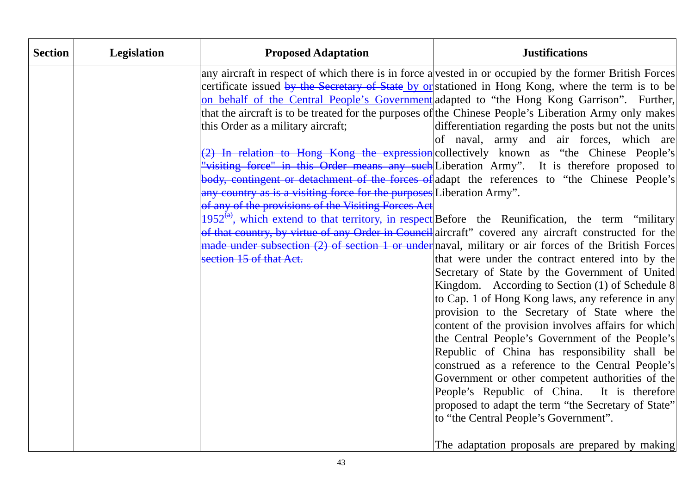| <b>Section</b> | Legislation | <b>Proposed Adaptation</b>                                                                                                                                                                    | <b>Justifications</b>                                                                                                                                                                                                                                                                                                                                                                                                                                                                                                                                                                                                                                                                                                                                                                                                                                                                                                                                                                                                                                                                                                                                                                                                                                                                                                                                                                                                                                                                                                                                                                                                                                                               |
|----------------|-------------|-----------------------------------------------------------------------------------------------------------------------------------------------------------------------------------------------|-------------------------------------------------------------------------------------------------------------------------------------------------------------------------------------------------------------------------------------------------------------------------------------------------------------------------------------------------------------------------------------------------------------------------------------------------------------------------------------------------------------------------------------------------------------------------------------------------------------------------------------------------------------------------------------------------------------------------------------------------------------------------------------------------------------------------------------------------------------------------------------------------------------------------------------------------------------------------------------------------------------------------------------------------------------------------------------------------------------------------------------------------------------------------------------------------------------------------------------------------------------------------------------------------------------------------------------------------------------------------------------------------------------------------------------------------------------------------------------------------------------------------------------------------------------------------------------------------------------------------------------------------------------------------------------|
|                |             | this Order as a military aircraft;<br>any country as is a visiting force for the purposes Liberation Army".<br>of any of the provisions of the Visiting Forces Act<br>section 15 of that Act. | any aircraft in respect of which there is in force a vested in or occupied by the former British Forces<br>certificate issued by the Secretary of State by or stationed in Hong Kong, where the term is to be<br>on behalf of the Central People's Government adapted to "the Hong Kong Garrison". Further,<br>that the aircraft is to be treated for the purposes of the Chinese People's Liberation Army only makes<br>differentiation regarding the posts but not the units<br>of naval, army and air forces, which are<br>(2) In relation to Hong Kong the expression collectively known as "the Chinese People's<br>"visiting force" in this Order means any such Liberation Army". It is therefore proposed to<br>body, contingent or detachment of the forces of adapt the references to "the Chinese People's<br>$1952^{{(a)}}$ , which extend to that territory, in respect Before the Reunification, the term "military<br>of that country, by virtue of any Order in Council aircraft" covered any aircraft constructed for the<br>made under subsection (2) of section 1 or under naval, military or air forces of the British Forces<br>that were under the contract entered into by the<br>Secretary of State by the Government of United<br>Kingdom. According to Section (1) of Schedule 8<br>to Cap. 1 of Hong Kong laws, any reference in any<br>provision to the Secretary of State where the<br>content of the provision involves affairs for which<br>the Central People's Government of the People's<br>Republic of China has responsibility shall be<br>construed as a reference to the Central People's<br>Government or other competent authorities of the |
|                |             |                                                                                                                                                                                               | People's Republic of China. It is therefore<br>proposed to adapt the term "the Secretary of State"<br>to "the Central People's Government".<br>The adaptation proposals are prepared by making                                                                                                                                                                                                                                                                                                                                                                                                                                                                                                                                                                                                                                                                                                                                                                                                                                                                                                                                                                                                                                                                                                                                                                                                                                                                                                                                                                                                                                                                                      |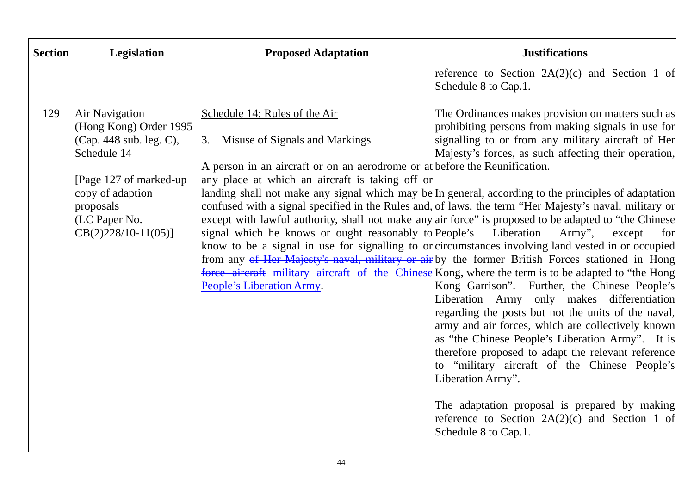| <b>Section</b> | <b>Legislation</b>                                                                                                                                                                              | <b>Proposed Adaptation</b>                                                                                                                                                                                                                                                                              | <b>Justifications</b>                                                                                                                                                                                                                                                                                                                                                                                                                                                                                                                                                                                                                                                                                                                                                                                                                                                                                                                                                                                                                                                                                                                                                                                                                                                                                                                                                                                              |
|----------------|-------------------------------------------------------------------------------------------------------------------------------------------------------------------------------------------------|---------------------------------------------------------------------------------------------------------------------------------------------------------------------------------------------------------------------------------------------------------------------------------------------------------|--------------------------------------------------------------------------------------------------------------------------------------------------------------------------------------------------------------------------------------------------------------------------------------------------------------------------------------------------------------------------------------------------------------------------------------------------------------------------------------------------------------------------------------------------------------------------------------------------------------------------------------------------------------------------------------------------------------------------------------------------------------------------------------------------------------------------------------------------------------------------------------------------------------------------------------------------------------------------------------------------------------------------------------------------------------------------------------------------------------------------------------------------------------------------------------------------------------------------------------------------------------------------------------------------------------------------------------------------------------------------------------------------------------------|
|                |                                                                                                                                                                                                 |                                                                                                                                                                                                                                                                                                         | reference to Section $2A(2)(c)$ and Section 1 of<br>Schedule 8 to Cap.1.                                                                                                                                                                                                                                                                                                                                                                                                                                                                                                                                                                                                                                                                                                                                                                                                                                                                                                                                                                                                                                                                                                                                                                                                                                                                                                                                           |
| 129            | <b>Air Navigation</b><br>(Hong Kong) Order 1995<br>(Cap. 448 sub. leg. C),<br>Schedule 14<br>[Page 127 of marked-up]<br>copy of adaption<br>proposals<br>(LC Paper No.<br>$CB(2)228/10-11(05)]$ | Schedule 14: Rules of the Air<br>Misuse of Signals and Markings<br>3.<br>A person in an aircraft or on an aerodrome or at before the Reunification.<br>any place at which an aircraft is taking off or<br>signal which he knows or ought reasonably to People's Liberation<br>People's Liberation Army. | The Ordinances makes provision on matters such as<br>prohibiting persons from making signals in use for<br>signalling to or from any military aircraft of Her<br>Majesty's forces, as such affecting their operation,<br>landing shall not make any signal which may be In general, according to the principles of adaptation<br>confused with a signal specified in the Rules and, of laws, the term "Her Majesty's naval, military or<br>except with lawful authority, shall not make any air force" is proposed to be adapted to "the Chinese<br>Army",<br>except<br>for<br>know to be a signal in use for signalling to or circumstances involving land vested in or occupied<br>from any of Her Majesty's naval, military or air by the former British Forces stationed in Hong<br>force aircraft military aircraft of the Chinese Kong, where the term is to be adapted to "the Hong<br>Kong Garrison". Further, the Chinese People's<br>Liberation Army only makes differentiation<br>regarding the posts but not the units of the naval,<br>army and air forces, which are collectively known<br>as "the Chinese People's Liberation Army". It is<br>therefore proposed to adapt the relevant reference<br>to "military aircraft of the Chinese People's<br>Liberation Army".<br>The adaptation proposal is prepared by making<br>reference to Section $2A(2)(c)$ and Section 1 of<br>Schedule 8 to Cap.1. |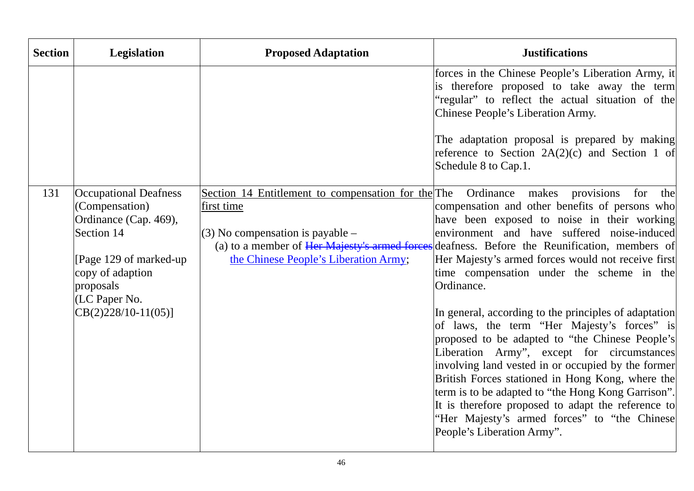| <b>Section</b> | <b>Legislation</b>                                                                                                                                                                         | <b>Proposed Adaptation</b>                                                                                                                                                                                       | <b>Justifications</b>                                                                                                                                                                                                                                                                                                                                                                                                                                                                                                                                                                                                                                                                                                                                                                                                                                    |
|----------------|--------------------------------------------------------------------------------------------------------------------------------------------------------------------------------------------|------------------------------------------------------------------------------------------------------------------------------------------------------------------------------------------------------------------|----------------------------------------------------------------------------------------------------------------------------------------------------------------------------------------------------------------------------------------------------------------------------------------------------------------------------------------------------------------------------------------------------------------------------------------------------------------------------------------------------------------------------------------------------------------------------------------------------------------------------------------------------------------------------------------------------------------------------------------------------------------------------------------------------------------------------------------------------------|
|                |                                                                                                                                                                                            |                                                                                                                                                                                                                  | forces in the Chinese People's Liberation Army, it<br>is therefore proposed to take away the term<br>"regular" to reflect the actual situation of the<br>Chinese People's Liberation Army.                                                                                                                                                                                                                                                                                                                                                                                                                                                                                                                                                                                                                                                               |
|                |                                                                                                                                                                                            |                                                                                                                                                                                                                  | The adaptation proposal is prepared by making<br>reference to Section $2A(2)(c)$ and Section 1 of<br>Schedule 8 to Cap.1.                                                                                                                                                                                                                                                                                                                                                                                                                                                                                                                                                                                                                                                                                                                                |
| 131            | <b>Occupational Deafness</b><br>(Compensation)<br>Ordinance (Cap. 469),<br>Section 14<br>[Page 129 of marked-up<br>copy of adaption<br>proposals<br>(LC Paper No.<br>$CB(2)228/10-11(05)]$ | Section 14 Entitlement to compensation for the The Ordinance makes<br>first time<br>$(3)$ No compensation is payable –<br>(a) to a member of Her Majesty's armed forces<br>the Chinese People's Liberation Army; | provisions<br>for<br>the<br>compensation and other benefits of persons who<br>have been exposed to noise in their working<br>environment and have suffered noise-induced<br>deafness. Before the Reunification, members of<br>Her Majesty's armed forces would not receive first<br>time compensation under the scheme in the<br>Ordinance.<br>In general, according to the principles of adaptation<br>of laws, the term "Her Majesty's forces" is<br>proposed to be adapted to "the Chinese People's<br>Liberation Army", except for circumstances<br>involving land vested in or occupied by the former<br>British Forces stationed in Hong Kong, where the<br>term is to be adapted to "the Hong Kong Garrison".<br>It is therefore proposed to adapt the reference to<br>"Her Majesty's armed forces" to "the Chinese<br>People's Liberation Army". |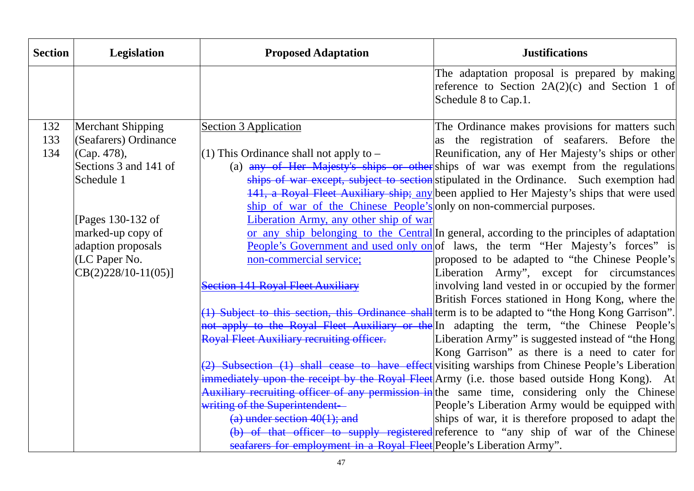| <b>Section</b> | Legislation           | <b>Proposed Adaptation</b>                                           | <b>Justifications</b>                                                                                                   |
|----------------|-----------------------|----------------------------------------------------------------------|-------------------------------------------------------------------------------------------------------------------------|
|                |                       |                                                                      | The adaptation proposal is prepared by making<br>reference to Section 2A(2)(c) and Section 1 of<br>Schedule 8 to Cap.1. |
| 132            | Merchant Shipping     | <b>Section 3 Application</b>                                         | The Ordinance makes provisions for matters such                                                                         |
| 133            | (Seafarers) Ordinance |                                                                      | as the registration of seafarers. Before the                                                                            |
| 134            | (Cap. 478),           | $(1)$ This Ordinance shall not apply to $-$                          | Reunification, any of Her Majesty's ships or other                                                                      |
|                | Sections 3 and 141 of |                                                                      | (a) any of Her Majesty's ships or other ships of war was exempt from the regulations                                    |
|                | Schedule 1            |                                                                      | ships of war except, subject to section stipulated in the Ordinance. Such exemption had                                 |
|                |                       |                                                                      | 141, a Royal Fleet Auxiliary ship; any been applied to Her Majesty's ships that were used                               |
|                |                       | ship of war of the Chinese People's only on non-commercial purposes. |                                                                                                                         |
|                | Pages 130-132 of      | Liberation Army, any other ship of war                               |                                                                                                                         |
|                | marked-up copy of     |                                                                      | or any ship belonging to the Central In general, according to the principles of adaptation                              |
|                | adaption proposals    |                                                                      | People's Government and used only on of laws, the term "Her Majesty's forces" is                                        |
|                | (LC Paper No.         | non-commercial service;                                              | proposed to be adapted to "the Chinese People's                                                                         |
|                | $CB(2)228/10-11(05)]$ |                                                                      | Liberation Army", except for circumstances                                                                              |
|                |                       | <b>Section 141 Royal Fleet Auxiliary</b>                             | involving land vested in or occupied by the former                                                                      |
|                |                       |                                                                      | British Forces stationed in Hong Kong, where the                                                                        |
|                |                       |                                                                      | (1) Subject to this section, this Ordinance shall term is to be adapted to "the Hong Kong Garrison".                    |
|                |                       |                                                                      | not apply to the Royal Fleet Auxiliary or the In adapting the term, "the Chinese People's                               |
|                |                       | Royal Fleet Auxiliary recruiting officer.                            | Liberation Army" is suggested instead of "the Hong                                                                      |
|                |                       |                                                                      | Kong Garrison" as there is a need to cater for                                                                          |
|                |                       |                                                                      | (2) Subsection (1) shall cease to have effect visiting warships from Chinese People's Liberation                        |
|                |                       |                                                                      | immediately upon the receipt by the Royal Fleet Army (i.e. those based outside Hong Kong). At                           |
|                |                       |                                                                      | Auxiliary recruiting officer of any permission in the same time, considering only the Chinese                           |
|                |                       | writing of the Superintendent-                                       | People's Liberation Army would be equipped with                                                                         |
|                |                       | $(a)$ under section $40(1)$ ; and                                    | ships of war, it is therefore proposed to adapt the                                                                     |
|                |                       |                                                                      | (b) of that officer to supply registered reference to "any ship of war of the Chinese                                   |
|                |                       | seafarers for employment in a Royal Fleet People's Liberation Army". |                                                                                                                         |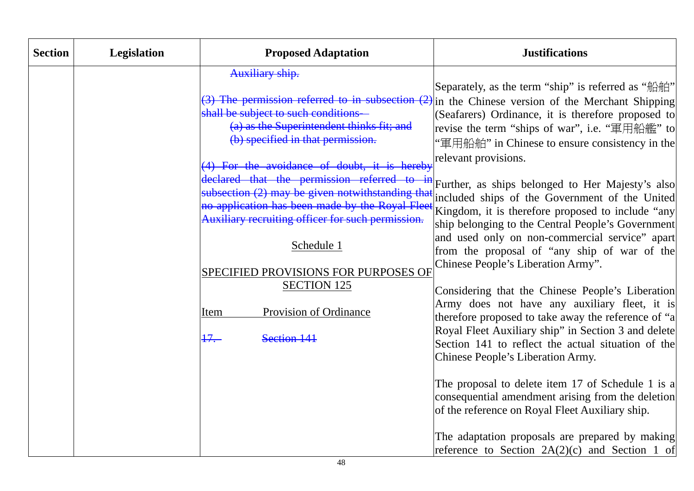| <b>Section</b> | <b>Legislation</b> | <b>Proposed Adaptation</b>                                                                                                                       | <b>Justifications</b>                                                                                                                                                                                                                                                                                              |
|----------------|--------------------|--------------------------------------------------------------------------------------------------------------------------------------------------|--------------------------------------------------------------------------------------------------------------------------------------------------------------------------------------------------------------------------------------------------------------------------------------------------------------------|
|                |                    | Auxiliary ship.                                                                                                                                  |                                                                                                                                                                                                                                                                                                                    |
|                |                    | shall be subject to such conditions-<br>(a) as the Superintendent thinks fit; and<br>(b) specified in that permission.                           | Separately, as the term "ship" is referred as "船舶"<br>(3) The permission referred to in subsection $(2)$ in the Chinese version of the Merchant Shipping<br>(Seafarers) Ordinance, it is therefore proposed to<br>revise the term "ships of war", i.e. "軍用船艦" to<br>"軍用船舶" in Chinese to ensure consistency in the |
|                |                    | (4) For the avoidance of doubt, it is hereby                                                                                                     | relevant provisions.                                                                                                                                                                                                                                                                                               |
|                |                    | declared that the permission referred to<br>no application has been made by the Royal Fleet<br>Auxiliary recruiting officer for such permission. | <sup>in</sup> Further, as ships belonged to Her Majesty's also<br>subsection (2) may be given notwithstanding that included ships of the Government of the United<br>Kingdom, it is therefore proposed to include "any<br>ship belonging to the Central People's Government                                        |
|                |                    | Schedule 1                                                                                                                                       | and used only on non-commercial service" apart<br>from the proposal of "any ship of war of the<br>Chinese People's Liberation Army".                                                                                                                                                                               |
|                |                    | SPECIFIED PROVISIONS FOR PURPOSES OF                                                                                                             |                                                                                                                                                                                                                                                                                                                    |
|                |                    | <b>SECTION 125</b>                                                                                                                               | Considering that the Chinese People's Liberation                                                                                                                                                                                                                                                                   |
|                |                    | Provision of Ordinance<br>Item                                                                                                                   | Army does not have any auxiliary fleet, it is<br>therefore proposed to take away the reference of "a                                                                                                                                                                                                               |
|                |                    | 17.<br>Section 141                                                                                                                               | Royal Fleet Auxiliary ship" in Section 3 and delete<br>Section 141 to reflect the actual situation of the<br>Chinese People's Liberation Army.                                                                                                                                                                     |
|                |                    |                                                                                                                                                  | The proposal to delete item 17 of Schedule 1 is a<br>consequential amendment arising from the deletion<br>of the reference on Royal Fleet Auxiliary ship.                                                                                                                                                          |
|                |                    |                                                                                                                                                  | The adaptation proposals are prepared by making<br>reference to Section $2A(2)(c)$ and Section 1 of                                                                                                                                                                                                                |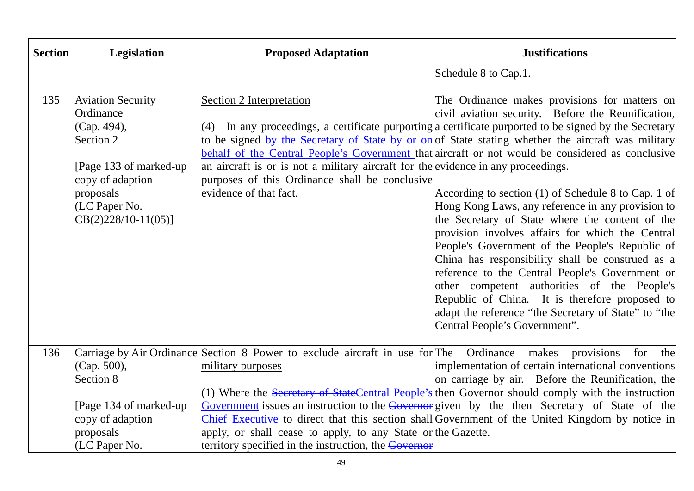| <b>Section</b> | Legislation                                                                                                                                                           | <b>Proposed Adaptation</b>                                                                                                                                                                                                                           | <b>Justifications</b>                                                                                                                                                                                                                                                                                                                                                                                                                                                                                                                                                                                                                                                                                                                                                                                                                                                                                                                                                                            |
|----------------|-----------------------------------------------------------------------------------------------------------------------------------------------------------------------|------------------------------------------------------------------------------------------------------------------------------------------------------------------------------------------------------------------------------------------------------|--------------------------------------------------------------------------------------------------------------------------------------------------------------------------------------------------------------------------------------------------------------------------------------------------------------------------------------------------------------------------------------------------------------------------------------------------------------------------------------------------------------------------------------------------------------------------------------------------------------------------------------------------------------------------------------------------------------------------------------------------------------------------------------------------------------------------------------------------------------------------------------------------------------------------------------------------------------------------------------------------|
|                |                                                                                                                                                                       |                                                                                                                                                                                                                                                      | Schedule 8 to Cap.1.                                                                                                                                                                                                                                                                                                                                                                                                                                                                                                                                                                                                                                                                                                                                                                                                                                                                                                                                                                             |
| 135            | <b>Aviation Security</b><br>Ordinance<br>(Cap. 494),<br>Section 2<br>[Page 133 of marked-up<br>copy of adaption<br>proposals<br>(LC Paper No.<br>$CB(2)228/10-11(05)$ | Section 2 Interpretation<br>an aircraft is or is not a military aircraft for the evidence in any proceedings.<br>purposes of this Ordinance shall be conclusive<br>evidence of that fact.                                                            | The Ordinance makes provisions for matters on<br>civil aviation security. Before the Reunification,<br>$(4)$ In any proceedings, a certificate purporting a certificate purported to be signed by the Secretary<br>to be signed by the Secretary of State-by or on of State stating whether the aircraft was military<br>behalf of the Central People's Government that aircraft or not would be considered as conclusive<br>According to section (1) of Schedule 8 to Cap. 1 of<br>Hong Kong Laws, any reference in any provision to<br>the Secretary of State where the content of the<br>provision involves affairs for which the Central<br>People's Government of the People's Republic of<br>China has responsibility shall be construed as a<br>reference to the Central People's Government or<br>other competent authorities of the People's<br>Republic of China. It is therefore proposed to<br>adapt the reference "the Secretary of State" to "the<br>Central People's Government". |
| 136            | (Cap. 500),<br>Section 8<br>[Page 134 of marked-up]<br>copy of adaption<br>proposals<br>(LC Paper No.                                                                 | Carriage by Air Ordinance Section 8 Power to exclude aircraft in use for The Ordinance makes provisions<br>military purposes<br>apply, or shall cease to apply, to any State or the Gazette.<br>territory specified in the instruction, the Governor | for<br>the<br>implementation of certain international conventions<br>on carriage by air. Before the Reunification, the<br>(1) Where the Secretary of StateCentral People's then Governor should comply with the instruction<br>Government issues an instruction to the Governor given by the then Secretary of State of the<br>Chief Executive to direct that this section shall Government of the United Kingdom by notice in                                                                                                                                                                                                                                                                                                                                                                                                                                                                                                                                                                   |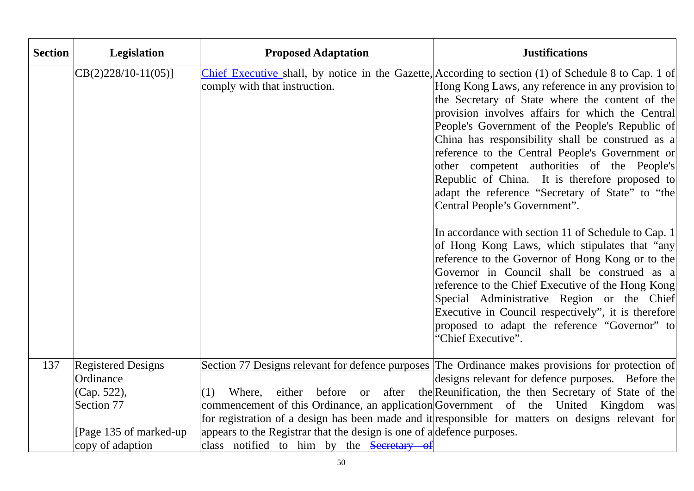| <b>Section</b> | Legislation                            | <b>Proposed Adaptation</b>                                             | <b>Justifications</b>                                                                                                                                                                                                                                                                                                                                                                                                                                                                                                                                                                                                                                                                                                                                                                                                                                                                                                                                                                                                                                        |
|----------------|----------------------------------------|------------------------------------------------------------------------|--------------------------------------------------------------------------------------------------------------------------------------------------------------------------------------------------------------------------------------------------------------------------------------------------------------------------------------------------------------------------------------------------------------------------------------------------------------------------------------------------------------------------------------------------------------------------------------------------------------------------------------------------------------------------------------------------------------------------------------------------------------------------------------------------------------------------------------------------------------------------------------------------------------------------------------------------------------------------------------------------------------------------------------------------------------|
|                | $CB(2)228/10-11(05)]$                  | comply with that instruction.                                          | Chief Executive shall, by notice in the Gazette, According to section (1) of Schedule 8 to Cap. 1 of<br>Hong Kong Laws, any reference in any provision to<br>the Secretary of State where the content of the<br>provision involves affairs for which the Central<br>People's Government of the People's Republic of<br>China has responsibility shall be construed as a<br>reference to the Central People's Government or<br>other competent authorities of the People's<br>Republic of China. It is therefore proposed to<br>adapt the reference "Secretary of State" to "the<br>Central People's Government".<br>In accordance with section 11 of Schedule to Cap. 1<br>of Hong Kong Laws, which stipulates that "any<br>reference to the Governor of Hong Kong or to the<br>Governor in Council shall be construed as a<br>reference to the Chief Executive of the Hong Kong<br>Special Administrative Region or the Chief<br>Executive in Council respectively", it is therefore<br>proposed to adapt the reference "Governor" to<br>"Chief Executive". |
| 137            | <b>Registered Designs</b><br>Ordinance |                                                                        | Section 77 Designs relevant for defence purposes The Ordinance makes provisions for protection of<br>designs relevant for defence purposes. Before the                                                                                                                                                                                                                                                                                                                                                                                                                                                                                                                                                                                                                                                                                                                                                                                                                                                                                                       |
|                | (Cap. 522),                            | before or after<br>Where,<br>either<br>(1)                             | the Reunification, the then Secretary of State of the                                                                                                                                                                                                                                                                                                                                                                                                                                                                                                                                                                                                                                                                                                                                                                                                                                                                                                                                                                                                        |
|                | Section 77                             |                                                                        | commencement of this Ordinance, an application Government of the United Kingdom was                                                                                                                                                                                                                                                                                                                                                                                                                                                                                                                                                                                                                                                                                                                                                                                                                                                                                                                                                                          |
|                |                                        |                                                                        | for registration of a design has been made and it responsible for matters on designs relevant for                                                                                                                                                                                                                                                                                                                                                                                                                                                                                                                                                                                                                                                                                                                                                                                                                                                                                                                                                            |
|                | [Page 135 of marked-up]                | appears to the Registrar that the design is one of a defence purposes. |                                                                                                                                                                                                                                                                                                                                                                                                                                                                                                                                                                                                                                                                                                                                                                                                                                                                                                                                                                                                                                                              |
|                | copy of adaption                       | class notified to him by the Secretary of                              |                                                                                                                                                                                                                                                                                                                                                                                                                                                                                                                                                                                                                                                                                                                                                                                                                                                                                                                                                                                                                                                              |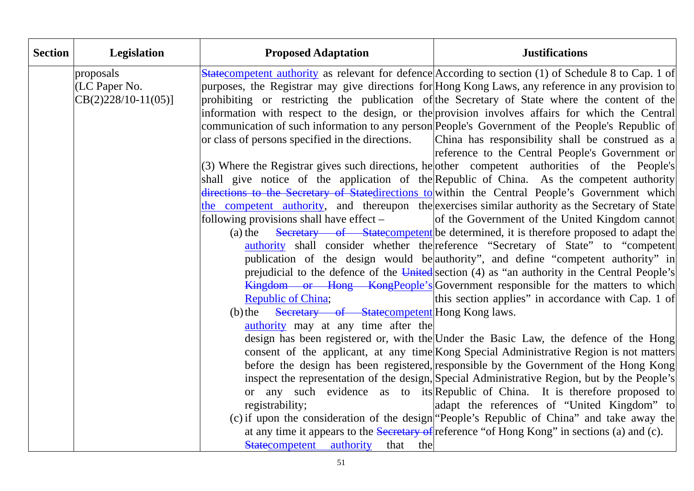| <b>Section</b> | Legislation          | <b>Proposed Adaptation</b>                          | <b>Justifications</b>                                                                                                                                                           |
|----------------|----------------------|-----------------------------------------------------|---------------------------------------------------------------------------------------------------------------------------------------------------------------------------------|
|                | proposals            |                                                     | <b>State</b> competent authority as relevant for defence According to section (1) of Schedule 8 to Cap. 1 of                                                                    |
|                | (LC Paper No.        |                                                     | purposes, the Registrar may give directions for Hong Kong Laws, any reference in any provision to                                                                               |
|                | $CB(2)228/10-11(05)$ |                                                     | prohibiting or restricting the publication of the Secretary of State where the content of the                                                                                   |
|                |                      |                                                     | information with respect to the design, or the provision involves affairs for which the Central                                                                                 |
|                |                      |                                                     | communication of such information to any person People's Government of the People's Republic of                                                                                 |
|                |                      | or class of persons specified in the directions.    | China has responsibility shall be construed as a                                                                                                                                |
|                |                      |                                                     | reference to the Central People's Government or                                                                                                                                 |
|                |                      |                                                     | (3) Where the Registrar gives such directions, he other competent authorities of the People's                                                                                   |
|                |                      |                                                     | shall give notice of the application of the Republic of China. As the competent authority                                                                                       |
|                |                      |                                                     | directions to the Secretary of Statedirections to within the Central People's Government which                                                                                  |
|                |                      |                                                     | the competent authority, and thereupon the exercises similar authority as the Secretary of State                                                                                |
|                |                      | following provisions shall have effect $-$          | of the Government of the United Kingdom cannot                                                                                                                                  |
|                |                      | $(a)$ the                                           | Secretary of Statecompetent be determined, it is therefore proposed to adapt the                                                                                                |
|                |                      |                                                     | authority shall consider whether the reference "Secretary of State" to "competent                                                                                               |
|                |                      |                                                     | publication of the design would be authority", and define "competent authority" in                                                                                              |
|                |                      |                                                     | prejudicial to the defence of the United section (4) as "an authority in the Central People's                                                                                   |
|                |                      |                                                     | Kingdom or Hong Kong People's Government responsible for the matters to which                                                                                                   |
|                |                      | <b>Republic of China;</b>                           | this section applies" in accordance with Cap. 1 of                                                                                                                              |
|                |                      | (b) the Secretary of Statecompetent Hong Kong laws. |                                                                                                                                                                                 |
|                |                      | authority may at any time after the                 |                                                                                                                                                                                 |
|                |                      |                                                     | design has been registered or, with the Under the Basic Law, the defence of the Hong<br>consent of the applicant, at any time Kong Special Administrative Region is not matters |
|                |                      |                                                     | before the design has been registered, responsible by the Government of the Hong Kong                                                                                           |
|                |                      |                                                     | inspect the representation of the design, Special Administrative Region, but by the People's                                                                                    |
|                |                      |                                                     | or any such evidence as to its Republic of China. It is therefore proposed to                                                                                                   |
|                |                      | registrability;                                     | adapt the references of "United Kingdom" to                                                                                                                                     |
|                |                      |                                                     | (c) if upon the consideration of the design "People's Republic of China" and take away the                                                                                      |
|                |                      |                                                     | at any time it appears to the Secretary of reference "of Hong Kong" in sections (a) and (c).                                                                                    |
|                |                      | Statecompetent authority<br>that the                |                                                                                                                                                                                 |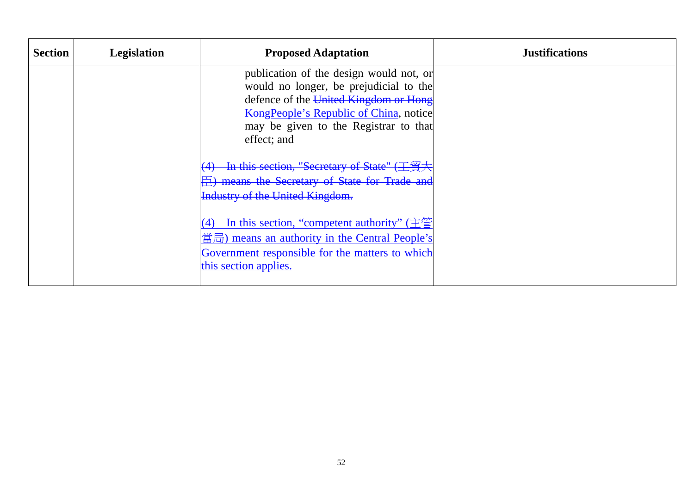| <b>Section</b> | Legislation | <b>Proposed Adaptation</b>                                                                                                                                                                                                          | <b>Justifications</b> |
|----------------|-------------|-------------------------------------------------------------------------------------------------------------------------------------------------------------------------------------------------------------------------------------|-----------------------|
|                |             | publication of the design would not, or<br>would no longer, be prejudicial to the<br>defence of the United Kingdom or Hong<br><b>KongPeople's Republic of China, notice</b><br>may be given to the Registrar to that<br>effect; and |                       |
|                |             | In this section, "Secretary of State" (工貿大<br><b>E</b> ) means the Secretary of State for Trade and<br><b>Industry of the United Kingdom.</b>                                                                                       |                       |
|                |             | In this section, "competent authority" $(\dot{\pm}\ddot{\Xi})$<br>(4)<br>$\frac{d}{dx}$ = means an authority in the Central People's<br>Government responsible for the matters to which<br>this section applies.                    |                       |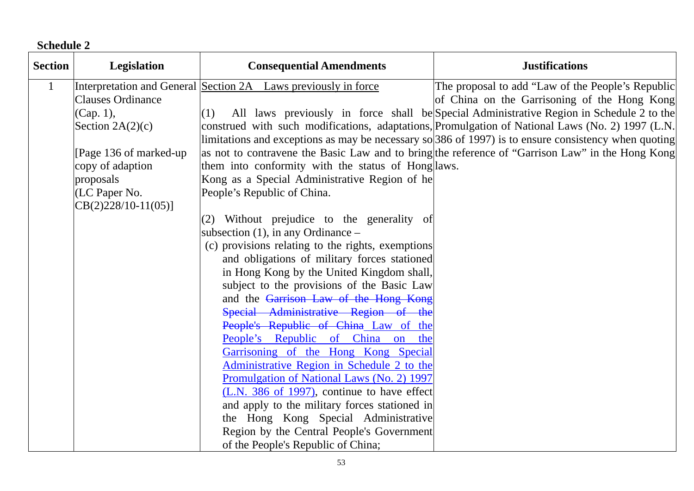**Schedule 2** 

| <b>Section</b> | Legislation              | <b>Consequential Amendments</b>                                                     | <b>Justifications</b>                                                                                  |
|----------------|--------------------------|-------------------------------------------------------------------------------------|--------------------------------------------------------------------------------------------------------|
| $\mathbf{1}$   |                          | Interpretation and General Section 2A Laws previously in force                      | The proposal to add "Law of the People's Republic                                                      |
|                | <b>Clauses Ordinance</b> |                                                                                     | of China on the Garrisoning of the Hong Kong                                                           |
|                | (Cap. 1),                | (1)                                                                                 | All laws previously in force shall be Special Administrative Region in Schedule 2 to the               |
|                | Section $2A(2)(c)$       |                                                                                     | construed with such modifications, adaptations, Promulgation of National Laws (No. 2) 1997 (L.N.       |
|                |                          |                                                                                     | limitations and exceptions as may be necessary so $386$ of 1997) is to ensure consistency when quoting |
|                | [Page 136 of marked-up]  |                                                                                     | as not to contravene the Basic Law and to bring the reference of "Garrison Law" in the Hong Kong       |
|                | copy of adaption         | them into conformity with the status of Hong laws.                                  |                                                                                                        |
|                | proposals                | Kong as a Special Administrative Region of he                                       |                                                                                                        |
|                | (LC Paper No.            | People's Republic of China.                                                         |                                                                                                        |
|                | $CB(2)228/10-11(05)]$    |                                                                                     |                                                                                                        |
|                |                          | (2) Without prejudice to the generality of                                          |                                                                                                        |
|                |                          | subsection $(1)$ , in any Ordinance –                                               |                                                                                                        |
|                |                          | (c) provisions relating to the rights, exemptions                                   |                                                                                                        |
|                |                          | and obligations of military forces stationed                                        |                                                                                                        |
|                |                          | in Hong Kong by the United Kingdom shall,                                           |                                                                                                        |
|                |                          | subject to the provisions of the Basic Law<br>and the Garrison Law of the Hong Kong |                                                                                                        |
|                |                          | Special Administrative Region of the                                                |                                                                                                        |
|                |                          | People's Republic of China Law of the                                               |                                                                                                        |
|                |                          | People's Republic of China on the                                                   |                                                                                                        |
|                |                          | Garrisoning of the Hong Kong Special                                                |                                                                                                        |
|                |                          | Administrative Region in Schedule 2 to the                                          |                                                                                                        |
|                |                          | Promulgation of National Laws (No. 2) 1997                                          |                                                                                                        |
|                |                          | (L.N. 386 of 1997), continue to have effect                                         |                                                                                                        |
|                |                          | and apply to the military forces stationed in                                       |                                                                                                        |
|                |                          | the Hong Kong Special Administrative                                                |                                                                                                        |
|                |                          | Region by the Central People's Government                                           |                                                                                                        |
|                |                          | of the People's Republic of China;                                                  |                                                                                                        |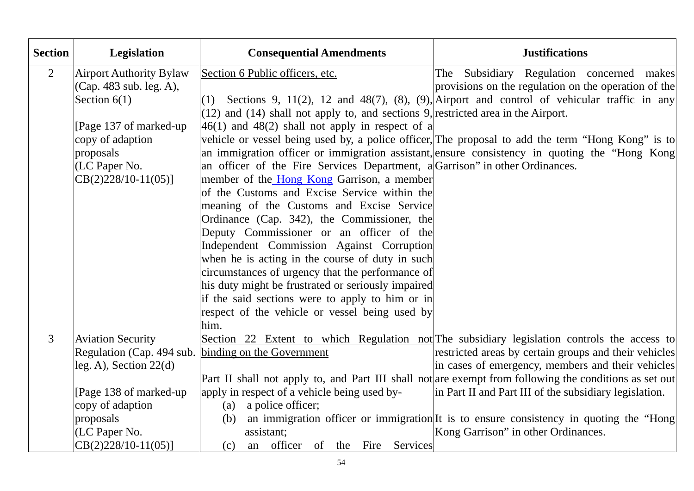| <b>Section</b> | Legislation                    | <b>Consequential Amendments</b>                                                       | <b>Justifications</b>                                                                                  |
|----------------|--------------------------------|---------------------------------------------------------------------------------------|--------------------------------------------------------------------------------------------------------|
| $\overline{2}$ | <b>Airport Authority Bylaw</b> | Section 6 Public officers, etc.                                                       | The Subsidiary Regulation concerned makes                                                              |
|                | (Cap. 483 sub. leg. A),        |                                                                                       | provisions on the regulation on the operation of the                                                   |
|                | Section $6(1)$                 | (1)                                                                                   | Sections 9, 11(2), 12 and 48(7), (8), (9), Airport and control of vehicular traffic in any             |
|                |                                | $(12)$ and $(14)$ shall not apply to, and sections 9, restricted area in the Airport. |                                                                                                        |
|                | [Page 137 of marked-up]        | $46(1)$ and $48(2)$ shall not apply in respect of a                                   |                                                                                                        |
|                | copy of adaption               |                                                                                       | vehicle or vessel being used by, a police officer, The proposal to add the term "Hong Kong" is to      |
|                | proposals                      |                                                                                       | an immigration officer or immigration assistant, ensure consistency in quoting the "Hong Kong          |
|                | (LC Paper No.                  | an officer of the Fire Services Department, a Garrison" in other Ordinances.          |                                                                                                        |
|                | $CB(2)228/10-11(05)$           | member of the <i>Hong Kong Garrison</i> , a member                                    |                                                                                                        |
|                |                                | of the Customs and Excise Service within the                                          |                                                                                                        |
|                |                                | meaning of the Customs and Excise Service                                             |                                                                                                        |
|                |                                | Ordinance (Cap. 342), the Commissioner, the                                           |                                                                                                        |
|                |                                | Deputy Commissioner or an officer of the                                              |                                                                                                        |
|                |                                | Independent Commission Against Corruption                                             |                                                                                                        |
|                |                                | when he is acting in the course of duty in such                                       |                                                                                                        |
|                |                                | circumstances of urgency that the performance of                                      |                                                                                                        |
|                |                                | his duty might be frustrated or seriously impaired                                    |                                                                                                        |
|                |                                | if the said sections were to apply to him or in                                       |                                                                                                        |
|                |                                | respect of the vehicle or vessel being used by                                        |                                                                                                        |
|                |                                | him.                                                                                  |                                                                                                        |
| $\overline{3}$ | <b>Aviation Security</b>       |                                                                                       | Section 22 Extent to which Regulation not The subsidiary legislation controls the access to            |
|                | Regulation (Cap. 494 sub.      | binding on the Government                                                             | restricted areas by certain groups and their vehicles                                                  |
|                | $leg. A$ , Section 22(d)       |                                                                                       | in cases of emergency, members and their vehicles                                                      |
|                |                                |                                                                                       | Part II shall not apply to, and Part III shall not are exempt from following the conditions as set out |
|                | [Page 138 of marked-up]        | apply in respect of a vehicle being used by-                                          | in Part II and Part III of the subsidiary legislation.                                                 |
|                | copy of adaption               | a police officer;<br>(a)                                                              |                                                                                                        |
|                | proposals                      | (b)                                                                                   | an immigration officer or immigration. It is to ensure consistency in quoting the "Hong                |
|                | (LC Paper No.                  | assistant;                                                                            | Kong Garrison" in other Ordinances.                                                                    |
|                | $CB(2)228/10-11(05)$           | an officer of the Fire Services<br>(c)                                                |                                                                                                        |